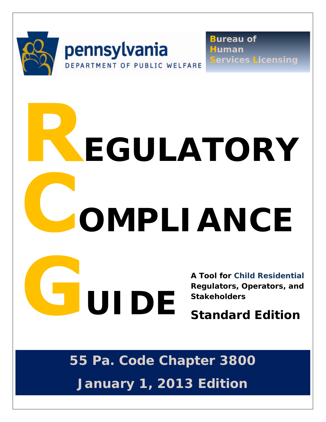

**Bureau of Human Services Licensing** 

# **OMPLIANCE EGULATORY**

**A Tool for Child Residential Regulators, Operators, and Stakeholders** 

**Standard Edition** 

1

**55 Pa. Code Chapter 3800 January 1, 2013 Edition** 

**UIDE**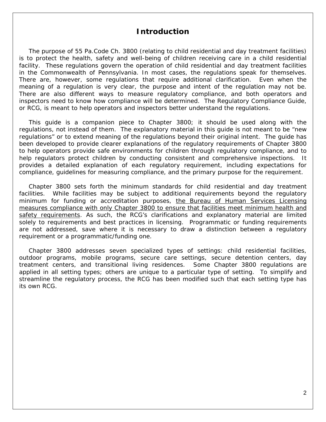# **Introduction**

The purpose of 55 Pa.Code Ch. 3800 (relating to child residential and day treatment facilities) is to protect the health, safety and well-being of children receiving care in a child residential facility. These regulations govern the operation of child residential and day treatment facilities in the Commonwealth of Pennsylvania. In most cases, the regulations speak for themselves. There are, however, some regulations that require additional clarification. Even when the meaning of a regulation is very clear, the purpose and intent of the regulation may not be. There are also different ways to measure regulatory compliance, and both operators and inspectors need to know how compliance will be determined. The Regulatory Compliance Guide, or RCG, is meant to help operators and inspectors better understand the regulations.

This guide is a companion piece to Chapter 3800; it should be used along with the regulations, not instead of them. The explanatory material in this guide is not meant to be "new regulations" or to extend meaning of the regulations beyond their original intent. The guide has been developed to provide clearer explanations of the regulatory requirements of Chapter 3800 to help operators provide safe environments for children through regulatory compliance, and to help regulators protect children by conducting consistent and comprehensive inspections. It provides a detailed explanation of each regulatory requirement, including expectations for compliance, guidelines for measuring compliance, and the primary purpose for the requirement.

Chapter 3800 sets forth the minimum standards for child residential and day treatment facilities. While facilities may be subject to additional requirements beyond the regulatory minimum for funding or accreditation purposes, the Bureau of Human Services Licensing measures compliance with only Chapter 3800 to ensure that facilities meet minimum health and safety requirements. As such, the RCG's clarifications and explanatory material are limited solely to requirements and best practices in licensing. Programmatic or funding requirements are not addressed, save where it is necessary to draw a distinction between a regulatory requirement or a programmatic/funding one.

Chapter 3800 addresses seven specialized types of settings: child residential facilities, outdoor programs, mobile programs, secure care settings, secure detention centers, day treatment centers, and transitional living residences. Some Chapter 3800 regulations are applied in all setting types; others are unique to a particular type of setting. To simplify and streamline the regulatory process, the RCG has been modified such that each setting type has its own RCG.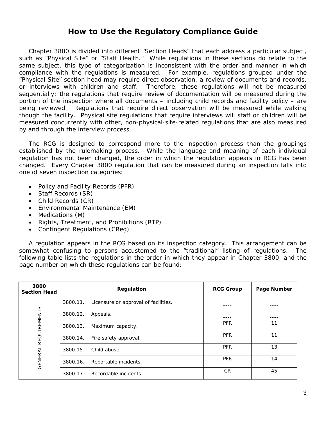# **How to Use the Regulatory Compliance Guide**

Chapter 3800 is divided into different "Section Heads" that each address a particular subject, such as "Physical Site" or "Staff Health." While regulations in these sections do relate to the same subject, this type of categorization is inconsistent with the order and manner in which compliance with the regulations is measured. For example, regulations grouped under the "Physical Site" section head may require direct observation, a review of documents and records, or interviews with children and staff. Therefore, these regulations will not be measured sequentially: the regulations that require review of documentation will be measured during the portion of the inspection where all documents – including child records and facility policy – are being reviewed. Regulations that require direct observation will be measured while walking though the facility. Physical site regulations that require interviews will staff or children will be measured concurrently with other, non-physical-site-related regulations that are also measured by and through the interview process.

The RCG is designed to correspond more to the inspection process than the groupings established by the rulemaking process. While the language and meaning of each individual regulation has not been changed, the order in which the regulation appears in RCG has been changed. Every Chapter 3800 regulation that can be measured during an inspection falls into one of seven inspection categories:

- Policy and Facility Records (PFR)
- Staff Records (SR)
- Child Records (CR)
- Environmental Maintenance (EM)
- Medications (M)
- Rights, Treatment, and Prohibitions (RTP)
- Contingent Regulations (CReg)

A regulation appears in the RCG based on its inspection category. This arrangement can be somewhat confusing to persons accustomed to the "traditional" listing of regulations. The following table lists the regulations in the order in which they appear in Chapter 3800, and the page number on which these regulations can be found:

| 3800<br><b>Section Head</b> | Regulation                                       | <b>RCG Group</b> | Page Number |
|-----------------------------|--------------------------------------------------|------------------|-------------|
|                             | 3800.11.<br>Licensure or approval of facilities. |                  |             |
| <b>REQUIREMENTS</b>         | 3800.12.<br>Appeals.                             |                  |             |
|                             | 3800.13.<br>Maximum capacity.                    | <b>PFR</b>       | 11          |
|                             | 3800.14.<br>Fire safety approval.                | <b>PFR</b>       | 11          |
|                             | Child abuse.<br>3800.15.                         | <b>PFR</b>       | 13          |
| <b>GENERAL</b>              | 3800.16.<br>Reportable incidents.                | <b>PFR</b>       | 14          |
|                             | 3800.17.<br>Recordable incidents.                | <b>CR</b>        | 45          |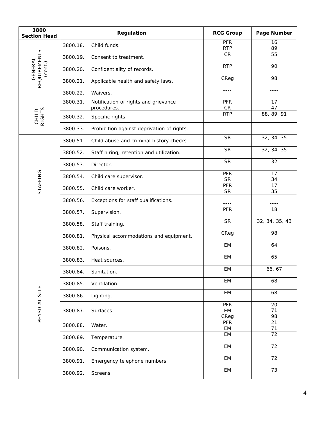| 3800<br><b>Section Head</b> |          | Regulation                                          | <b>RCG Group</b>         | Page Number    |
|-----------------------------|----------|-----------------------------------------------------|--------------------------|----------------|
|                             | 3800.18. | Child funds.                                        | <b>PFR</b><br><b>RTP</b> | 16<br>89       |
|                             | 3800.19. | Consent to treatment.                               | CR                       | 55             |
| <b>GENERAL</b><br>(cont.)   | 3800.20. | Confidentiality of records.                         | <b>RTP</b>               | 90             |
| <b>REQUIREMENTS</b>         | 3800.21. | Applicable health and safety laws.                  | CReg                     | 98             |
|                             | 3800.22. | Waivers.                                            | $- - - -$                | $- - - -$      |
|                             | 3800.31. | Notification of rights and grievance<br>procedures. | <b>PFR</b><br>CR         | 17<br>47       |
| CHILD<br>RIGHTS             | 3800.32. | Specific rights.                                    | <b>RTP</b>               | 88, 89, 91     |
|                             | 3800.33. | Prohibition against deprivation of rights.          | ----                     |                |
|                             | 3800.51. | Child abuse and criminal history checks.            | <b>SR</b>                | 32, 34, 35     |
|                             | 3800.52. | Staff hiring, retention and utilization.            | <b>SR</b>                | 32, 34, 35     |
|                             | 3800.53. | Director.                                           | <b>SR</b>                | 32             |
|                             | 3800.54. | Child care supervisor.                              | PFR<br><b>SR</b>         | 17             |
| STAFFING                    | 3800.55. | Child care worker.                                  | PFR                      | 34<br>17       |
|                             | 3800.56. | Exceptions for staff qualifications.                | <b>SR</b>                | 35             |
|                             | 3800.57. | Supervision.                                        | <b>PFR</b>               | 18             |
|                             | 3800.58. | Staff training.                                     | <b>SR</b>                | 32, 34, 35, 43 |
|                             | 3800.81. | Physical accommodations and equipment.              | CReg                     | 98             |
|                             | 3800.82. | Poisons.                                            | EM                       | 64             |
|                             | 3800.83. | Heat sources.                                       | EM                       | 65             |
|                             | 3800.84. | Sanitation.                                         | EM                       | 66, 67         |
|                             | 3800.85. | Ventilation.                                        | EM                       | 68             |
|                             | 3800.86. | Lighting.                                           | EM                       | 68             |
| PHYSICAL SITE               | 3800.87. | Surfaces.                                           | <b>PFR</b><br>EM<br>CReg | 20<br>71<br>98 |
|                             | 3800.88. | Water.                                              | PFR<br>EM                | 21<br>71       |
|                             | 3800.89. | Temperature.                                        | EM                       | 72             |
|                             | 3800.90. | Communication system.                               | EM                       | 72             |
|                             | 3800.91. | Emergency telephone numbers.                        | EM                       | 72             |
|                             | 3800.92. | Screens.                                            | EM                       | 73             |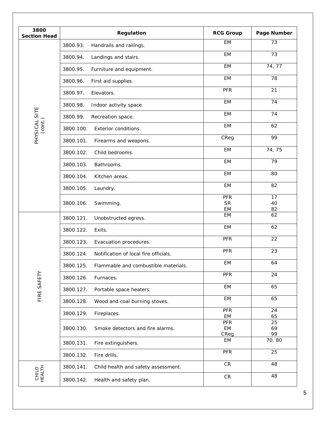| 3800<br><b>Section Head</b> | Regulation                                         | <b>RCG Group</b>        | Page Number    |
|-----------------------------|----------------------------------------------------|-------------------------|----------------|
|                             | 3800.93.<br>Handrails and railings.                | <b>EM</b>               | 73             |
|                             | Landings and stairs.<br>3800.94.                   | EM                      | 73             |
|                             | 3800.95.<br>Furniture and equipment.               | EM                      | 74, 77         |
|                             | First aid supplies.<br>3800.96.                    | EM                      | 78             |
|                             | 3800.97.<br>Elevators.                             | PFR                     | 21             |
|                             | 3800.98.<br>Indoor activity space.                 | <b>EM</b>               | 74             |
| PHYSICAL SITE               | 3800.99.<br>Recreation space.                      | <b>EM</b>               | 74             |
| (cont.)                     | 3800.100.<br>Exterior conditions.                  | <b>EM</b>               | 62             |
|                             | 3800.101.<br>Firearms and weapons.                 | CReg                    | 99             |
|                             | Child bedrooms.<br>3800.102.                       | <b>EM</b>               | 74, 75         |
|                             | 3800.103.<br>Bathrooms.                            | EM                      | 79             |
|                             | 3800.104.<br>Kitchen areas.                        | EM                      | 80             |
|                             | 3800.105.<br>Laundry.                              | EM                      | 82             |
|                             | 3800.106.<br>Swimming.                             | <b>PFR</b><br><b>SR</b> | 17<br>40       |
|                             |                                                    | EM<br><b>EM</b>         | 82<br>62       |
|                             | 3800.121.<br>Unobstructed egress.                  | EM                      | 62             |
|                             | 3800.122.<br>Exits.                                |                         |                |
|                             | 3800.123.<br>Evacuation procedures.                | <b>PFR</b>              | 22             |
|                             | Notification of local fire officials.<br>3800.124. | <b>PFR</b>              | 23             |
|                             | Flammable and combustible materials.<br>3800.125.  | EM                      | 64             |
|                             | 3800.126.<br>Furnaces.                             | PFR                     | 24             |
| FIRE SAFETY                 | 3800.127.<br>Portable space heaters.               | EM                      | 65             |
|                             | 3800.128.<br>Wood and coal burning stoves.         | EM                      | 65             |
|                             | 3800.129.<br>Fireplaces.                           | PFR<br>EM               | 24<br>65       |
|                             | 3800.130.<br>Smoke detectors and fire alarms.      | PFR<br>EM<br>CReg       | 25<br>69<br>99 |
|                             | 3800.131.<br>Fire extinguishers.                   | EM                      | 70, 80         |
|                             | 3800.132.<br>Fire drills.                          | PFR                     | 25             |
|                             | 3800.141.<br>Child health and safety assessment.   | ${\sf CR}$              | 48             |
| CHILD<br>HEALTH             | 3800.142.<br>Health and safety plan.               | ${\sf CR}$              | 48             |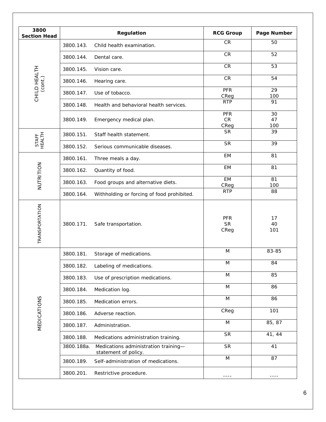| 3800<br><b>Section Head</b>   |            | Regulation                                                   | <b>RCG Group</b>                 | Page Number     |
|-------------------------------|------------|--------------------------------------------------------------|----------------------------------|-----------------|
|                               | 3800.143.  | Child health examination.                                    | <b>CR</b>                        | 50              |
|                               | 3800.144.  | Dental care.                                                 | CR                               | 52              |
|                               | 3800.145.  | Vision care.                                                 | CR                               | 53              |
| CHILD HEALTH<br>$($ cont. $)$ | 3800.146.  | Hearing care.                                                | CR                               | 54              |
|                               | 3800.147.  | Use of tobacco.                                              | PFR                              | 29              |
|                               | 3800.148.  | Health and behavioral health services.                       | CReg<br><b>RTP</b>               | 100<br>91       |
|                               | 3800.149.  | Emergency medical plan.                                      | <b>PFR</b><br>${\sf CR}$<br>CReg | 30<br>47<br>100 |
|                               | 3800.151.  | Staff health statement.                                      | <b>SR</b>                        | 39              |
| <b>HEALTH</b><br><b>STAFF</b> | 3800.152.  | Serious communicable diseases.                               | <b>SR</b>                        | 39              |
|                               | 3800.161.  | Three meals a day.                                           | EM                               | 81              |
|                               | 3800.162.  | Quantity of food.                                            | EM                               | 81              |
| NUTRITION                     | 3800.163.  | Food groups and alternative diets.                           | <b>EM</b>                        | 81              |
|                               | 3800.164.  | Withholding or forcing of food prohibited.                   | CReg<br><b>RTP</b>               | 100<br>88       |
| TRANSPORTATION                | 3800.171.  | Safe transportation.                                         | <b>PFR</b><br><b>SR</b><br>CReg  | 17<br>40<br>101 |
|                               | 3800.181.  | Storage of medications.                                      | M                                | 83-85           |
|                               | 3800.182.  | Labeling of medications.                                     | M                                | 84              |
|                               | 3800.183.  | Use of prescription medications.                             | M                                | 85              |
|                               | 3800.184.  | Medication log.                                              | M                                | 86              |
|                               | 3800.185.  | Medication errors.                                           | M                                | 86              |
|                               | 3800.186.  | Adverse reaction.                                            | CReg                             | 101             |
| MEDICATIONS                   | 3800.187.  | Administration.                                              | M                                | 85, 87          |
|                               | 3800.188.  | Medications administration training.                         | <b>SR</b>                        | 41, 44          |
|                               | 3800.188a. | Medications administration training-<br>statement of policy. | <b>SR</b>                        | 41              |
|                               | 3800.189.  | Self-administration of medications.                          | M                                | 87              |
|                               | 3800.201.  | Restrictive procedure.                                       | ----                             | ----            |
|                               |            |                                                              |                                  |                 |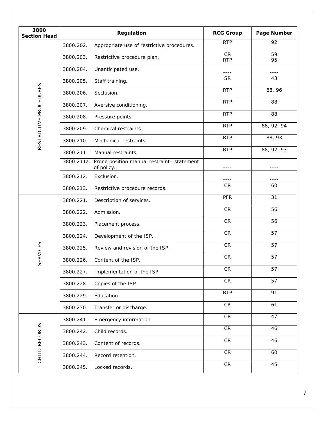| 3800<br><b>Section Head</b> | Regulation                                                         | <b>RCG Group</b>        | Page Number |
|-----------------------------|--------------------------------------------------------------------|-------------------------|-------------|
|                             | 3800.202.<br>Appropriate use of restrictive procedures.            | <b>RTP</b>              | 92          |
|                             | 3800.203.<br>Restrictive procedure plan.                           | <b>CR</b><br><b>RTP</b> | 59<br>95    |
|                             | 3800.204.<br>Unanticipated use.                                    |                         |             |
|                             | 3800.205.<br>Staff training.                                       | <b>SR</b>               | 43          |
|                             | 3800.206.<br>Seclusion.                                            | <b>RTP</b>              | 88, 96      |
| RESTRICTIVE PROCEDURES      | 3800.207.<br>Aversive conditioning.                                | <b>RTP</b>              | 88          |
|                             | 3800.208.<br>Pressure points.                                      | <b>RTP</b>              | 88          |
|                             | 3800.209.<br>Chemical restraints.                                  | <b>RTP</b>              | 88, 92, 94  |
|                             | 3800.210.<br>Mechanical restraints.                                | <b>RTP</b>              | 88, 93      |
|                             | 3800.211.<br>Manual restraints.                                    | <b>RTP</b>              | 88, 92, 93  |
|                             | 3800.211a. Prone position manual restraint-statement<br>of policy. | ----                    | ----        |
|                             | 3800.212.<br>Exclusion.                                            | ----                    |             |
|                             | 3800.213.<br>Restrictive procedure records.                        | CR                      | 60          |
|                             | 3800.221.<br>Description of services.                              | <b>PFR</b>              | 31          |
|                             | 3800.222.<br>Admission.                                            | <b>CR</b>               | 56          |
|                             | 3800.223.<br>Placement process.                                    | CR                      | 56          |
|                             | 3800.224.<br>Development of the ISP.                               | CR                      | 57          |
| <b>RVICES</b>               | 3800.225.<br>Review and revision of the ISP.                       | CR                      | 57          |
| 55                          | 3800.226. Content of the ISP.                                      | CR                      | 57          |
|                             | 3800.227.<br>Implementation of the ISP.                            | ${\sf CR}$              | 57          |
|                             | 3800.228.<br>Copies of the ISP.                                    | ${\sf CR}$              | 57          |
|                             | Education.<br>3800.229.                                            | <b>RTP</b>              | 91          |
|                             | 3800.230.<br>Transfer or discharge.                                | ${\sf CR}$              | 61          |
|                             | Emergency information.<br>3800.241.                                | CR                      | 47          |
| CHILD RECORDS               | Child records.<br>3800.242.                                        | ${\sf CR}$              | 46          |
|                             | 3800.243.<br>Content of records.                                   | ${\sf CR}$              | 46          |
|                             | 3800.244.<br>Record retention.                                     | ${\sf CR}$              | 60          |
|                             | Locked records.<br>3800.245.                                       | ${\sf CR}$              | 45          |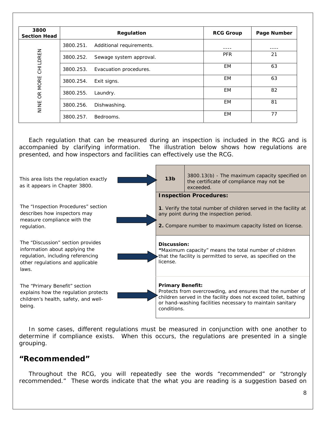| 3800<br><b>Section Head</b> |           | Regulation               | <b>RCG Group</b> | Page Number |
|-----------------------------|-----------|--------------------------|------------------|-------------|
|                             | 3800.251. | Additional requirements. |                  |             |
|                             | 3800.252. | Sewage system approval.  | <b>PFR</b>       | 21          |
| CHILDREN<br>OR MORE<br>NINE | 3800.253. | Evacuation procedures.   | <b>EM</b>        | 63          |
|                             | 3800.254. | Exit signs.              | EM               | 63          |
|                             | 3800.255. | Laundry.                 | EM               | 82          |
|                             | 3800.256. | Dishwashing.             | EM               | 81          |
|                             | 3800.257. | Bedrooms.                | <b>EM</b>        | 77          |

Each regulation that can be measured during an inspection is included in the RCG and is accompanied by clarifying information. The illustration below shows how regulations are presented, and how inspectors and facilities can effectively use the RCG.



In some cases, different regulations must be measured in conjunction with one another to determine if compliance exists. When this occurs, the regulations are presented in a single grouping.

# **"Recommended"**

Throughout the RCG, you will repeatedly see the words "recommended" or "strongly recommended." These words indicate that the what you are reading is a suggestion based on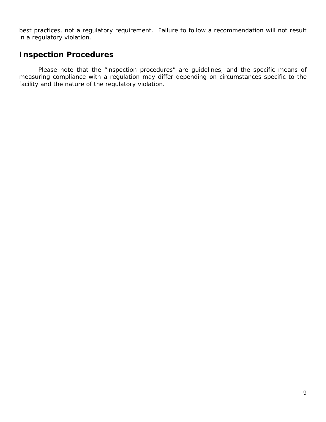best practices, not a regulatory requirement. Failure to follow a recommendation will not result in a regulatory violation.

# **Inspection Procedures**

Please note that the "inspection procedures" are guidelines, and the specific means of measuring compliance with a regulation may differ depending on circumstances specific to the facility and the nature of the regulatory violation.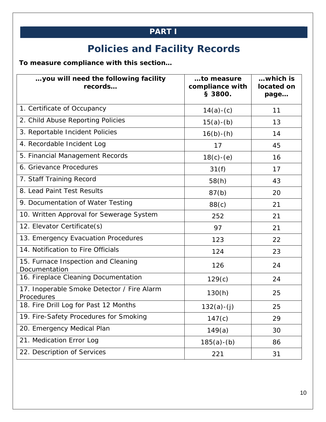# **PART I**

# **Policies and Facility Records**

**To measure compliance with this section…** 

| you will need the following facility<br>records          | to measure<br>compliance with<br>§ 3800. | which is<br>located on<br>page |
|----------------------------------------------------------|------------------------------------------|--------------------------------|
| 1. Certificate of Occupancy                              | $14(a)-(c)$                              | 11                             |
| 2. Child Abuse Reporting Policies                        | $15(a)-(b)$                              | 13                             |
| 3. Reportable Incident Policies                          | $16(b) - (h)$                            | 14                             |
| 4. Recordable Incident Log                               | 17                                       | 45                             |
| 5. Financial Management Records                          | $18(c) - (e)$                            | 16                             |
| 6. Grievance Procedures                                  | 31(f)                                    | 17                             |
| 7. Staff Training Record                                 | 58(h)                                    | 43                             |
| 8. Lead Paint Test Results                               | 87(b)                                    | 20                             |
| 9. Documentation of Water Testing                        | 88(c)                                    | 21                             |
| 10. Written Approval for Sewerage System                 | 252                                      | 21                             |
| 12. Elevator Certificate(s)                              | 97                                       | 21                             |
| 13. Emergency Evacuation Procedures                      | 123                                      | 22                             |
| 14. Notification to Fire Officials                       | 124                                      | 23                             |
| 15. Furnace Inspection and Cleaning<br>Documentation     | 126                                      | 24                             |
| 16. Fireplace Cleaning Documentation                     | 129(c)                                   | 24                             |
| 17. Inoperable Smoke Detector / Fire Alarm<br>Procedures | 130(h)                                   | 25                             |
| 18. Fire Drill Log for Past 12 Months                    | $132(a)-(j)$                             | 25                             |
| 19. Fire-Safety Procedures for Smoking                   | 147(c)                                   | 29                             |
| 20. Emergency Medical Plan                               | 149(a)                                   | 30                             |
| 21. Medication Error Log                                 | $185(a)-(b)$                             | 86                             |
| 22. Description of Services                              | 221                                      | 31                             |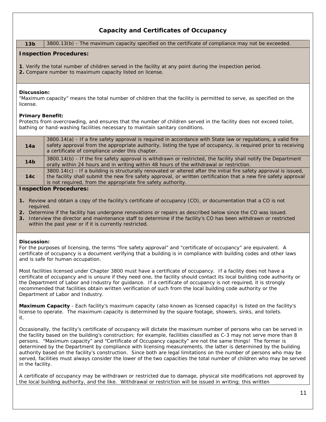# **Capacity and Certificates of Occupancy**

**13b** 3800.13(b) - The maximum capacity specified on the certificate of compliance may not be exceeded.

# **Inspection Procedures:**

- **1**. Verify the total number of children served in the facility at any point during the inspection period.
- **2.** Compare number to maximum capacity listed on license.

# **Discussion:**

"Maximum capacity" means the total number of children that the facility is permitted to serve, as specified on the license.

# **Primary Benefit:**

Protects from overcrowding, and ensures that the number of children served in the facility does not exceed toilet, bathing or hand-washing facilities necessary to maintain sanitary conditions.

| 14a             | 3800.14(a) - If a fire safety approval is required in accordance with State law or requiations, a valid fire<br>safety approval from the appropriate authority, listing the type of occupancy, is required prior to receiving<br>a certificate of compliance under this chapter.                      |  |  |
|-----------------|-------------------------------------------------------------------------------------------------------------------------------------------------------------------------------------------------------------------------------------------------------------------------------------------------------|--|--|
| 14 <sub>b</sub> | 3800.14(b) - If the fire safety approval is withdrawn or restricted, the facility shall notify the Department<br>orally within 24 hours and in writing within 48 hours of the withdrawal or restriction.                                                                                              |  |  |
| 14c             | 3800.14(c) - If a building is structurally renovated or altered after the initial fire safety approval is issued,<br>the facility shall submit the new fire safety approval, or written certification that a new fire safety approval<br>is not required, from the appropriate fire safety authority. |  |  |
|                 | Leonaetian Draaaduraa.                                                                                                                                                                                                                                                                                |  |  |

# **Inspection Procedures:**

- **1.** Review and obtain a copy of the facility's certificate of occupancy (CO), or documentation that a CO is not required.
- **2.** Determine if the facility has undergone renovations or repairs as described below since the CO was issued.
- **3.** Interview the director and maintenance staff to determine if the facility's CO has been withdrawn or restricted within the past year or if it is currently restricted.

# **Discussion:**

For the purposes of licensing, the terms "fire safety approval" and "certificate of occupancy" are equivalent. A certificate of occupancy is a document verifying that a building is in compliance with building codes and other laws and is safe for human occupation.

Most facilities licensed under Chapter 3800 must have a certificate of occupancy. If a facility does not have a certificate of occupancy and is unsure if they need one, the facility should contact its local building code authority or the Department of Labor and Industry for guidance. If a certificate of occupancy is not required, it is strongly recommended that facilities obtain written verification of such from the local building code authority or the Department of Labor and Industry.

**Maximum Capacity** - Each facility's maximum capacity (also known as licensed capacity) is listed on the facility's license to operate. The maximum capacity is determined by the square footage, showers, sinks, and toilets. it.

Occasionally, the facility's certificate of occupancy will dictate the maximum number of persons who can be served in the facility based on the building's construction; for example, facilities classified as C-3 may not serve more than 8 persons. "Maximum capacity" and "Certificate of Occupancy capacity" are not the same things! The former is determined by the Department by compliance with licensing measurements, the latter is determined by the building authority based on the facility's construction. Since both are legal limitations on the number of persons who may be served, facilities must always consider the lower of the two capacities the total number of children who may be served in the facility.

A certificate of occupancy may be withdrawn or restricted due to damage, physical site modifications not approved by the local building authority, and the like. Withdrawal or restriction will be issued in writing; this written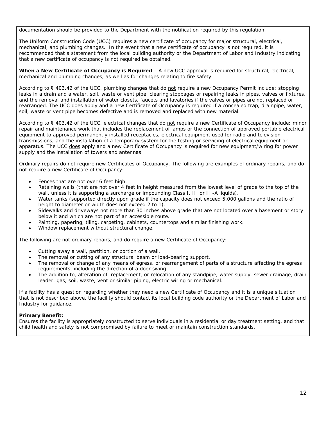documentation should be provided to the Department with the notification required by this regulation.

The Uniform Construction Code (UCC) requires a new certificate of occupancy for major structural, electrical, mechanical, and plumbing changes. In the event that a new certificate of occupancy is not required, it is recommended that a statement from the local building authority or the Department of Labor and Industry indicating that a new certificate of occupancy is not required be obtained.

**When a New Certificate of Occupancy is Required** – A new UCC approval is required for structural, electrical, mechanical and plumbing changes, as well as for changes relating to fire safety.

According to § 403.42 of the UCC, plumbing changes that do not require a new Occupancy Permit include: stopping leaks in a drain and a water, soil, waste or vent pipe, clearing stoppages or repairing leaks in pipes, valves or fixtures, and the removal and installation of water closets, faucets and lavatories if the valves or pipes are not replaced or rearranged. The UCC does apply and a new Certificate of Occupancy is required if a concealed trap, drainpipe, water, soil, waste or vent pipe becomes defective and is removed and replaced with new material.

According to § 403.42 of the UCC, electrical changes that do not require a new Certificate of Occupancy include: minor repair and maintenance work that includes the replacement of lamps or the connection of approved portable electrical equipment to approved permanently installed receptacles, electrical equipment used for radio and television transmissions, and the installation of a temporary system for the testing or servicing of electrical equipment or apparatus. The UCC does apply and a new Certificate of Occupancy is required for new equipment/wiring for power supply and the installation of towers and antennas.

Ordinary repairs do not require new Certificates of Occupancy. The following are examples of ordinary repairs, and do not require a new Certificate of Occupancy:

- Fences that are not over 6 feet high.
- Retaining walls (that are not over 4 feet in height measured from the lowest level of grade to the top of the wall, unless it is supporting a surcharge or impounding Class I, II, or III-A liquids).
- Water tanks (supported directly upon grade if the capacity does not exceed 5,000 gallons and the ratio of height to diameter or width does not exceed 2 to 1).
- Sidewalks and driveways not more than 30 inches above grade that are not located over a basement or story below it and which are not part of an accessible route.
- Painting, papering, tiling, carpeting, cabinets, countertops and similar finishing work.
- Window replacement without structural change.

The following are not ordinary repairs, and  $\underline{do}$  require a new Certificate of Occupancy:

- Cutting away a wall, partition, or portion of a wall.
- The removal or cutting of any structural beam or load-bearing support.
- The removal or change of any means of egress, or rearrangement of parts of a structure affecting the egress requirements, including the direction of a door swing.
- The addition to, alteration of, replacement, or relocation of any standpipe, water supply, sewer drainage, drain leader, gas, soil, waste, vent or similar piping, electric wiring or mechanical.

If a facility has a question regarding whether they need a new Certificate of Occupancy and it is a unique situation that is not described above, the facility should contact its local building code authority or the Department of Labor and Industry for guidance.

# **Primary Benefit:**

Ensures the facility is appropriately constructed to serve individuals in a residential or day treatment setting, and that child health and safety is not compromised by failure to meet or maintain construction standards.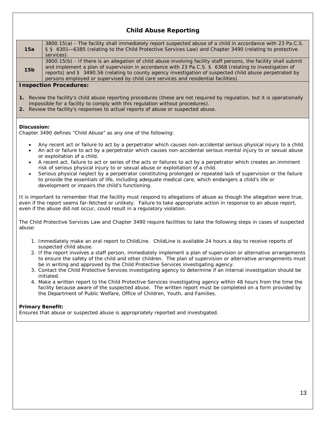# **Child Abuse Reporting**

| 15a                                                                                                                                                                                                                                                                                                         | 3800.15(a) - The facility shall immediately report suspected abuse of a child in accordance with 23 Pa.C.S.<br>§ § 6301-6385 (relating to the Child Protective Services Law) and Chapter 3490 (relating to protective<br>services).                                                                                                                                                                                          |  |
|-------------------------------------------------------------------------------------------------------------------------------------------------------------------------------------------------------------------------------------------------------------------------------------------------------------|------------------------------------------------------------------------------------------------------------------------------------------------------------------------------------------------------------------------------------------------------------------------------------------------------------------------------------------------------------------------------------------------------------------------------|--|
| 15 <sub>b</sub>                                                                                                                                                                                                                                                                                             | 3800.15(b) - If there is an allegation of child abuse involving facility staff persons, the facility shall submit<br>and implement a plan of supervision in accordance with 23 Pa.C.S. § 6368 (relating to investigation of<br>reports) and § 3490.56 (relating to county agency investigation of suspected child abuse perpetrated by<br>persons employed or supervised by child care services and residential facilities). |  |
|                                                                                                                                                                                                                                                                                                             | <b>Inspection Procedures:</b>                                                                                                                                                                                                                                                                                                                                                                                                |  |
|                                                                                                                                                                                                                                                                                                             | 1. Review the facility's child abuse reporting procedures (these are not required by regulation, but it is operationally<br>impossible for a facility to comply with this regulation without procedures).<br>2. Review the facility's responses to actual reports of abuse or suspected abuse.                                                                                                                               |  |
| Discussion:                                                                                                                                                                                                                                                                                                 | Chapter 3490 defines "Child Abuse" as any one of the following:                                                                                                                                                                                                                                                                                                                                                              |  |
| $\bullet$<br>$\bullet$                                                                                                                                                                                                                                                                                      | Any recent act or failure to act by a perpetrator which causes non-accidental serious physical injury to a child.<br>An act or failure to act by a perpetrator which causes non-accidental serious mental injury to or sexual abuse<br>or exploitation of a child.                                                                                                                                                           |  |
| $\bullet$<br>$\bullet$                                                                                                                                                                                                                                                                                      | A recent act, failure to act or series of the acts or failures to act by a perpetrator which creates an imminent<br>risk of serious physical injury to or sexual abuse or exploitation of a child.<br>Serious physical neglect by a perpetrator constituting prolonged or repeated lack of supervision or the failure                                                                                                        |  |
|                                                                                                                                                                                                                                                                                                             | to provide the essentials of life, including adequate medical care, which endangers a child's life or<br>development or impairs the child's functioning.                                                                                                                                                                                                                                                                     |  |
|                                                                                                                                                                                                                                                                                                             | It is important to remember that the facility must respond to allegations of abuse as though the allegation were true,<br>even if the report seems far-fetched or unlikely. Failure to take appropriate action in response to an abuse report,<br>even if the abuse did not occur, could result in a regulatory violation.                                                                                                   |  |
| abuse:                                                                                                                                                                                                                                                                                                      | The Child Protective Services Law and Chapter 3490 require facilities to take the following steps in cases of suspected                                                                                                                                                                                                                                                                                                      |  |
|                                                                                                                                                                                                                                                                                                             | 1. Immediately make an oral report to ChildLine. ChildLine is available 24 hours a day to receive reports of<br>suspected child abuse.                                                                                                                                                                                                                                                                                       |  |
|                                                                                                                                                                                                                                                                                                             | 2. If the report involves a staff person, immediately implement a plan of supervision or alternative arrangements<br>to ensure the safety of the child and other children. The plan of supervision or alternative arrangements must<br>be in writing and approved by the Child Protective Services investigating agency.                                                                                                     |  |
|                                                                                                                                                                                                                                                                                                             | 3. Contact the Child Protective Services investigating agency to determine if an internal investigation should be<br>initiated.                                                                                                                                                                                                                                                                                              |  |
| 4. Make a written report to the Child Protective Services investigating agency within 48 hours from the time the<br>facility because aware of the suspected abuse. The written report must be completed on a form provided by<br>the Department of Public Welfare, Office of Children, Youth, and Families. |                                                                                                                                                                                                                                                                                                                                                                                                                              |  |
| <b>Primary Benefit:</b><br>Ensures that abuse or suspected abuse is appropriately reported and investigated.                                                                                                                                                                                                |                                                                                                                                                                                                                                                                                                                                                                                                                              |  |
|                                                                                                                                                                                                                                                                                                             |                                                                                                                                                                                                                                                                                                                                                                                                                              |  |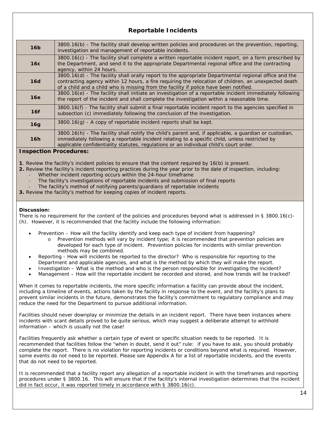# **Reportable Incidents**

| 16 <sub>b</sub> | 3800.16(b) - The facility shall develop written policies and procedures on the prevention, reporting,<br>investigation and management of reportable incidents.                                                                                                                                         |
|-----------------|--------------------------------------------------------------------------------------------------------------------------------------------------------------------------------------------------------------------------------------------------------------------------------------------------------|
| 16c             | 3800.16(c) - The facility shall complete a written reportable incident report, on a form prescribed by<br>the Department, and send it to the appropriate Departmental regional office and the contracting<br>agency, within 24 hours.                                                                  |
| 16d             | 3800.16(d) - The facility shall orally report to the appropriate Departmental regional office and the<br>contracting agency within 12 hours, a fire requiring the relocation of children, an unexpected death<br>of a child and a child who is missing from the facility if police have been notified. |
| 16e             | 3800.16(e) - The facility shall initiate an investigation of a reportable incident immediately following<br>the report of the incident and shall complete the investigation within a reasonable time.                                                                                                  |
| 16f             | 3800.16(f) - The facility shall submit a final reportable incident report to the agencies specified in<br>subsection (c) immediately following the conclusion of the investigation.                                                                                                                    |
| 16g             | $3800.16(g)$ - A copy of reportable incident reports shall be kept.                                                                                                                                                                                                                                    |
| 16h             | 3800.16(h) - The facility shall notify the child's parent and, if applicable, a guardian or custodian,<br>immediately following a reportable incident relating to a specific child, unless restricted by<br>applicable confidentiality statutes, regulations or an individual child's court order.     |

# **Inspection Procedures:**

**1**. Review the facility's incident policies to ensure that the content required by 16(b) is present.

- **2.** Review the facility's incident reporting practices during the year prior to the date of inspection, including:
	- ‐ Whether incident reporting occurs within the 24-hour timeframe
	- The facility's investigations of reportable incidents and submission of final reports
	- ‐ The facility's method of notifying parents/guardians of reportable incidents
- **3.** Review the facility's method for keeping copies of incident reports.

# **Discussion:**

There is no requirement for the content of the policies and procedures beyond what is addressed in § 3800.16(c)-(h). However, it is recommended that the facility include the following information:

- Prevention How will the facility identify and keep each type of incident from happening?
	- o Prevention methods will vary by incident type; it is recommended that prevention policies are developed for each type of incident. Prevention policies for incidents with similar prevention methods may be combined.
- Reporting How will incidents be reported to the director? Who is responsible for reporting to the Department and applicable agencies, and what is the method by which they will make the report.
- Investigation What is the method and who is the person responsible for investigating the incident?
- Management How will the reportable incident be recorded and stored, and how trends will be tracked?

When it comes to reportable incidents, the more specific information a facility can provide about the incident, including a timeline of events, actions taken by the facility in response to the event, and the facility's plans to prevent similar incidents in the future, demonstrates the facility's commitment to regulatory compliance and may reduce the need for the Department to pursue additional information.

Facilities should never downplay or minimize the details in an incident report. There have been instances where incidents with scant details proved to be quite serious, which may suggest a deliberate attempt to withhold information – which is usually not the case!

Facilities frequently ask whether a certain type of event or specific situation needs to be reported. It is recommended that facilities follow the "when in doubt, send it out" rule: if you have to ask, you should probably complete the report. There is no violation for reporting incidents or conditions beyond what is required. However, some events do not need to be reported. Please see Appendix A for a list of reportable incidents, and the events that do not need to be reported.

It is recommended that a facility report any *allegation* of a reportable incident in with the timeframes and reporting procedures under § 3800.16. This will ensure that if the facility's internal investigation determines that the incident did in fact occur, it was reported timely in accordance with  $\S$  3800.16(c).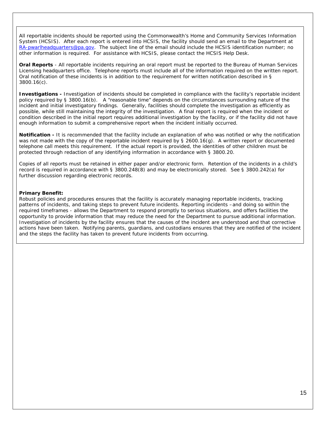All reportable incidents should be reported using the Commonwealth's Home and Community Services Information System (HCSIS). After each report is entered into HCSIS, the facility should send an email to the Department at RA-pwarlheadquarters@pa.gov. The subject line of the email should include the HCSIS identification number; no other information is required. For assistance with HCSIS, please contact the HCSIS Help Desk.

**Oral Reports** - All reportable incidents requiring an oral report must be reported to the Bureau of Human Services Licensing headquarters office. Telephone reports must include all of the information required on the written report. Oral notification of these incidents is in addition to the requirement for written notification described in § 3800.16(c).

**Investigations -** Investigation of incidents should be completed in compliance with the facility's reportable incident policy required by § 3800.16(b). A "reasonable time" depends on the circumstances surrounding nature of the incident and initial investigatory findings. Generally, facilities should complete the investigation as efficiently as possible, while still maintaining the integrity of the investigation. A final report is required when the incident or condition described in the initial report requires additional investigation by the facility, or if the facility did not have enough information to submit a comprehensive report when the incident initially occurred.

**Notification -** It is recommended that the facility include an explanation of who was notified or why the notification was not made with the copy of the reportable incident required by § 2600.16(g). A written report or documented telephone call meets this requirement. If the actual report is provided, the identities of other children must be protected through redaction of any identifying information in accordance with § 3800.20.

Copies of all reports must be retained in either paper and/or electronic form. Retention of the incidents in a child's record is required in accordance with § 3800.248(8) and may be electronically stored. See § 3800.242(a) for further discussion regarding electronic records.

# **Primary Benefit:**

Robust policies and procedures ensures that the facility is accurately managing reportable incidents, tracking patterns of incidents, and taking steps to prevent future incidents. Reporting incidents –and doing so within the required timeframes - allows the Department to respond promptly to serious situations, and offers facilities the opportunity to provide information that may reduce the need for the Department to pursue additional information. Investigation of incidents by the facility ensures that the causes of the incident are understood and that corrective actions have been taken. Notifying parents, guardians, and custodians ensures that they are notified of the incident and the steps the facility has taken to prevent future incidents from occurring.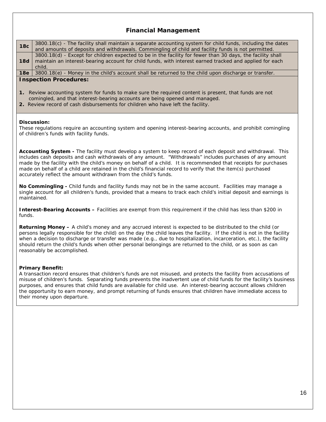# **Financial Management**

| <b>18c</b> | 3800.18(c) - The facility shall maintain a separate accounting system for child funds, including the dates<br>and amounts of deposits and withdrawals. Commingling of child and facility funds is not permitted.                |
|------------|---------------------------------------------------------------------------------------------------------------------------------------------------------------------------------------------------------------------------------|
| <b>18d</b> | 3800.18(d) - Except for children expected to be in the facility for fewer than 30 days, the facility shall<br>maintain an interest-bearing account for child funds, with interest earned tracked and applied for each<br>child. |
| 18e        | $3800.18(e)$ - Money in the child's account shall be returned to the child upon discharge or transfer.                                                                                                                          |

# **Inspection Procedures:**

- **1.** Review accounting system for funds to make sure the required content is present, that funds are not comingled, and that interest-bearing accounts are being opened and managed.
- **2.** Review record of cash disbursements for children who have left the facility.

#### **Discussion:**

These regulations require an accounting system and opening interest-bearing accounts, and prohibit comingling of children's funds with facility funds.

**Accounting System -** The facility must develop a system to keep record of each deposit and withdrawal. This includes cash deposits and cash withdrawals of any amount. "Withdrawals" includes purchases of any amount made by the facility with the child's money on behalf of a child. It is recommended that receipts for purchases made on behalf of a child are retained in the child's financial record to verify that the item(s) purchased accurately reflect the amount withdrawn from the child's funds.

**No Commingling -** Child funds and facility funds may not be in the same account. Facilities may manage a single account for all children's funds, provided that a means to track each child's initial deposit and earnings is maintained.

**Interest-Bearing Accounts –** Facilities are exempt from this requirement if the child has less than \$200 in funds.

**Returning Money –** A child's money and any accrued interest is expected to be distributed to the child (or persons legally responsible for the child) on the day the child leaves the facility. If the child is not in the facility when a decision to discharge or transfer was made (e.g., due to hospitalization, incarceration, etc.), the facility should return the child's funds when other personal belongings are returned to the child, or as soon as can reasonably be accomplished.

# **Primary Benefit:**

A transaction record ensures that children's funds are not misused, and protects the facility from accusations of misuse of children's funds. Separating funds prevents the inadvertent use of child funds for the facility's business purposes, and ensures that child funds are available for child use. An interest-bearing account allows children the opportunity to earn money, and prompt returning of funds ensures that children have immediate access to their money upon departure.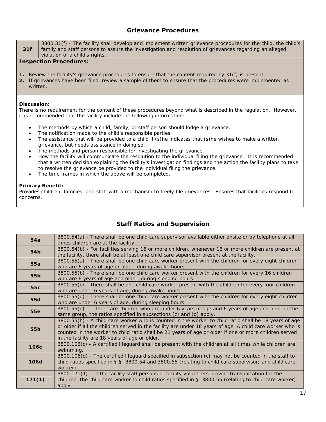# **Grievance Procedures**

**31f** 3800.31(f) - The facility shall develop and implement written grievance procedures for the child, the child's family and staff persons to assure the investigation and resolution of grievances regarding an alleged violation of a child's rights.

# **Inspection Procedures:**

- **1.** Review the facility's grievance procedures to ensure that the content required by 31(f) is present.
- **2.** If grievances have been filed, review a sample of them to ensure that the procedures were implemented as written.

#### **Discussion:**

There is no requirement for the content of these procedures beyond what is described in the regulation. However, it is recommended that the facility include the following information:

- The methods by which a child, family, or staff person should lodge a grievance.
- The notification made to the child's responsible parties.
- The assistance that will be provided to a child if (s)he indicates that (s)he wishes to make a written grievance, but needs assistance in doing so.
- The methods and person responsible for investigating the grievance.
- How the facility will communicate the resolution to the individual filing the grievance. It is recommended that a written decision explaining the facility's investigation findings and the action the facility plans to take to resolve the grievance be provided to the individual filing the grievance.
- The time frames in which the above will be completed.

#### **Primary Benefit:**

Provides children, families, and staff with a mechanism to freely file grievances. Ensures that facilities respond to concerns.

| 54a              | 3800.54(a) - There shall be one child care supervisor available either onsite or by telephone at all<br>times children are at the facility. |
|------------------|---------------------------------------------------------------------------------------------------------------------------------------------|
|                  |                                                                                                                                             |
| 54 <sub>b</sub>  | 3800.54(b) - For facilities serving 16 or more children, whenever 16 or more children are present at                                        |
|                  | the facility, there shall be at least one child care supervisor present at the facility.                                                    |
| 55a              | 3800.55(a) - There shall be one child care worker present with the children for every eight children                                        |
|                  | who are 6 years of age or older, during awake hours.                                                                                        |
|                  | 3800.55(b) - There shall be one child care worker present with the children for every 16 children                                           |
| 55b              | who are 6 years of age and older, during sleeping hours.                                                                                    |
|                  | 3800.55(c) - There shall be one child care worker present with the children for every four children                                         |
| 55c              | who are under 6 years of age, during awake hours.                                                                                           |
|                  | 3800.55(d) - There shall be one child care worker present with the children for every eight children                                        |
| 55d              |                                                                                                                                             |
|                  | who are under 6 years of age, during sleeping hours.                                                                                        |
| <b>55e</b>       | 3800.55(e) - If there are children who are under 6 years of age and 6 years of age and older in the                                         |
|                  | same group, the ratios specified in subsections (c) and (d) apply.                                                                          |
|                  | 3800.55(h) - A child care worker who is counted in the worker to child ratio shall be 18 years of age                                       |
| 55h              | or older if all the children served in the facility are under 18 years of age. A child care worker who is                                   |
|                  | counted in the worker to child ratio shall be 21 years of age or older if one or more children served                                       |
|                  | in the facility are 18 years of age or older.                                                                                               |
|                  | 3800.106(c) - A certified lifeguard shall be present with the children at all times while children are                                      |
| 106 <sub>c</sub> | swimming.                                                                                                                                   |
|                  | 3800.106(d) - The certified lifeguard specified in subsection (c) may not be counted in the staff to                                        |
| <b>106d</b>      | child ratios specified in § § 3800.54 and 3800.55 (relating to child care supervisor; and child care                                        |
|                  | worker).                                                                                                                                    |
|                  |                                                                                                                                             |
|                  | 3800.171(1) - If the facility staff persons or facility volunteers provide transportation for the                                           |
| 171(1)           | children, the child care worker to child ratios specified in $\S$ 3800.55 (relating to child care worker)                                   |
|                  | apply.                                                                                                                                      |
|                  |                                                                                                                                             |

# **Staff Ratios and Supervision**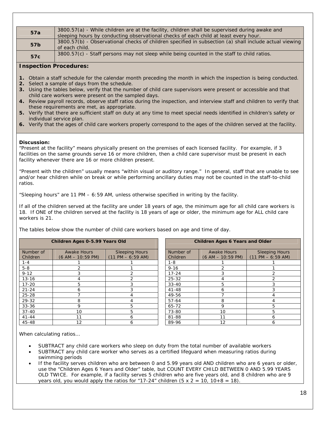| 57a             | 3800.57(a) - While children are at the facility, children shall be supervised during awake and         |
|-----------------|--------------------------------------------------------------------------------------------------------|
|                 | sleeping hours by conducting observational checks of each child at least every hour.                   |
| 57 <sub>b</sub> | 3800.57(b) - Observational checks of children specified in subsection (a) shall include actual viewing |
|                 | of each child.                                                                                         |
| 57c             | 3800.57(c) - Staff persons may not sleep while being counted in the staff to child ratios.             |
|                 |                                                                                                        |

# **Inspection Procedures:**

- **1.** Obtain a staff schedule for the calendar month preceding the month in which the inspection is being conducted.
- **2.** Select a sample of days from the schedule.
- **3.** Using the tables below, verify that the number of child care supervisors were present or accessible and that child care workers were present on the sampled days.
- **4.** Review payroll records, observe staff ratios during the inspection, and interview staff and children to verify that these requirements are met, as appropriate.
- **5.** Verify that there are sufficient staff on duty at any time to meet special needs identified in children's safety or individual service plan.
- **6.** Verify that the ages of child care workers properly correspond to the ages of the children served at the facility.

# **Discussion:**

"Present at the facility" means physically present on the premises of each licensed facility. For example, if 3 facilities on the same grounds serve 16 or more children, then a child care supervisor must be present in each facility whenever there are 16 or more children present.

"Present with the children" usually means "within visual or auditory range." In general, staff that are unable to see and/or hear children while on break or while performing ancillary duties may not be counted in the staff-to-child ratios.

"Sleeping hours" are 11 PM – 6:59 AM, unless otherwise specified in writing by the facility.

If all of the children served at the facility are under 18 years of age, the minimum age for all child care workers is 18. If ONE of the children served at the facility is 18 years of age or older, the minimum age for ALL child care workers is 21.

The tables below show the number of child care workers based on age and time of day.

| Children Ages 0-5.99 Years Old |                                           |                                              | <b>Children Ages 6 Years and Older</b> |                                           |                                              |
|--------------------------------|-------------------------------------------|----------------------------------------------|----------------------------------------|-------------------------------------------|----------------------------------------------|
| Number of<br>Children          | <b>Awake Hours</b><br>$(6 AM - 10:59 PM)$ | <b>Sleeping Hours</b><br>$(11 PM - 6:59 AM)$ | Number of<br>Children                  | <b>Awake Hours</b><br>$(6 AM - 10:59 PM)$ | <b>Sleeping Hours</b><br>$(11 PM - 6:59 AM)$ |
| $1 - 4$                        |                                           |                                              | $1 - 8$                                |                                           |                                              |
| $5 - 8$                        |                                           |                                              | $9 - 16$                               |                                           |                                              |
| $9 - 12$                       |                                           | っ                                            | $17 - 24$                              | 3                                         |                                              |
| $13 - 16$                      |                                           |                                              | $25 - 32$                              |                                           |                                              |
| $17 - 20$                      | 5                                         |                                              | $33 - 40$                              | 5                                         |                                              |
| $21 - 24$                      | 6                                         |                                              | $41 - 48$                              | 6                                         |                                              |
| $25 - 28$                      |                                           |                                              | 49-56                                  |                                           |                                              |
| 29-32                          | 8                                         |                                              | $57 - 64$                              | 8                                         |                                              |
| $33 - 36$                      | 9                                         | 5.                                           | 65-72                                  | 9                                         | 5                                            |
| $37 - 40$                      | 10                                        | 5                                            | 73-80                                  | 10                                        | 5                                            |
| $41 - 44$                      | 11                                        | 6                                            | 81-88                                  | 11                                        | 6                                            |
| 45-48                          | 12                                        | 6                                            | 89-96                                  | 12                                        | 6                                            |

When calculating ratios…

- SUBTRACT any child care workers who sleep on duty from the total number of available workers
- SUBTRACT any child care worker who serves as a certified lifeguard when measuring ratios during swimming periods
- If the facility serves children who are between 0 and 5.99 years old AND children who are 6 years or older, use the "Children Ages 6 Years and Older" table, but COUNT EVERY CHILD BETWEEN 0 AND 5.99 YEARS OLD TWICE. For example, if a facility serves 5 children who are five years old, and 8 children who are 9 years old, you would apply the ratios for "17-24" children  $(5 \times 2 = 10, 10+8 = 18)$ .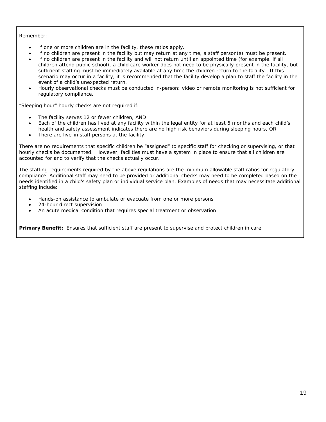#### Remember:

- If one or more children are in the facility, these ratios apply.
- If no children are present in the facility but may return at any time, a staff person(s) must be present.
- If no children are present in the facility and will not return until an appointed time (for example, if all children attend public school), a child care worker does not need to be physically present in the facility, but sufficient staffing must be immediately available at any time the children return to the facility. If this scenario may occur in a facility, it is recommended that the facility develop a plan to staff the facility in the event of a child's unexpected return.
- Hourly observational checks must be conducted in-person; video or remote monitoring is not sufficient for regulatory compliance.

"Sleeping hour" hourly checks are not required if:

- The facility serves 12 or fewer children, AND
- Each of the children has lived at any facility within the legal entity for at least 6 months and each child's health and safety assessment indicates there are no high risk behaviors during sleeping hours, OR
- There are live-in staff persons at the facility.

There are no requirements that specific children be "assigned" to specific staff for checking or supervising, or that hourly checks be documented. However, facilities must have a system in place to ensure that all children are accounted for and to verify that the checks actually occur.

The staffing requirements required by the above regulations are the minimum allowable staff ratios for regulatory compliance. Additional staff may need to be provided or additional checks may need to be completed based on the needs identified in a child's safety plan or individual service plan. Examples of needs that may necessitate additional staffing include:

- Hands-on assistance to ambulate or evacuate from one or more persons
- 24-hour direct supervision
- An acute medical condition that requires special treatment or observation

**Primary Benefit:** Ensures that sufficient staff are present to supervise and protect children in care.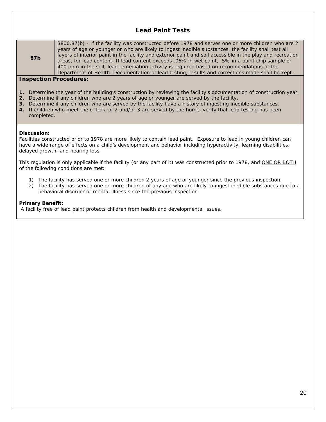# **Lead Paint Tests**

3800.87(b) - If the facility was constructed before 1978 and serves one or more children who are 2 years of age or younger or who are likely to ingest inedible substances, the facility shall test all layers of interior paint in the facility and exterior paint and soil accessible in the play and recreation areas, for lead content. If lead content exceeds .06% in wet paint, .5% in a paint chip sample or 400 ppm in the soil, lead remediation activity is required based on recommendations of the Department of Health. Documentation of lead testing, results and corrections made shall be kept.

# **Inspection Procedures:**

- **1.** Determine the year of the building's construction by reviewing the facility's documentation of construction year.
- **2.** Determine if any children who are 2 years of age or younger are served by the facility.
- **3.** Determine if any children who are served by the facility have a history of ingesting inedible substances.
- **4.** If children who meet the criteria of 2 and/or 3 are served by the home, verify that lead testing has been completed.

#### **Discussion:**

**87b**

Facilities constructed prior to 1978 are more likely to contain lead paint. Exposure to lead in young children can have a wide range of effects on a child's development and behavior including hyperactivity, learning disabilities, delayed growth, and hearing loss.

This regulation is only applicable if the facility (or any part of it) was constructed prior to 1978, and ONE OR BOTH of the following conditions are met:

- 1) The facility has served one or more children 2 years of age or younger since the previous inspection.
- 2) The facility has served one or more children of any age who are likely to ingest inedible substances due to a behavioral disorder or mental illness since the previous inspection.

#### **Primary Benefit:**

A facility free of lead paint protects children from health and developmental issues.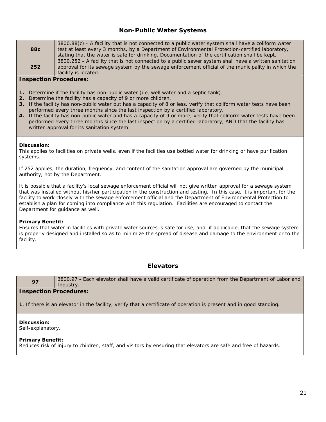# **Non-Public Water Systems**

| 88 <sub>c</sub>                                                                                                                                                                                                                                                                                                                                                                                                                                                                                                       | 3800.88(c) - A facility that is not connected to a public water system shall have a coliform water<br>test at least every 3 months, by a Department of Environmental Protection-certified laboratory,<br>stating that the water is safe for drinking. Documentation of the certification shall be kept.                                                                                                                                                                                                                                                                                                                                                    |  |
|-----------------------------------------------------------------------------------------------------------------------------------------------------------------------------------------------------------------------------------------------------------------------------------------------------------------------------------------------------------------------------------------------------------------------------------------------------------------------------------------------------------------------|------------------------------------------------------------------------------------------------------------------------------------------------------------------------------------------------------------------------------------------------------------------------------------------------------------------------------------------------------------------------------------------------------------------------------------------------------------------------------------------------------------------------------------------------------------------------------------------------------------------------------------------------------------|--|
| 252                                                                                                                                                                                                                                                                                                                                                                                                                                                                                                                   | 3800.252 - A facility that is not connected to a public sewer system shall have a written sanitation<br>approval for its sewage system by the sewage enforcement official of the municipality in which the<br>facility is located.                                                                                                                                                                                                                                                                                                                                                                                                                         |  |
| <b>Inspection Procedures:</b>                                                                                                                                                                                                                                                                                                                                                                                                                                                                                         |                                                                                                                                                                                                                                                                                                                                                                                                                                                                                                                                                                                                                                                            |  |
|                                                                                                                                                                                                                                                                                                                                                                                                                                                                                                                       |                                                                                                                                                                                                                                                                                                                                                                                                                                                                                                                                                                                                                                                            |  |
|                                                                                                                                                                                                                                                                                                                                                                                                                                                                                                                       | 1. Determine if the facility has non-public water (i.e, well water and a septic tank).<br>2. Determine the facility has a capacity of 9 or more children.<br>3. If the facility has non-public water but has a capacity of 8 or less, verify that coliform water tests have been<br>performed every three months since the last inspection by a certified laboratory.<br>4. If the facility has non-public water and has a capacity of 9 or more, verify that coliform water tests have been<br>performed every three months since the last inspection by a certified laboratory, AND that the facility has<br>written approval for its sanitation system. |  |
|                                                                                                                                                                                                                                                                                                                                                                                                                                                                                                                       |                                                                                                                                                                                                                                                                                                                                                                                                                                                                                                                                                                                                                                                            |  |
| Discussion:<br>systems.                                                                                                                                                                                                                                                                                                                                                                                                                                                                                               | This applies to facilities on private wells, even if the facilities use bottled water for drinking or have purification                                                                                                                                                                                                                                                                                                                                                                                                                                                                                                                                    |  |
|                                                                                                                                                                                                                                                                                                                                                                                                                                                                                                                       | If 252 applies, the duration, frequency, and content of the sanitation approval are governed by the municipal<br>authority, not by the Department.                                                                                                                                                                                                                                                                                                                                                                                                                                                                                                         |  |
| It is possible that a facility's local sewage enforcement official will not give written approval for a sewage system<br>that was installed without his/her participation in the construction and testing. In this case, it is important for the<br>facility to work closely with the sewage enforcement official and the Department of Environmental Protection to<br>establish a plan for coming into compliance with this regulation. Facilities are encouraged to contact the<br>Department for guidance as well. |                                                                                                                                                                                                                                                                                                                                                                                                                                                                                                                                                                                                                                                            |  |
| <b>Primary Benefit:</b><br>facility.                                                                                                                                                                                                                                                                                                                                                                                                                                                                                  | Ensures that water in facilities with private water sources is safe for use, and, if applicable, that the sewage system<br>is properly designed and installed so as to minimize the spread of disease and damage to the environment or to the                                                                                                                                                                                                                                                                                                                                                                                                              |  |
|                                                                                                                                                                                                                                                                                                                                                                                                                                                                                                                       |                                                                                                                                                                                                                                                                                                                                                                                                                                                                                                                                                                                                                                                            |  |
| <b>Elevators</b>                                                                                                                                                                                                                                                                                                                                                                                                                                                                                                      |                                                                                                                                                                                                                                                                                                                                                                                                                                                                                                                                                                                                                                                            |  |
| 97                                                                                                                                                                                                                                                                                                                                                                                                                                                                                                                    | 3800.97 - Each elevator shall have a valid certificate of operation from the Department of Labor and<br>Industry.                                                                                                                                                                                                                                                                                                                                                                                                                                                                                                                                          |  |
| <b>Inspection Procedures:</b>                                                                                                                                                                                                                                                                                                                                                                                                                                                                                         |                                                                                                                                                                                                                                                                                                                                                                                                                                                                                                                                                                                                                                                            |  |
| 1. If there is an elevator in the facility, verify that a certificate of operation is present and in good standing.                                                                                                                                                                                                                                                                                                                                                                                                   |                                                                                                                                                                                                                                                                                                                                                                                                                                                                                                                                                                                                                                                            |  |
| Discussion:<br>Self-explanatory.                                                                                                                                                                                                                                                                                                                                                                                                                                                                                      |                                                                                                                                                                                                                                                                                                                                                                                                                                                                                                                                                                                                                                                            |  |
| <b>Primary Benefit:</b><br>Reduces risk of injury to children, staff, and visitors by ensuring that elevators are safe and free of hazards.                                                                                                                                                                                                                                                                                                                                                                           |                                                                                                                                                                                                                                                                                                                                                                                                                                                                                                                                                                                                                                                            |  |
|                                                                                                                                                                                                                                                                                                                                                                                                                                                                                                                       |                                                                                                                                                                                                                                                                                                                                                                                                                                                                                                                                                                                                                                                            |  |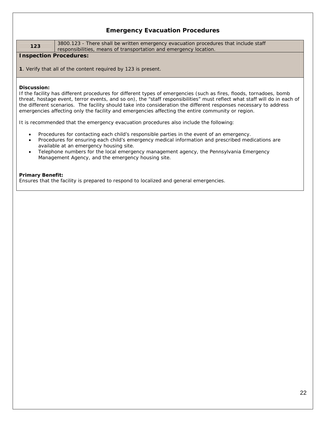# **Emergency Evacuation Procedures**

123 3800.123 - There shall be written emergency evacuation procedures that include staff responsibilities, means of transportation and emergency location.

# **Inspection Procedures:**

**1**. Verify that all of the content required by 123 is present.

#### **Discussion:**

If the facility has different procedures for different types of emergencies (such as fires, floods, tornadoes, bomb threat, hostage event, terror events, and so on), the "staff responsibilities" must reflect what staff will do in each of the different scenarios. The facility should take into consideration the different responses necessary to address emergencies affecting only the facility and emergencies affecting the entire community or region.

It is recommended that the emergency evacuation procedures also include the following:

- Procedures for contacting each child's responsible parties in the event of an emergency.
- Procedures for ensuring each child's emergency medical information and prescribed medications are available at an emergency housing site.
- Telephone numbers for the local emergency management agency, the Pennsylvania Emergency Management Agency, and the emergency housing site.

#### **Primary Benefit:**

Ensures that the facility is prepared to respond to localized and general emergencies.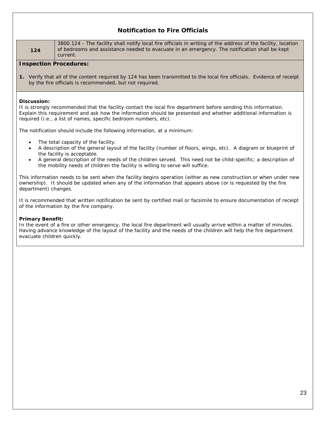# **Notification to Fire Officials**

**124**

3800.124 - The facility shall notify local fire officials in writing of the address of the facility, location of bedrooms and assistance needed to evacuate in an emergency. The notification shall be kept current.

# **Inspection Procedures:**

**1.** Verify that all of the content required by 124 has been transmitted to the local fire officials. Evidence of receipt by the fire officials is recommended, but not required.

#### **Discussion:**

It is strongly recommended that the facility contact the local fire department before sending this information. Explain this requirement and ask how the information should be presented and whether additional information is required (i.e., a list of names, specific bedroom numbers, etc).

The notification should include the following information, at a minimum:

- The total capacity of the facility.
- A description of the general layout of the facility (number of floors, wings, etc). A diagram or blueprint of the facility is acceptable.
- A general description of the needs of the children served. This need not be child-specific; a description of the mobility needs of children the facility is willing to serve will suffice.

This information needs to be sent when the facility begins operation (either as new construction or when under new ownership). It should be updated when any of the information that appears above (or is requested by the fire department) changes.

It is recommended that written notification be sent by certified mail or facsimile to ensure documentation of receipt of the information by the fire company.

# **Primary Benefit:**

In the event of a fire or other emergency, the local fire department will usually arrive within a matter of minutes. Having advance knowledge of the layout of the facility and the needs of the children will help the fire department evacuate children quickly.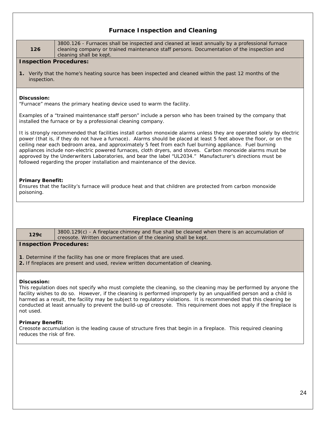# **Furnace Inspection and Cleaning**

| 126                                   | 3800.126 - Furnaces shall be inspected and cleaned at least annually by a professional furnace<br>cleaning company or trained maintenance staff persons. Documentation of the inspection and<br>cleaning shall be kept.                                                                                                                                                                                                                                                                                                                                                                                                                                        |
|---------------------------------------|----------------------------------------------------------------------------------------------------------------------------------------------------------------------------------------------------------------------------------------------------------------------------------------------------------------------------------------------------------------------------------------------------------------------------------------------------------------------------------------------------------------------------------------------------------------------------------------------------------------------------------------------------------------|
| <b>Inspection Procedures:</b>         |                                                                                                                                                                                                                                                                                                                                                                                                                                                                                                                                                                                                                                                                |
| inspection.                           | 1. Verify that the home's heating source has been inspected and cleaned within the past 12 months of the                                                                                                                                                                                                                                                                                                                                                                                                                                                                                                                                                       |
| Discussion:                           | "Furnace" means the primary heating device used to warm the facility.                                                                                                                                                                                                                                                                                                                                                                                                                                                                                                                                                                                          |
|                                       | Examples of a "trained maintenance staff person" include a person who has been trained by the company that<br>installed the furnace or by a professional cleaning company.                                                                                                                                                                                                                                                                                                                                                                                                                                                                                     |
|                                       | It is strongly recommended that facilities install carbon monoxide alarms unless they are operated solely by electric<br>power (that is, if they do not have a furnace). Alarms should be placed at least 5 feet above the floor, or on the<br>ceiling near each bedroom area, and approximately 5 feet from each fuel burning appliance. Fuel burning<br>appliances include non-electric powered furnaces, cloth dryers, and stoves. Carbon monoxide alarms must be<br>approved by the Underwriters Laboratories, and bear the label "UL2034." Manufacturer's directions must be<br>followed regarding the proper installation and maintenance of the device. |
| <b>Primary Benefit:</b><br>poisoning. | Ensures that the facility's furnace will produce heat and that children are protected from carbon monoxide                                                                                                                                                                                                                                                                                                                                                                                                                                                                                                                                                     |
|                                       | <b>Fireplace Cleaning</b>                                                                                                                                                                                                                                                                                                                                                                                                                                                                                                                                                                                                                                      |
| 129c                                  | 3800.129(c) - A fireplace chimney and flue shall be cleaned when there is an accumulation of<br>creosote. Written documentation of the cleaning shall be kept.                                                                                                                                                                                                                                                                                                                                                                                                                                                                                                 |
| <b>Inspection Procedures:</b>         |                                                                                                                                                                                                                                                                                                                                                                                                                                                                                                                                                                                                                                                                |
|                                       | 1. Determine if the facility has one or more fireplaces that are used.<br>2. If fireplaces are present and used, review written documentation of cleaning.                                                                                                                                                                                                                                                                                                                                                                                                                                                                                                     |
| Discussion:<br>not used.              | This regulation does not specify who must complete the cleaning, so the cleaning may be performed by anyone the<br>facility wishes to do so. However, if the cleaning is performed improperly by an unqualified person and a child is<br>harmed as a result, the facility may be subject to regulatory violations. It is recommended that this cleaning be<br>conducted at least annually to prevent the build-up of creosote. This requirement does not apply if the fireplace is                                                                                                                                                                             |

# **Primary Benefit:**

Creosote accumulation is the leading cause of structure fires that begin in a fireplace. This required cleaning reduces the risk of fire.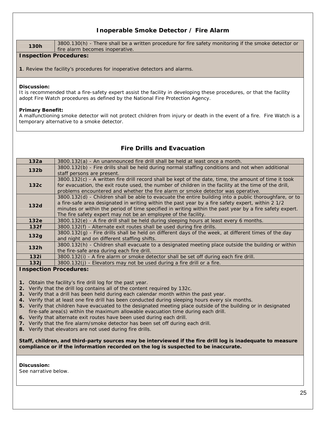# **Inoperable Smoke Detector / Fire Alarm**

| <b>130h</b> | 3800.130(h) - There shall be a written procedure for fire safety monitoring if the smoke detector or |
|-------------|------------------------------------------------------------------------------------------------------|
|             | fire alarm becomes inoperative.                                                                      |
|             |                                                                                                      |

# **Inspection Procedures:**

**1**. Review the facility's procedures for inoperative detectors and alarms.

# **Discussion:**

It is recommended that a fire-safety expert assist the facility in developing these procedures, or that the facility adopt Fire Watch procedures as defined by the National Fire Protection Agency.

# **Primary Benefit:**

A malfunctioning smoke detector will not protect children from injury or death in the event of a fire. Fire Watch is a temporary alternative to a smoke detector.

# **Fire Drills and Evacuation**

| 132a             | 3800.132(a) - An unannounced fire drill shall be held at least once a month.                            |
|------------------|---------------------------------------------------------------------------------------------------------|
| 132 <sub>b</sub> | 3800.132(b) - Fire drills shall be held during normal staffing conditions and not when additional       |
|                  | staff persons are present.                                                                              |
|                  | 3800.132(c) - A written fire drill record shall be kept of the date, time, the amount of time it took   |
| 132c             | for evacuation, the exit route used, the number of children in the facility at the time of the drill,   |
|                  | problems encountered and whether the fire alarm or smoke detector was operative.                        |
|                  | 3800.132(d) - Children shall be able to evacuate the entire building into a public thoroughfare, or to  |
| 132d             | a fire-safe area designated in writing within the past year by a fire safety expert, within 2 1/2       |
|                  | minutes or within the period of time specified in writing within the past year by a fire safety expert. |
|                  | The fire safety expert may not be an employee of the facility.                                          |
| 132e             | 3800.132(e) - A fire drill shall be held during sleeping hours at least every 6 months.                 |
| 132f             | 3800.132(f) - Alternate exit routes shall be used during fire drills.                                   |
| 132g             | 3800.132(g) - Fire drills shall be held on different days of the week, at different times of the day    |
|                  | and night and on different staffing shifts.                                                             |
| 132h             | 3800.132(h) - Children shall evacuate to a designated meeting place outside the building or within      |
|                  | the fire-safe area during each fire drill.                                                              |
| 132i             | 3800.132(i) - A fire alarm or smoke detector shall be set off during each fire drill.                   |
| 132j             | 3800.132(j) - Elevators may not be used during a fire drill or a fire.                                  |

# **Inspection Procedures:**

- **1.** Obtain the facility's fire drill log for the past year.
- **2.** Verify that the drill log contains all of the content required by 132c.
- **3.** Verify that a drill has been held during each calendar month within the past year.
- **4.** Verify that at least one fire drill has been conducted during sleeping hours every six months.
- **5.** Verify that children have evacuated to the designated meeting place outside of the building or in designated fire-safe area(s) within the maximum allowable evacuation time during each drill.
- **6.** Verify that alternate exit routes have been used during each drill.
- **7.** Verify that the fire alarm/smoke detector has been set off during each drill.
- **8.** Verify that elevators are not used during fire drills.

**Staff, children, and third-party sources may be interviewed if the fire drill log is inadequate to measure compliance or if the information recorded on the log is suspected to be inaccurate.** 

#### **Discussion:**

See narrative below.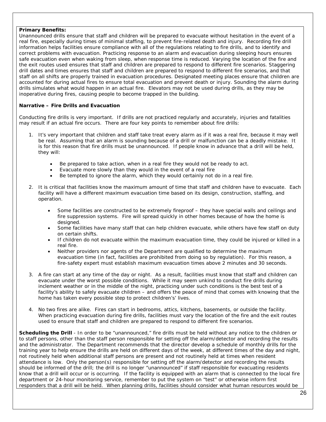# **Primary Benefits:**

Unannounced drills ensure that staff and children will be prepared to evacuate without hesitation in the event of a real fire, especially during times of minimal staffing, to prevent fire-related death and injury. Recording fire drill information helps facilities ensure compliance with all of the regulations relating to fire drills, and to identify and correct problems with evacuation. Practicing response to an alarm and evacuation during sleeping hours ensures safe evacuation even when waking from sleep, when response time is reduced. Varying the location of the fire and the exit routes used ensures that staff and children are prepared to respond to different fire scenarios. Staggering drill dates and times ensures that staff and children are prepared to respond to different fire scenarios, and that staff on all shifts are properly trained in evacuation procedures. Designated meeting places ensure that children are accounted for during actual fires to ensure total evacuation and prevent death or injury. Sounding the alarm during drills simulates what would happen in an actual fire. Elevators may not be used during drills, as they may be inoperative during fires, causing people to become trapped in the building.

# **Narrative – Fire Drills and Evacuation**

Conducting fire drills is very important. If drills are not practiced regularly and accurately, injuries and fatalities may result if an actual fire occurs. There are four key points to remember about fire drills:

- 1. It's very important that children and staff take treat every alarm as if it was a real fire, because it *may well be real*. Assuming that an alarm is sounding because of a drill or malfunction can be a deadly mistake. It is for this reason that fire drills must be unannounced. If people know in advance that a drill will be held, they will:
	- Be prepared to take action, when in a real fire they would not be ready to act.
	- Evacuate more slowly than they would in the event of a real fire
	- Be tempted to ignore the alarm, which they would certainly not do in a real fire.
- 2. It is critical that facilities know the maximum amount of time that staff and children have to evacuate. Each facility will have a different maximum evacuation time based on its design, construction, staffing, and operation.
	- Some facilities are constructed to be extremely fireproof they have special walls and ceilings and fire suppression systems. Fire will spread quickly in other homes because of how the home is designed.
	- Some facilities have many staff that can help children evacuate, while others have few staff on duty on certain shifts.
	- If children do not evacuate within the maximum evacuation time, they could be injured or killed in a real fire.
	- Neither providers nor agents of the Department are qualified to determine the maximum evacuation time (in fact, facilities are prohibited from doing so by regulation). For this reason, a fire-safety expert must establish maximum evacuation times above 2 minutes and 30 seconds.
- 3. A fire can start at any time of the day or night. As a result, facilities must know that staff and children can evacuate under the worst possible conditions. While it may seem unkind to conduct fire drills during inclement weather or in the middle of the night, practicing under such conditions is the best test of a facility's ability to safely evacuate children – and offers the peace of mind that comes with knowing that the home has taken every possible step to protect children's' lives.
- 4. No two fires are alike. Fires can start in bedrooms, attics, kitchens, basements, or outside the facility. When practicing evacuation during fire drills, facilities must vary the location of the fire and the exit routes used to ensure that staff and children are prepared to respond to different fire scenarios.

**Scheduling the Drill** - In order to be "unannounced," fire drills must be held without any notice to the children or to staff persons, other than the staff person responsible for setting off the alarm/detector and recording the results and the administrator. The Department recommends that the director develop a schedule of monthly drills for the training year to help ensure the drills are held on different days of the week, at different times of the day and night, not routinely held when additional staff persons are present and not routinely held at times when resident attendance is low. Only the person(s) responsible for setting off the alarm/detector and recording the results should be informed of the drill; the drill is no longer "unannounced" if staff responsible for evacuating residents know that a drill will occur or is occurring. If the facility is equipped with an alarm that is connected to the local fire department or 24-hour monitoring service, remember to put the system on "test" or otherwise inform first responders that a drill will be held. When planning drills, facilities should consider what human resources would be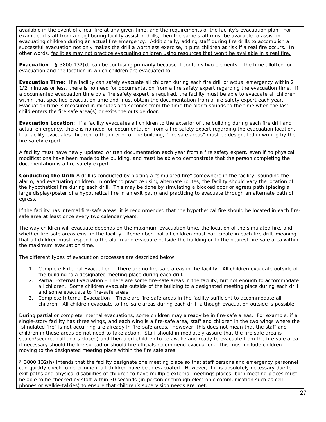available in the event of a real fire at any given time, and the requirements of the facility's evacuation plan. For example, if staff from a neighboring facility assist in drills, then the same staff must be available to assist in evacuating children during an actual fire emergency. Additionally, adding staff during fire drills to accomplish a successful evacuation not only makes the drill a worthless exercise, it puts children at risk if a real fire occurs. In other words, facilities may not practice evacuating children using resources that won't be available in a real fire.

**Evacuation** – § 3800.132(d) can be confusing primarily because it contains two elements – the time allotted for evacuation and the location in which children are evacuated to.

**Evacuation Time:** If a facility can safely evacuate all children during each fire drill or actual emergency within 2 1/2 minutes or less, there is no need for documentation from a fire safety expert regarding the evacuation time. If a documented evacuation time by a fire safety expert is required, the facility must be able to evacuate all children within that specified evacuation time and must obtain the documentation from a fire safety expert each year. Evacuation time is measured in minutes and seconds from the time the alarm sounds to the time when the last child enters the fire safe area(s) or exits the outside door.

**Evacuation Location:** If a facility evacuates all children to the exterior of the building during each fire drill and actual emergency, there is no need for documentation from a fire safety expert regarding the evacuation location. If a facility evacuates children to the interior of the building, "fire safe areas" must be designated in writing by the fire safety expert.

A facility must have newly updated written documentation each year from a fire safety expert, even if no physical modifications have been made to the building, and must be able to demonstrate that the person completing the documentation is a fire-safety expert.

**Conducting the Drill:** A drill is conducted by placing a "simulated fire" somewhere in the facility, sounding the alarm, and evacuating children. In order to practice using alternate routes, the facility should vary the location of the hypothetical fire during each drill. This may be done by simulating a blocked door or egress path (placing a large display/poster of a hypothetical fire in an exit path) and practicing to evacuate through an alternate path of egress.

If the facility has internal fire-safe areas, it is recommended that the hypothetical fire should be located in each firesafe area at least once every two calendar years.

The way children will evacuate depends on the maximum evacuation time, the location of the simulated fire, and whether fire-safe areas exist in the facility. Remember that all children must participate in each fire drill, meaning that all children must respond to the alarm and evacuate outside the building or to the nearest fire safe area within the maximum evacuation time.

The different types of evacuation processes are described below:

- 1. Complete External Evacuation There are no fire-safe areas in the facility. All children evacuate outside of the building to a designated meeting place during each drill.
- 2. Partial External Evacuation There are some fire-safe areas in the facility, but not enough to accommodate all children. Some children evacuate outside of the building to a designated meeting place during each drill, and some evacuate to fire-safe areas.
- 3. Complete Internal Evacuation There are fire-safe areas in the facility sufficient to accommodate all children. All children evacuate to fire-safe areas during each drill, although evacuation outside is possible.

During partial or complete internal evacuations, some children may already be in fire-safe areas. For example, if a single-story facility has three wings, and each wing is a fire-safe area, staff and children in the two wings where the "simulated fire" is not occurring are already in fire-safe areas. However, this does not mean that the staff and children in these areas do not need to take action. Staff should immediately assure that the fire safe area is sealed/secured (all doors closed) and then alert children to be awake and ready to evacuate from the fire safe area if necessary should the fire spread or should fire officials recommend evacuation. This must include children moving to the designated meeting place within the fire safe area .

§ 3800.132(h) intends that the facility designate one meeting place so that staff persons and emergency personnel can quickly check to determine if all children have been evacuated. However, if it is absolutely necessary due to exit paths and physical disabilities of children to have multiple external meetings places, both meeting places must be able to be checked by staff within 30 seconds (in person or through electronic communication such as cell phones or walkie-talkies) to ensure that children's supervision needs are met.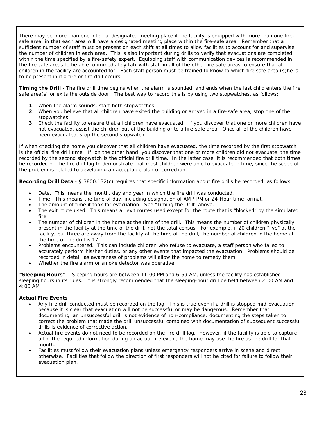There may be more than one internal designated meeting place if the facility is equipped with more than one firesafe area, in that each area will have a designated meeting place within the fire-safe area. Remember that a sufficient number of staff must be present on each shift at all times to allow facilities to account for and supervise the number of children in each area. This is also important during drills to verify that evacuations are completed within the time specified by a fire-safety expert. Equipping staff with communication devices is recommended in the fire safe areas to be able to immediately talk with staff in all of the other fire safe areas to ensure that all children in the facility are accounted for. Each staff person must be trained to know to which fire safe area (s)he is to be present in if a fire or fire drill occurs.

**Timing the Drill** - The fire drill time begins when the alarm is sounded, and ends when the last child enters the fire safe area(s) or exits the outside door. The best way to record this is by using two stopwatches, as follows:

- **1.** When the alarm sounds, start both stopwatches.
- **2.** When you believe that all children have exited the building or arrived in a fire-safe area, stop one of the stopwatches.
- **3.** Check the facility to ensure that all children have evacuated. If you discover that one or more children have not evacuated, assist the children out of the building or to a fire-safe area. Once all of the children have been evacuated, stop the second stopwatch.

If when checking the home you discover that all children have evacuated, the time recorded by the first stopwatch is the official fire drill time. If, on the other hand, you discover that one or more children did not evacuate, the time recorded by the second stopwatch is the official fire drill time. In the latter case, it is recommended that both times be recorded on the fire drill log to demonstrate that most children were able to evacuate in time, since the scope of the problem is related to developing an acceptable plan of correction.

**Recording Drill Data** - § 3800.132(c) requires that specific information about fire drills be recorded, as follows:

- Date. This means the month, day and year in which the fire drill was conducted.
- Time. This means the time of day, including designation of AM / PM or 24-Hour time format.
- The amount of time it took for evacuation. See "Timing the Drill" above.
- The exit route used. This means all exit routes used except for the route that is "blocked" by the simulated fire.
- The number of children in the home at the time of the drill. This means the number of children physically present in the facility at the time of the drill, not the total census. For example, if 20 children "live" at the facility, but three are away from the facility at the time of the drill, the number of children in the home at the time of the drill is 17.
- Problems encountered. This can include children who refuse to evacuate, a staff person who failed to accurately perform his/her duties, or any other events that impacted the evacuation. Problems should be recorded in detail, as awareness of problems will allow the home to remedy them.
- Whether the fire alarm or smoke detector was operative.

**"Sleeping Hours"** – Sleeping hours are between 11:00 PM and 6:59 AM, unless the facility has established sleeping hours in its rules. It is strongly recommended that the sleeping-hour drill be held between 2:00 AM and 4:00 AM.

# **Actual Fire Events**

- Any fire drill conducted must be recorded on the log. This is true even if a drill is stopped mid-evacuation because it is clear that evacuation will not be successful or may be dangerous. Remember that documenting an unsuccessful drill is not evidence of non-compliance; documenting the steps taken to correct the problem that made the drill unsuccessful combined with documentation of subsequent successful drills is evidence of corrective action.
- Actual fire events do not need to be recorded on the fire drill log. However, if the facility is able to capture all of the required information during an actual fire event, the home may use the fire as the drill for that month.
- Facilities must follow their evacuation plans unless emergency responders arrive in scene and direct otherwise. Facilities that follow the direction of first responders will not be cited for failure to follow their evacuation plan.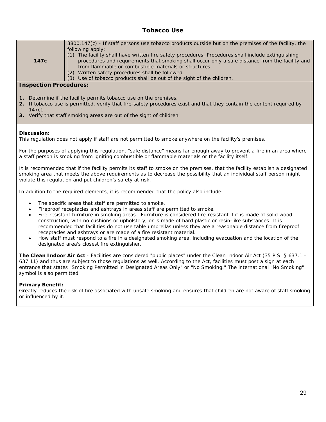|                                                 | <b>Tobacco Use</b>                                                                                                                                                                                                                                                                                                                                                                                                                                                                                                                                                                                                                                                                                                  |
|-------------------------------------------------|---------------------------------------------------------------------------------------------------------------------------------------------------------------------------------------------------------------------------------------------------------------------------------------------------------------------------------------------------------------------------------------------------------------------------------------------------------------------------------------------------------------------------------------------------------------------------------------------------------------------------------------------------------------------------------------------------------------------|
| 147c                                            | $3800.147(c)$ - If staff persons use tobacco products outside but on the premises of the facility, the<br>following apply:<br>(1) The facility shall have written fire safety procedures. Procedures shall include extinguishing<br>procedures and requirements that smoking shall occur only a safe distance from the facility and<br>from flammable or combustible materials or structures.<br>(2) Written safety procedures shall be followed.<br>(3) Use of tobacco products shall be out of the sight of the children.                                                                                                                                                                                         |
| <b>Inspection Procedures:</b>                   |                                                                                                                                                                                                                                                                                                                                                                                                                                                                                                                                                                                                                                                                                                                     |
| 147c1.                                          | 1. Determine if the facility permits tobacco use on the premises.<br>2. If tobacco use is permitted, verify that fire-safety procedures exist and that they contain the content required by<br>3. Verify that staff smoking areas are out of the sight of children.                                                                                                                                                                                                                                                                                                                                                                                                                                                 |
| <b>Discussion:</b>                              | This regulation does not apply if staff are not permitted to smoke anywhere on the facility's premises.                                                                                                                                                                                                                                                                                                                                                                                                                                                                                                                                                                                                             |
|                                                 | For the purposes of applying this regulation, "safe distance" means far enough away to prevent a fire in an area where<br>a staff person is smoking from igniting combustible or flammable materials or the facility itself.                                                                                                                                                                                                                                                                                                                                                                                                                                                                                        |
|                                                 | It is recommended that if the facility permits its staff to smoke on the premises, that the facility establish a designated<br>smoking area that meets the above requirements as to decrease the possibility that an individual staff person might<br>violate this regulation and put children's safety at risk.                                                                                                                                                                                                                                                                                                                                                                                                    |
|                                                 | In addition to the required elements, it is recommended that the policy also include:                                                                                                                                                                                                                                                                                                                                                                                                                                                                                                                                                                                                                               |
| $\bullet$<br>$\bullet$                          | The specific areas that staff are permitted to smoke.<br>Fireproof receptacles and ashtrays in areas staff are permitted to smoke.<br>Fire-resistant furniture in smoking areas. Furniture is considered fire-resistant if it is made of solid wood<br>construction, with no cushions or upholstery, or is made of hard plastic or resin-like substances. It is<br>recommended that facilities do not use table umbrellas unless they are a reasonable distance from fireproof<br>receptacles and ashtrays or are made of a fire resistant material.<br>How staff must respond to a fire in a designated smoking area, including evacuation and the location of the<br>designated area's closest fire extinguisher. |
| symbol is also permitted.                       | The Clean Indoor Air Act - Facilities are considered "public places" under the Clean Indoor Air Act (35 P.S. § 637.1<br>637.11) and thus are subject to those regulations as well. According to the Act, facilities must post a sign at each<br>entrance that states "Smoking Permitted in Designated Areas Only" or "No Smoking." The international "No Smoking"                                                                                                                                                                                                                                                                                                                                                   |
| <b>Primary Benefit:</b><br>or influenced by it. | Greatly reduces the risk of fire associated with unsafe smoking and ensures that children are not aware of staff smoking                                                                                                                                                                                                                                                                                                                                                                                                                                                                                                                                                                                            |

٦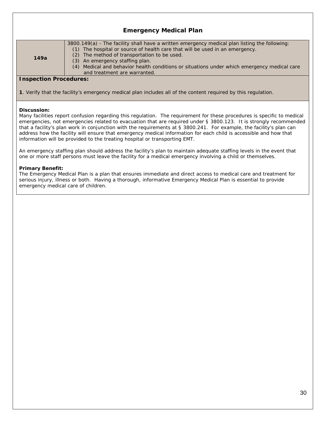|                               | <b>Emergency Medical Plan</b>                                                                                                                                                                                                                                                                                                                                                                   |
|-------------------------------|-------------------------------------------------------------------------------------------------------------------------------------------------------------------------------------------------------------------------------------------------------------------------------------------------------------------------------------------------------------------------------------------------|
| 149a                          | 3800.149(a) - The facility shall have a written emergency medical plan listing the following:<br>(1) The hospital or source of health care that will be used in an emergency.<br>(2) The method of transportation to be used.<br>(3) An emergency staffing plan.<br>(4) Medical and behavior health conditions or situations under which emergency medical care<br>and treatment are warranted. |
| <b>Inspection Procedures:</b> |                                                                                                                                                                                                                                                                                                                                                                                                 |

**1**. Verify that the facility's emergency medical plan includes all of the content required by this regulation.

# **Discussion:**

Many facilities report confusion regarding this regulation. The requirement for these procedures is specific to *medical* emergencies, not emergencies related to evacuation that are required under § 3800.123. It is strongly recommended that a facility's plan work in conjunction with the requirements at § 3800.241. For example, the facility's plan can address how the facility will ensure that emergency medical information for each child is accessible and how that information will be provided to the treating hospital or transporting EMT.

An emergency staffing plan should address the facility's plan to maintain adequate staffing levels in the event that one or more staff persons must leave the facility for a medical emergency involving a child or themselves.

#### **Primary Benefit:**

The Emergency Medical Plan is a plan that ensures immediate and direct access to medical care and treatment for serious injury, illness or both. Having a thorough, informative Emergency Medical Plan is essential to provide emergency medical care of children.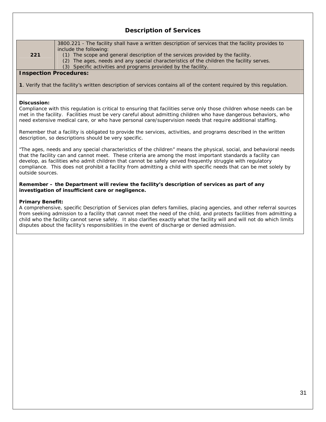|                               | <b>Description of Services</b>                                                                                                                                                                                                                                                                                                                                                                                                                                              |
|-------------------------------|-----------------------------------------------------------------------------------------------------------------------------------------------------------------------------------------------------------------------------------------------------------------------------------------------------------------------------------------------------------------------------------------------------------------------------------------------------------------------------|
| 221                           | 3800.221 - The facility shall have a written description of services that the facility provides to<br>include the following:<br>(1) The scope and general description of the services provided by the facility.<br>(2) The ages, needs and any special characteristics of the children the facility serves.<br>(3) Specific activities and programs provided by the facility.                                                                                               |
| <b>Inspection Procedures:</b> |                                                                                                                                                                                                                                                                                                                                                                                                                                                                             |
|                               | 1. Verify that the facility's written description of services contains all of the content required by this requlation.                                                                                                                                                                                                                                                                                                                                                      |
| Discussion:                   | Compliance with this regulation is critical to ensuring that facilities serve only those children whose needs can be<br>met in the facility. Facilities must be very careful about admitting children who have dangerous behaviors, who<br>need extensive medical care, or who have personal care/supervision needs that require additional staffing.                                                                                                                       |
|                               | Remember that a facility is obligated to provide the services, activities, and programs described in the written<br>description, so descriptions should be very specific.                                                                                                                                                                                                                                                                                                   |
| outside sources.              | "The ages, needs and any special characteristics of the children" means the physical, social, and behavioral needs<br>that the facility can and cannot meet. These criteria are among the most important standards a facility can<br>develop, as facilities who admit children that cannot be safely served frequently struggle with regulatory<br>compliance. This does not prohibit a facility from admitting a child with specific needs that can be met solely by       |
|                               | Remember - the Department will review the facility's description of services as part of any<br>investigation of insufficient care or negligence.                                                                                                                                                                                                                                                                                                                            |
| <b>Primary Benefit:</b>       | A comprehensive, specific Description of Services plan defers families, placing agencies, and other referral sources<br>from seeking admission to a facility that cannot meet the need of the child, and protects facilities from admitting a<br>child who the facility cannot serve safely. It also clarifies exactly what the facility will and will not do which limits<br>disputes about the facility's responsibilities in the event of discharge or denied admission. |
|                               |                                                                                                                                                                                                                                                                                                                                                                                                                                                                             |
|                               |                                                                                                                                                                                                                                                                                                                                                                                                                                                                             |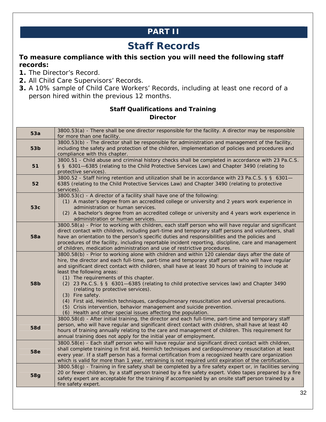# **PART II**

# **Staff Records**

# **To measure compliance with this section you will need the following staff records:**

- **1.** The Director's Record.
- **2.** All Child Care Supervisors' Records.
- **3.** A 10% sample of Child Care Workers' Records, including at least one record of a person hired within the previous 12 months.

# **Staff Qualifications and Training Director**

| 53a             | 3800.53(a) - There shall be one director responsible for the facility. A director may be responsible<br>for more than one facility.                                                                                                                                                                                                                                                                                                                                                                                                                                                                                                                                                                                                                                                  |
|-----------------|--------------------------------------------------------------------------------------------------------------------------------------------------------------------------------------------------------------------------------------------------------------------------------------------------------------------------------------------------------------------------------------------------------------------------------------------------------------------------------------------------------------------------------------------------------------------------------------------------------------------------------------------------------------------------------------------------------------------------------------------------------------------------------------|
| 53 <sub>b</sub> | 3800.53(b) - The director shall be responsible for administration and management of the facility,<br>including the safety and protection of the children, implementation of policies and procedures and<br>compliance with this chapter.                                                                                                                                                                                                                                                                                                                                                                                                                                                                                                                                             |
| 51              | 3800.51 - Child abuse and criminal history checks shall be completed in accordance with 23 Pa.C.S.<br>§ § 6301-6385 (relating to the Child Protective Services Law) and Chapter 3490 (relating to<br>protective services).                                                                                                                                                                                                                                                                                                                                                                                                                                                                                                                                                           |
| 52              | 3800.52 - Staff hiring retention and utilization shall be in accordance with 23 Pa.C.S. § § 6301-<br>6385 (relating to the Child Protective Services Law) and Chapter 3490 (relating to protective<br>services).                                                                                                                                                                                                                                                                                                                                                                                                                                                                                                                                                                     |
| 53c             | 3800.53(c) - A director of a facility shall have one of the following:<br>(1) A master's degree from an accredited college or university and 2 years work experience in<br>administration or human services.<br>(2) A bachelor's degree from an accredited college or university and 4 years work experience in<br>administration or human services.                                                                                                                                                                                                                                                                                                                                                                                                                                 |
| <b>58a</b>      | 3800.58(a) - Prior to working with children, each staff person who will have regular and significant<br>direct contact with children, including part-time and temporary staff persons and volunteers, shall<br>have an orientation to the person's specific duties and responsibilities and the policies and<br>procedures of the facility, including reportable incident reporting, discipline, care and management<br>of children, medication administration and use of restrictive procedures.                                                                                                                                                                                                                                                                                    |
| 58b             | 3800.58(b) - Prior to working alone with children and within 120 calendar days after the date of<br>hire, the director and each full-time, part-time and temporary staff person who will have regular<br>and significant direct contact with children, shall have at least 30 hours of training to include at<br>least the following areas:<br>(1) The requirements of this chapter.<br>(2) 23 Pa.C.S. § § 6301-6385 (relating to child protective services law) and Chapter 3490<br>(relating to protective services).<br>(3) Fire safety.<br>(4) First aid, Heimlich techniques, cardiopulmonary resuscitation and universal precautions.<br>(5) Crisis intervention, behavior management and suicide prevention.<br>(6) Health and other special issues affecting the population. |
| <b>58d</b>      | 3800.58(d) - After initial training, the director and each full-time, part-time and temporary staff<br>person, who will have regular and significant direct contact with children, shall have at least 40<br>hours of training annually relating to the care and management of children. This requirement for<br>annual training does not apply for the initial year of employment.                                                                                                                                                                                                                                                                                                                                                                                                  |
| <b>58e</b>      | 3800.58(e) - Each staff person who will have regular and significant direct contact with children,<br>shall complete training in first aid, Heimlich techniques and cardiopulmonary resuscitation at least<br>every year. If a staff person has a formal certification from a recognized health care organization<br>which is valid for more than 1 year, retraining is not required until expiration of the certification.                                                                                                                                                                                                                                                                                                                                                          |
| <b>58g</b>      | 3800.58(g) - Training in fire safety shall be completed by a fire safety expert or, in facilities serving<br>20 or fewer children, by a staff person trained by a fire safety expert. Video tapes prepared by a fire<br>safety expert are acceptable for the training if accompanied by an onsite staff person trained by a<br>fire safety expert.                                                                                                                                                                                                                                                                                                                                                                                                                                   |
|                 | າ                                                                                                                                                                                                                                                                                                                                                                                                                                                                                                                                                                                                                                                                                                                                                                                    |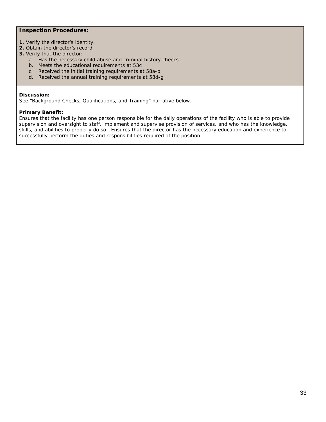# **Inspection Procedures:**

- **1**. Verify the director's identity.
- **2.** Obtain the director's record.
- **3.** Verify that the director:
	- a. Has the necessary child abuse and criminal history checks
	- b. Meets the educational requirements at 53c
	- c. Received the initial training requirements at 58a-b
	- d. Received the annual training requirements at 58d-g

#### **Discussion:**

See "Background Checks, Qualifications, and Training" narrative below.

#### **Primary Benefit:**

Ensures that the facility has one person responsible for the daily operations of the facility who is able to provide supervision and oversight to staff, implement and supervise provision of services, and who has the knowledge, skills, and abilities to properly do so.Ensures that the director has the necessary education and experience to successfully perform the duties and responsibilities required of the position.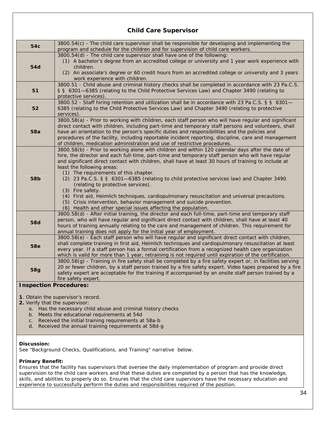| 54c                           | 3800.54(c) - The child care supervisor shall be responsible for developing and implementing the<br>program and schedule for the children and for supervision of child care workers.                                                                                                                                                                                                                                                                                                                                                                                                                                                                                                                                                                                                  |
|-------------------------------|--------------------------------------------------------------------------------------------------------------------------------------------------------------------------------------------------------------------------------------------------------------------------------------------------------------------------------------------------------------------------------------------------------------------------------------------------------------------------------------------------------------------------------------------------------------------------------------------------------------------------------------------------------------------------------------------------------------------------------------------------------------------------------------|
| <b>54d</b>                    | 3800.54(d) - The child care supervisor shall have one of the following:<br>(1) A bachelor's degree from an accredited college or university and 1 year work experience with<br>children.<br>(2) An associate's degree or 60 credit hours from an accredited college or university and 3 years<br>work experience with children.                                                                                                                                                                                                                                                                                                                                                                                                                                                      |
| 51                            | 3800.51 - Child abuse and criminal history checks shall be completed in accordance with 23 Pa.C.S.<br>§ § 6301-6385 (relating to the Child Protective Services Law) and Chapter 3490 (relating to<br>protective services).                                                                                                                                                                                                                                                                                                                                                                                                                                                                                                                                                           |
| 52                            | 3800.52 - Staff hiring retention and utilization shall be in accordance with 23 Pa.C.S. § § 6301-<br>6385 (relating to the Child Protective Services Law) and Chapter 3490 (relating to protective<br>services).                                                                                                                                                                                                                                                                                                                                                                                                                                                                                                                                                                     |
| <b>58a</b>                    | 3800.58(a) - Prior to working with children, each staff person who will have regular and significant<br>direct contact with children, including part-time and temporary staff persons and volunteers, shall<br>have an orientation to the person's specific duties and responsibilities and the policies and<br>procedures of the facility, including reportable incident reporting, discipline, care and management<br>of children, medication administration and use of restrictive procedures.                                                                                                                                                                                                                                                                                    |
| <b>58b</b>                    | 3800.58(b) - Prior to working alone with children and within 120 calendar days after the date of<br>hire, the director and each full-time, part-time and temporary staff person who will have regular<br>and significant direct contact with children, shall have at least 30 hours of training to include at<br>least the following areas:<br>(1) The requirements of this chapter.<br>(2) 23 Pa.C.S. § § 6301-6385 (relating to child protective services law) and Chapter 3490<br>(relating to protective services).<br>(3) Fire safety.<br>(4) First aid, Heimlich techniques, cardiopulmonary resuscitation and universal precautions.<br>(5) Crisis intervention, behavior management and suicide prevention.<br>(6) Health and other special issues affecting the population. |
| <b>58d</b>                    | 3800.58(d) - After initial training, the director and each full-time, part-time and temporary staff<br>person, who will have regular and significant direct contact with children, shall have at least 40<br>hours of training annually relating to the care and management of children. This requirement for<br>annual training does not apply for the initial year of employment.                                                                                                                                                                                                                                                                                                                                                                                                  |
| <b>58e</b>                    | 3800.58(e) - Each staff person who will have regular and significant direct contact with children,<br>shall complete training in first aid, Heimlich techniques and cardiopulmonary resuscitation at least<br>every year. If a staff person has a formal certification from a recognized health care organization<br>which is valid for more than 1 year, retraining is not required until expiration of the certification.                                                                                                                                                                                                                                                                                                                                                          |
| <b>58g</b>                    | 3800.58(g) - Training in fire safety shall be completed by a fire safety expert or, in facilities serving<br>20 or fewer children, by a staff person trained by a fire safety expert. Video tapes prepared by a fire<br>safety expert are acceptable for the training if accompanied by an onsite staff person trained by a<br>fire safety expert.                                                                                                                                                                                                                                                                                                                                                                                                                                   |
| <b>Inspection Procedures:</b> |                                                                                                                                                                                                                                                                                                                                                                                                                                                                                                                                                                                                                                                                                                                                                                                      |

# **Child Care Supervisor**

**1**. Obtain the supervisor's record.

- **2.** Verify that the supervisor:
	- a. Has the necessary child abuse and criminal history checks
	- b. Meets the educational requirements at 54d
	- c. Received the initial training requirements at 58a-b
	- d. Received the annual training requirements at 58d-g

# **Discussion:**

See "Background Checks, Qualifications, and Training" narrative below.

# **Primary Benefit:**

Ensures that the facility has supervisors that oversee the daily implementation of program and provide direct supervision to the child care workers and that these duties are completed by a person that has the knowledge, skills, and abilities to properly do so. Ensures that the child care supervisors have the necessary education and experience to successfully perform the duties and responsibilities required of the position.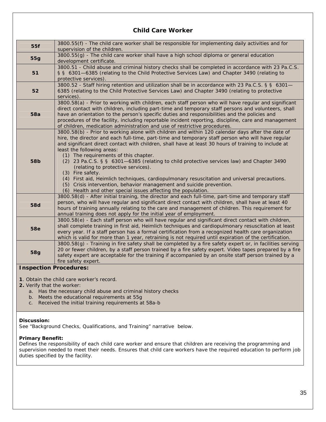# **Child Care Worker**

| 55f                        | 3800.55(f) - The child care worker shall be responsible for implementing daily activities and for<br>supervision of the children.                                                                                                                                                                                                                                                                                                                                                                                                                                                                                                                                                                                                                                                    |
|----------------------------|--------------------------------------------------------------------------------------------------------------------------------------------------------------------------------------------------------------------------------------------------------------------------------------------------------------------------------------------------------------------------------------------------------------------------------------------------------------------------------------------------------------------------------------------------------------------------------------------------------------------------------------------------------------------------------------------------------------------------------------------------------------------------------------|
| <b>55g</b>                 | 3800.55(g) - The child care worker shall have a high school diploma or general education<br>development certificate.                                                                                                                                                                                                                                                                                                                                                                                                                                                                                                                                                                                                                                                                 |
| 51                         | 3800.51 - Child abuse and criminal history checks shall be completed in accordance with 23 Pa.C.S.<br>§ § 6301-6385 (relating to the Child Protective Services Law) and Chapter 3490 (relating to<br>protective services).                                                                                                                                                                                                                                                                                                                                                                                                                                                                                                                                                           |
| 52                         | 3800.52 - Staff hiring retention and utilization shall be in accordance with 23 Pa.C.S. § § 6301-<br>6385 (relating to the Child Protective Services Law) and Chapter 3490 (relating to protective<br>services).                                                                                                                                                                                                                                                                                                                                                                                                                                                                                                                                                                     |
| <b>58a</b>                 | 3800.58(a) - Prior to working with children, each staff person who will have regular and significant<br>direct contact with children, including part-time and temporary staff persons and volunteers, shall<br>have an orientation to the person's specific duties and responsibilities and the policies and<br>procedures of the facility, including reportable incident reporting, discipline, care and management<br>of children, medication administration and use of restrictive procedures.                                                                                                                                                                                                                                                                                    |
| 58b                        | 3800.58(b) - Prior to working alone with children and within 120 calendar days after the date of<br>hire, the director and each full-time, part-time and temporary staff person who will have regular<br>and significant direct contact with children, shall have at least 30 hours of training to include at<br>least the following areas:<br>(1) The requirements of this chapter.<br>(2) 23 Pa.C.S. § § 6301-6385 (relating to child protective services law) and Chapter 3490<br>(relating to protective services).<br>(3) Fire safety.<br>(4) First aid, Heimlich techniques, cardiopulmonary resuscitation and universal precautions.<br>(5) Crisis intervention, behavior management and suicide prevention.<br>(6) Health and other special issues affecting the population. |
| <b>58d</b>                 | 3800.58(d) - After initial training, the director and each full-time, part-time and temporary staff<br>person, who will have regular and significant direct contact with children, shall have at least 40<br>hours of training annually relating to the care and management of children. This requirement for<br>annual training does not apply for the initial year of employment.                                                                                                                                                                                                                                                                                                                                                                                                  |
| <b>58e</b>                 | 3800.58(e) - Each staff person who will have regular and significant direct contact with children,<br>shall complete training in first aid, Heimlich techniques and cardiopulmonary resuscitation at least<br>every year. If a staff person has a formal certification from a recognized health care organization<br>which is valid for more than 1 year, retraining is not required until expiration of the certification.                                                                                                                                                                                                                                                                                                                                                          |
| <b>58g</b>                 | 3800.58(g) - Training in fire safety shall be completed by a fire safety expert or, in facilities serving<br>20 or fewer children, by a staff person trained by a fire safety expert. Video tapes prepared by a fire<br>safety expert are acceptable for the training if accompanied by an onsite staff person trained by a<br>fire safety expert.                                                                                                                                                                                                                                                                                                                                                                                                                                   |
|                            | <b>Inspection Procedures:</b>                                                                                                                                                                                                                                                                                                                                                                                                                                                                                                                                                                                                                                                                                                                                                        |
|                            | 1. Obtain the child care worker's record.                                                                                                                                                                                                                                                                                                                                                                                                                                                                                                                                                                                                                                                                                                                                            |
| 2. Verify that the worker: |                                                                                                                                                                                                                                                                                                                                                                                                                                                                                                                                                                                                                                                                                                                                                                                      |
|                            | a. Has the necessary child abuse and criminal history checks                                                                                                                                                                                                                                                                                                                                                                                                                                                                                                                                                                                                                                                                                                                         |

- 
- b. Meets the educational requirements at 55g c. Received the initial training requirements at 58a-b

# **Discussion:**

See "Background Checks, Qualifications, and Training" narrative below.

# **Primary Benefit:**

Defines the responsibility of each child care worker and ensure that children are receiving the programming and supervision needed to meet their needs. Ensures that child care workers have the required education to perform job duties specified by the facility.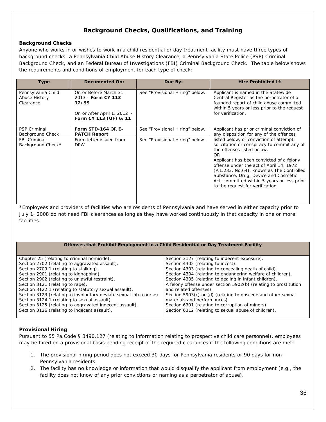# **Background Checks, Qualifications, and Training**

# **Background Checks**

Anyone who works in or wishes to work in a child residential or day treatment facility must have three types of background checks: a Pennsylvania Child Abuse History Clearance, a Pennsylvania State Police (PSP) Criminal Background Check, and an Federal Bureau of Investigations (FBI) Criminal Background Check. The table below shows the requirements and conditions of employment for each type of check:

| Type                                             | <b>Documented On:</b>                                                                                         | Due By:                         | <b>Hire Prohibited If:</b>                                                                                                                                                                                                                                                                                                                                                                                                                                                          |
|--------------------------------------------------|---------------------------------------------------------------------------------------------------------------|---------------------------------|-------------------------------------------------------------------------------------------------------------------------------------------------------------------------------------------------------------------------------------------------------------------------------------------------------------------------------------------------------------------------------------------------------------------------------------------------------------------------------------|
| Pennsylvania Child<br>Abuse History<br>Clearance | On or Before March 31,<br>2013 - Form CY 113<br>12/99<br>On or After April 1, 2012 -<br>Form CY 113 (UF) 6/11 | See "Provisional Hiring" below. | Applicant is named in the Statewide<br>Central Register as the perpetrator of a<br>founded report of child abuse committed<br>within 5 years or less prior to the request<br>for verification.                                                                                                                                                                                                                                                                                      |
| <b>PSP Criminal</b><br>Background Check          | Form STD-164 OR E-<br><b>PATCH Report</b>                                                                     | See "Provisional Hiring" below. | Applicant has prior criminal conviction of<br>any disposition for any of the offences<br>listed below, or conviction of attempt,<br>solicitation or conspiracy to commit any of<br>the offenses listed below.<br>OR.<br>Applicant has been convicted of a felony<br>offense under the act of April 14, 1972<br>(P.L.233, No.64), known as The Controlled<br>Substance, Drug, Device and Cosmetic<br>Act, committed within 5 years or less prior<br>to the request for verification. |
| <b>FBI Criminal</b><br>Background Check*         | Form letter issued from<br><b>DPW</b>                                                                         | See "Provisional Hiring" below. |                                                                                                                                                                                                                                                                                                                                                                                                                                                                                     |

\*Employees and providers of facilities who are residents of Pennsylvania and have served in either capacity prior to July 1, 2008 do not need FBI clearances as long as they have worked continuously in that capacity in one or more facilities.

#### **Offenses that Prohibit Employment in a Child Residential or Day Treatment Facility**

| Chapter 25 (relating to criminal homicide).                        | Section 3127 (relating to indecent exposure).                    |
|--------------------------------------------------------------------|------------------------------------------------------------------|
| Section 2702 (relating to aggravated assault).                     | Section 4302 (relating to incest).                               |
| Section 2709.1 (relating to stalking).                             | Section 4303 (relating to concealing death of child).            |
| Section 2901 (relating to kidnapping).                             | Section 4304 (relating to endangering welfare of children).      |
| Section 2902 (relating to unlawful restraint).                     | Section 4305 (relating to dealing in infant children).           |
| Section 3121 (relating to rape).                                   | A felony offense under section 5902(b) (relating to prostitution |
| Section 3122.1 (relating to statutory sexual assault).             | and related offenses).                                           |
| Section 3123 (relating to involuntary deviate sexual intercourse). | Section 5903(c) or (d) (relating to obscene and other sexual     |
| Section 3124.1 (relating to sexual assault).                       | materials and performances).                                     |
| Section 3125 (relating to aggravated indecent assault).            | Section 6301 (relating to corruption of minors).                 |
| Section 3126 (relating to indecent assault).                       | Section 6312 (relating to sexual abuse of children).             |
|                                                                    |                                                                  |

# **Provisional Hiring**

Pursuant to 55 Pa.Code § 3490.127 (relating to information relating to prospective child care personnel), employees may be hired on a provisional basis pending receipt of the required clearances if the following conditions are met:

- 1. The provisional hiring period does not exceed 30 days for Pennsylvania residents or 90 days for non-Pennsylvania residents.
- 2. The facility has no knowledge or information that would disqualify the applicant from employment (e.g., the facility does not know of any prior convictions or naming as a perpetrator of abuse).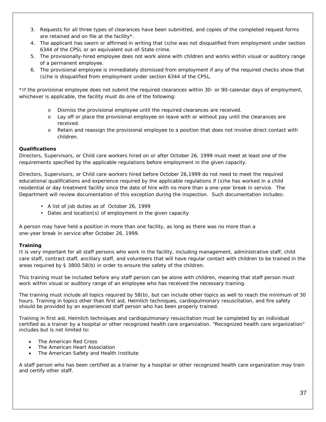- 3. Requests for all three types of clearances have been submitted, and copies of the completed request forms are retained and on file at the facility\*.
- 4. The applicant has sworn or affirmed in writing that (s)he was not disqualified from employment under section 6344 of the CPSL or an equivalent out-of-State crime.
- 5. The provisionally-hired employee does not work alone with children and works within visual or auditory range of a permanent employee.
- 6. The provisional employee is immediately dismissed from employment if any of the required checks show that (s)he is disqualified from employment under section 6344 of the CPSL.

\*If the provisional employee does not submit the required clearances within 30- or 90-calendar days of employment, whichever is applicable, the facility must do one of the following:

- o Dismiss the provisional employee until the required clearances are received.
- o Lay off or place the provisional employee on leave with or without pay until the clearances are received.
- o Retain and reassign the provisional employee to a position that does not involve direct contact with children.

### **Qualifications**

Directors, Supervisors, or Child care workers hired on or after October 26, 1999 must meet at least one of the requirements specified by the applicable regulations before employment in the given capacity.

Directors, Supervisors, or Child care workers hired before October 26,1999 do not need to meet the required educational qualifications and experience required by the applicable regulations if (s)he has worked in a child residential or day treatment facility since the date of hire with no more than a one-year break in service. The Department will review documentation of this exception during the inspection. Such documentation includes:

- A list of job duties as of October 26, 1999
- Dates and location(s) of employment in the given capacity

A person may have held a position in more than one facility, as long as there was no more than a one-year break in service after October 26, 1999.

### **Training**

It is very important for all staff persons who work in the facility, including management, administrative staff, child care staff, contract staff, ancillary staff, and volunteers that will have regular contact with children to be trained in the areas required by § 3800.58(b) in order to ensure the safety of the children.

This training must be included before any staff person can be alone with children, meaning that staff person must work within visual or auditory range of an employee who has received the necessary training.

The training must include all topics required by 58(b), but can include other topics as well to reach the minimum of 30 hours. Training in topics other than first aid, Heimlich techniques, cardiopulmonary resuscitation, and fire safety should be provided by an experienced staff person who has been properly trained.

Training in first aid, Heimlich techniques and cardiopulmonary resuscitation must be completed by an individual certified as a trainer by a hospital or other recognized health care organization. "Recognized health care organization" includes but is not limited to:

- The American Red Cross
- The American Heart Association
- The American Safety and Health Institute

A staff person who has been certified as a trainer by a hospital or other recognized health care organization may train and certify other staff.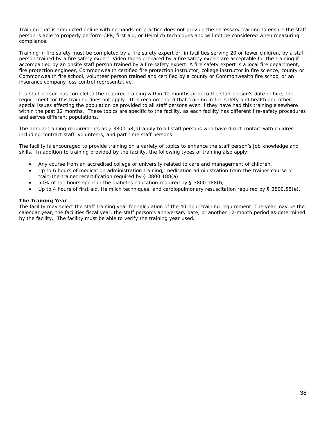Training that is conducted online with no hands-on practice does not provide the necessary training to ensure the staff person is able to properly perform CPR, first aid, or Heimlich techniques and will not be considered when measuring compliance.

Training in fire safety must be completed by a fire safety expert or, in facilities serving 20 or fewer children, by a staff person trained by a fire safety expert. Video tapes prepared by a fire safety expert are acceptable for the training if accompanied by an onsite staff person trained by a fire safety expert. A fire safety expert is a local fire department, fire protection engineer, Commonwealth certified fire protection instructor, college instructor in fire science, county or Commonwealth fire school, volunteer person trained and certified by a county or Commonwealth fire school or an insurance company loss control representative.

If a staff person has completed the required training within 12 months prior to the staff person's date of hire, the requirement for this training does not apply. It is recommended that training in fire safety and health and other special issues affecting the population be provided to all staff persons even if they have had this training elsewhere within the past 12 months. These topics are specific to the facility, as each facility has different fire-safety procedures and serves different populations.

The annual training requirements as § 3800.58(d) apply to all staff persons who have direct contact with children including contract staff, volunteers, and part time staff persons.

The facility is encouraged to provide training on a variety of topics to enhance the staff person's job knowledge and skills. In addition to training provided by the facility, the following types of training also apply:

- Any course from an accredited college or university related to care and management of children.
- Up to 6 hours of medication administration training, medication administration train-the-trainer course or train-the-trainer recertification required by § 3800.188(a).
- 50% of the hours spent in the diabetes education required by § 3800.188(b).
- Up to 4 hours of first aid, Heimlich techniques, and cardiopulmonary resuscitation required by § 3800.58(e).

### **The Training Year**

The facility may select the staff training year for calculation of the 40-hour training requirement. The year may be the calendar year, the facilities fiscal year, the staff person's anniversary date, or another 12-month period as determined by the facility. The facility must be able to verify the training year used.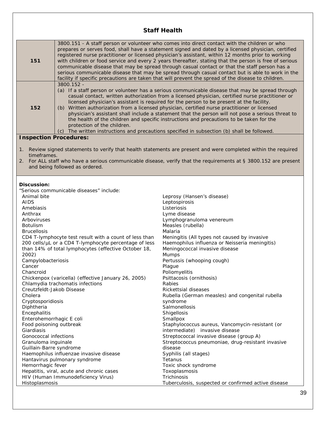### **Staff Health**

| 151                                                                             | 3800.151 - A staff person or volunteer who comes into direct contact with the children or who<br>prepares or serves food, shall have a statement signed and dated by a licensed physician, certified<br>registered nurse practitioner or licensed physician's assistant, within 12 months prior to working<br>with children or food service and every 2 years thereafter, stating that the person is free of serious<br>communicable disease that may be spread through casual contact or that the staff person has a<br>serious communicable disease that may be spread through casual contact but is able to work in the<br>facility if specific precautions are taken that will prevent the spread of the disease to children.              |                                                                                                                                                                                                                               |
|---------------------------------------------------------------------------------|------------------------------------------------------------------------------------------------------------------------------------------------------------------------------------------------------------------------------------------------------------------------------------------------------------------------------------------------------------------------------------------------------------------------------------------------------------------------------------------------------------------------------------------------------------------------------------------------------------------------------------------------------------------------------------------------------------------------------------------------|-------------------------------------------------------------------------------------------------------------------------------------------------------------------------------------------------------------------------------|
| 152                                                                             | 3800.152 -<br>(a) If a staff person or volunteer has a serious communicable disease that may be spread through<br>casual contact, written authorization from a licensed physician, certified nurse practitioner or<br>licensed physician's assistant is required for the person to be present at the facility.<br>(b) Written authorization from a licensed physician, certified nurse practitioner or licensed<br>physician's assistant shall include a statement that the person will not pose a serious threat to<br>the health of the children and specific instructions and precautions to be taken for the<br>protection of the children.<br>(c) The written instructions and precautions specified in subsection (b) shall be followed. |                                                                                                                                                                                                                               |
| <b>Inspection Procedures:</b>                                                   |                                                                                                                                                                                                                                                                                                                                                                                                                                                                                                                                                                                                                                                                                                                                                |                                                                                                                                                                                                                               |
| 1.<br>timeframes.<br>2.                                                         | and being followed as ordered.                                                                                                                                                                                                                                                                                                                                                                                                                                                                                                                                                                                                                                                                                                                 | Review signed statements to verify that health statements are present and were completed within the required<br>For ALL staff who have a serious communicable disease, verify that the requirements at § 3800.152 are present |
|                                                                                 |                                                                                                                                                                                                                                                                                                                                                                                                                                                                                                                                                                                                                                                                                                                                                |                                                                                                                                                                                                                               |
| Discussion:                                                                     | "Serious communicable diseases" include:                                                                                                                                                                                                                                                                                                                                                                                                                                                                                                                                                                                                                                                                                                       |                                                                                                                                                                                                                               |
| Animal bite                                                                     |                                                                                                                                                                                                                                                                                                                                                                                                                                                                                                                                                                                                                                                                                                                                                | Leprosy (Hansen's disease)                                                                                                                                                                                                    |
| <b>AIDS</b>                                                                     |                                                                                                                                                                                                                                                                                                                                                                                                                                                                                                                                                                                                                                                                                                                                                | Leptospirosis                                                                                                                                                                                                                 |
| Amebiasis                                                                       |                                                                                                                                                                                                                                                                                                                                                                                                                                                                                                                                                                                                                                                                                                                                                | Listeriosis                                                                                                                                                                                                                   |
| Anthrax                                                                         |                                                                                                                                                                                                                                                                                                                                                                                                                                                                                                                                                                                                                                                                                                                                                | Lyme disease                                                                                                                                                                                                                  |
| Arboviruses                                                                     |                                                                                                                                                                                                                                                                                                                                                                                                                                                                                                                                                                                                                                                                                                                                                | Lymphogranuloma venereum                                                                                                                                                                                                      |
| <b>Botulism</b>                                                                 |                                                                                                                                                                                                                                                                                                                                                                                                                                                                                                                                                                                                                                                                                                                                                | Measles (rubella)                                                                                                                                                                                                             |
| <b>Brucellosis</b>                                                              |                                                                                                                                                                                                                                                                                                                                                                                                                                                                                                                                                                                                                                                                                                                                                | Malaria                                                                                                                                                                                                                       |
| CD4 T-lymphocyte test result with a count of less than                          |                                                                                                                                                                                                                                                                                                                                                                                                                                                                                                                                                                                                                                                                                                                                                | Meningitis (All types not caused by invasive                                                                                                                                                                                  |
| 200 cells/µL or a CD4 T-lymphocyte percentage of less                           |                                                                                                                                                                                                                                                                                                                                                                                                                                                                                                                                                                                                                                                                                                                                                | Haemophilus influenza or Neisseria meningitis)                                                                                                                                                                                |
| than 14% of total lymphocytes (effective October 18,                            |                                                                                                                                                                                                                                                                                                                                                                                                                                                                                                                                                                                                                                                                                                                                                | Meningococcal invasive disease                                                                                                                                                                                                |
| 2002)                                                                           |                                                                                                                                                                                                                                                                                                                                                                                                                                                                                                                                                                                                                                                                                                                                                | Mumps                                                                                                                                                                                                                         |
| Campylobacteriosis                                                              |                                                                                                                                                                                                                                                                                                                                                                                                                                                                                                                                                                                                                                                                                                                                                | Pertussis (whooping cough)                                                                                                                                                                                                    |
| Cancer                                                                          |                                                                                                                                                                                                                                                                                                                                                                                                                                                                                                                                                                                                                                                                                                                                                | Plague                                                                                                                                                                                                                        |
| Chancroid                                                                       |                                                                                                                                                                                                                                                                                                                                                                                                                                                                                                                                                                                                                                                                                                                                                | Poliomyelitis                                                                                                                                                                                                                 |
| Chickenpox (varicella) (effective January 26, 2005)                             |                                                                                                                                                                                                                                                                                                                                                                                                                                                                                                                                                                                                                                                                                                                                                | Psittacosis (ornithosis)                                                                                                                                                                                                      |
| Chlamydia trachomatis infections                                                |                                                                                                                                                                                                                                                                                                                                                                                                                                                                                                                                                                                                                                                                                                                                                | Rabies                                                                                                                                                                                                                        |
| Creutzfeldt-Jakob Disease                                                       |                                                                                                                                                                                                                                                                                                                                                                                                                                                                                                                                                                                                                                                                                                                                                | Rickettsial diseases                                                                                                                                                                                                          |
| Cholera                                                                         |                                                                                                                                                                                                                                                                                                                                                                                                                                                                                                                                                                                                                                                                                                                                                | Rubella (German measles) and congenital rubella                                                                                                                                                                               |
| Cryptosporidiosis                                                               |                                                                                                                                                                                                                                                                                                                                                                                                                                                                                                                                                                                                                                                                                                                                                | syndrome<br>Salmonellosis                                                                                                                                                                                                     |
| Diphtheria<br>Encephalitis                                                      |                                                                                                                                                                                                                                                                                                                                                                                                                                                                                                                                                                                                                                                                                                                                                | Shigellosis                                                                                                                                                                                                                   |
| Enterohemorrhagic E coli                                                        |                                                                                                                                                                                                                                                                                                                                                                                                                                                                                                                                                                                                                                                                                                                                                | Smallpox                                                                                                                                                                                                                      |
| Food poisoning outbreak                                                         |                                                                                                                                                                                                                                                                                                                                                                                                                                                                                                                                                                                                                                                                                                                                                | Staphylococcus aureus, Vancomycin-resistant (or                                                                                                                                                                               |
| Giardiasis                                                                      |                                                                                                                                                                                                                                                                                                                                                                                                                                                                                                                                                                                                                                                                                                                                                | intermediate) invasive disease                                                                                                                                                                                                |
| Gonococcal infections                                                           |                                                                                                                                                                                                                                                                                                                                                                                                                                                                                                                                                                                                                                                                                                                                                | Streptococcal invasive disease (group A)                                                                                                                                                                                      |
| Granuloma inguinale                                                             |                                                                                                                                                                                                                                                                                                                                                                                                                                                                                                                                                                                                                                                                                                                                                | Streptococcus pneumoniae, drug-resistant invasive                                                                                                                                                                             |
| Guillain-Barre syndrome                                                         |                                                                                                                                                                                                                                                                                                                                                                                                                                                                                                                                                                                                                                                                                                                                                | disease                                                                                                                                                                                                                       |
| Haemophilus influenzae invasive disease                                         |                                                                                                                                                                                                                                                                                                                                                                                                                                                                                                                                                                                                                                                                                                                                                | Syphilis (all stages)                                                                                                                                                                                                         |
| Hantavirus pulmonary syndrome                                                   |                                                                                                                                                                                                                                                                                                                                                                                                                                                                                                                                                                                                                                                                                                                                                | Tetanus                                                                                                                                                                                                                       |
| Hemorrhagic fever                                                               |                                                                                                                                                                                                                                                                                                                                                                                                                                                                                                                                                                                                                                                                                                                                                | Toxic shock syndrome                                                                                                                                                                                                          |
| Hepatitis, viral, acute and chronic cases<br>HIV (Human Immunodeficiency Virus) |                                                                                                                                                                                                                                                                                                                                                                                                                                                                                                                                                                                                                                                                                                                                                | Toxoplasmosis<br>Trichinosis                                                                                                                                                                                                  |
| Histoplasmosis                                                                  |                                                                                                                                                                                                                                                                                                                                                                                                                                                                                                                                                                                                                                                                                                                                                | Tuberculosis, suspected or confirmed active disease                                                                                                                                                                           |
|                                                                                 |                                                                                                                                                                                                                                                                                                                                                                                                                                                                                                                                                                                                                                                                                                                                                |                                                                                                                                                                                                                               |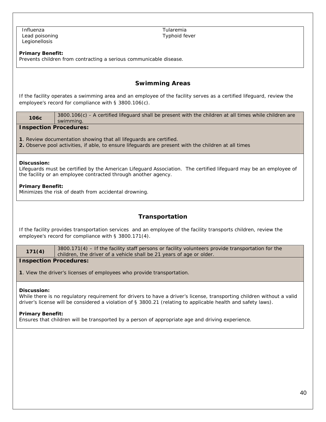Influenza Lead poisoning Legionellosis

Tularemia Typhoid fever

### **Primary Benefit:**

Prevents children from contracting a serious communicable disease.

### **Swimming Areas**

If the facility operates a swimming area and an employee of the facility serves as a certified lifeguard, review the employee's record for compliance with § 3800.106(c).

| 106c | 3800.106(c) - A certified lifeguard shall be present with the children at all times while children are |
|------|--------------------------------------------------------------------------------------------------------|
|      | swimming.                                                                                              |
|      |                                                                                                        |

### **Inspection Procedures:**

**1**. Review documentation showing that all lifeguards are certified.

**2.** Observe pool activities, if able, to ensure lifeguards are present with the children at all times

#### **Discussion:**

Lifeguards must be certified by the American Lifeguard Association. The certified lifeguard may be an employee of the facility or an employee contracted through another agency.

### **Primary Benefit:**

Minimizes the risk of death from accidental drowning.

### **Transportation**

If the facility provides transportation services and an employee of the facility transports children, review the employee's record for compliance with § 3800.171(4).

| 171(4) | $3800.171(4)$ – If the facility staff persons or facility volunteers provide transportation for the |
|--------|-----------------------------------------------------------------------------------------------------|
|        | I children, the driver of a vehicle shall be 21 years of age or older.                              |

### **Inspection Procedures:**

**1**. View the driver's licenses of employees who provide transportation.

#### **Discussion:**

While there is no regulatory requirement for drivers to have a driver's license, transporting children without a valid driver's license will be considered a violation of § 3800.21 (relating to applicable health and safety laws).

### **Primary Benefit:**

Ensures that children will be transported by a person of appropriate age and driving experience.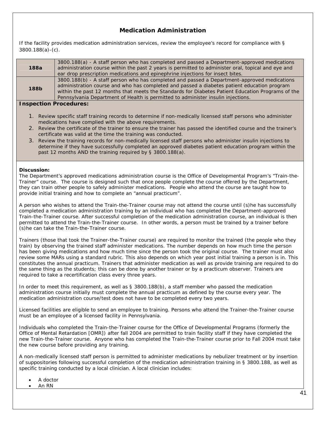### **Medication Administration**

If the facility provides medication administration services, review the employee's record for compliance with § 3800.188(a)-(c).

| 188a                          | 3800.188(a) - A staff person who has completed and passed a Department-approved medications<br>administration course within the past 2 years is permitted to administer oral, topical and eye and<br>ear drop prescription medications and epinephrine injections for insect bites.                                                                                                 |
|-------------------------------|-------------------------------------------------------------------------------------------------------------------------------------------------------------------------------------------------------------------------------------------------------------------------------------------------------------------------------------------------------------------------------------|
| <b>188b</b>                   | 3800.188(b) - A staff person who has completed and passed a Department-approved medications<br>administration course and who has completed and passed a diabetes patient education program<br>within the past 12 months that meets the Standards for Diabetes Patient Education Programs of the<br>Pennsylvania Department of Health is permitted to administer insulin injections. |
| <b>Inspection Procedures:</b> |                                                                                                                                                                                                                                                                                                                                                                                     |
| 1.                            | Review specific staff training records to determine if non-medically licensed staff persons who administer<br>medications have complied with the above requirements.                                                                                                                                                                                                                |

- 2. Review the certificate of the trainer to ensure the trainer has passed the identified course and the trainer's certificate was valid at the time the training was conducted.
- 3. Review the training records for non-medically licensed staff persons who administer insulin injections to determine if they have successfully completed an approved diabetes patient education program within the past 12 months AND the training required by § 3800.188(a).

### **Discussion:**

The Department's approved medications administration course is the Office of Developmental Program's "Train-the-Trainer" course. The course is designed such that once people complete the course offered by the Department, they can train other people to safely administer medications. People who attend the course are taught how to provide initial training and how to complete an "annual practicum".

A person who wishes to attend the Train-the-Trainer course may not attend the course until (s)he has successfully completed a medication administration training by an individual who has completed the Department-approved Train-the-Trainer course. After successful completion of the medication administration course, an individual is then permitted to attend the Train-the-Trainer course. In other words, a person must be trained by a trainer before (s)he can take the Train-the-Trainer course.

Trainers (those that took the Trainer-the-Trainer course) are required to monitor the trained (the people who they train) by observing the trained staff administer medications. The number depends on how much time the person has been giving medications and how much time since the person took the original course. The trainer must also review some MARs using a standard rubric. This also depends on which year post initial training a person is in. This constitutes the annual practicum. Trainers that administer medication as well as provide training are required to do the same thing as the students; this can be done by another trainer or by a practicum observer. Trainers are required to take a recertification class every three years.

In order to meet this requirement, as well as § 3800.188(b), a staff member who passed the medication administration course initially must complete the annual practicum as defined by the course every year. The medication administration course/test does not have to be completed every two years.

Licensed facilities are eligible to send an employee to training. Persons who attend the Trainer-the-Trainer course must be an employee of a licensed facility in Pennsylvania.

Individuals who completed the Train-the-Trainer course for the Office of Developmental Programs (formerly the Office of Mental Retardation [OMR]) after fall 2004 are permitted to train facility staff if they have completed the new Train-the-Trainer course. Anyone who has completed the Train-the-Trainer course prior to Fall 2004 must take the new course before providing any training.

A non-medically licensed staff person is permitted to administer medications by nebulizer treatment or by insertion of suppositories following successful completion of the medication administration training in § 3800.188, as well as specific training conducted by a local clinician. A local clinician includes:

- A doctor
- An RN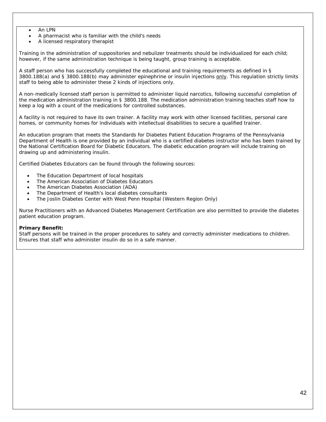- An LPN
- A pharmacist who is familiar with the child's needs
- A licensed respiratory therapist

Training in the administration of suppositories and nebulizer treatments should be individualized for each child; however, if the same administration technique is being taught, group training is acceptable.

A staff person who has successfully completed the educational and training requirements as defined in § 3800.188(a) and § 3800.188(b) may administer epinephrine or insulin injections only. This regulation strictly limits staff to being able to administer these 2 kinds of injections only.

A non-medically licensed staff person is permitted to administer liquid narcotics, following successful completion of the medication administration training in § 3800.188. The medication administration training teaches staff how to keep a log with a count of the medications for controlled substances.

A facility is not required to have its own trainer. A facility may work with other licensed facilities, personal care homes, or community homes for individuals with intellectual disabilities to secure a qualified trainer.

An education program that meets the Standards for Diabetes Patient Education Programs of the Pennsylvania Department of Health is one provided by an individual who is a certified diabetes instructor who has been trained by the National Certification Board for Diabetic Educators. The diabetic education program will include training on drawing up and administering insulin.

Certified Diabetes Educators can be found through the following sources:

- The Education Department of local hospitals
- The American Association of Diabetes Educators
- The American Diabetes Association (ADA)
- The Department of Health's local diabetes consultants
- The Joslin Diabetes Center with West Penn Hospital (Western Region Only)

Nurse Practitioners with an Advanced Diabetes Management Certification are also permitted to provide the diabetes patient education program.

### **Primary Benefit:**

Staff persons will be trained in the proper procedures to safely and correctly administer medications to children. Ensures that staff who administer insulin do so in a safe manner.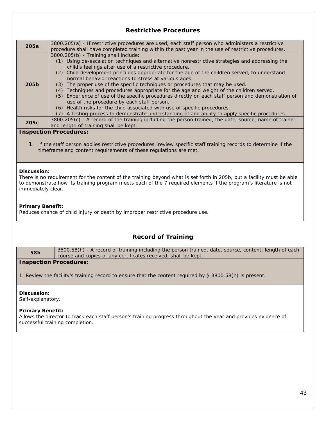# **Restrictive Procedures 205a** 3800.205(a) - If restrictive procedures are used, each staff person who administers a restrictive procedure shall have completed training within the past year in the use of restrictive procedures. **205b** 3800.205(b) - Training shall include: (1) Using de-escalation techniques and alternative nonrestrictive strategies and addressing the child's feelings after use of a restrictive procedure. (2) Child development principles appropriate for the age of the children served, to understand normal behavior reactions to stress at various ages. (3) The proper use of the specific techniques or procedures that may be used. (4) Techniques and procedures appropriate for the age and weight of the children served. (5) Experience of use of the specific procedures directly on each staff person and demonstration of use of the procedure by each staff person. (6) Health risks for the child associated with use of specific procedures. (7) A testing process to demonstrate understanding of and ability to apply specific procedures. **205c** 3800.205(c) - A record of the training including the person trained, the date, source, name of trainer and length of training shall be kept. **Inspection Procedures:**  1. If the staff person applies restrictive procedures, review specific staff training records to determine if the timeframe and content requirements of these regulations are met. **Discussion:**  There is no requirement for the content of the training beyond what is set forth in 205b, but a facility must be able to demonstrate how its training program meets each of the 7 required elements if the program's literature is not immediately clear. **Primary Benefit:**  Reduces chance of child injury or death by improper restrictive procedure use. **Record of Training**  58h 3800.58(h) - A record of training including the person trained, date, source, content, length of each course and copies of any certificates received, shall be kept. **Inspection Procedures:**  1. Review the facility's training record to ensure that the content required by § 3800.58(h) is present. **Discussion:**  Self-explanatory. **Primary Benefit:**  Allows the director to track each staff person's training progress throughout the year and provides evidence of successful training completion.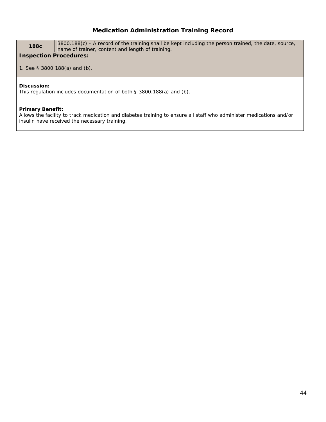### **Medication Administration Training Record**

**188c** 3800.188(c) - A record of the training shall be kept including the person trained, the date, source, name of trainer, content and length of training.

### **Inspection Procedures:**

1. See § 3800.188(a) and (b).

#### **Discussion:**

This regulation includes documentation of both § 3800.188(a) and (b).

### **Primary Benefit:**

Allows the facility to track medication and diabetes training to ensure all staff who administer medications and/or insulin have received the necessary training.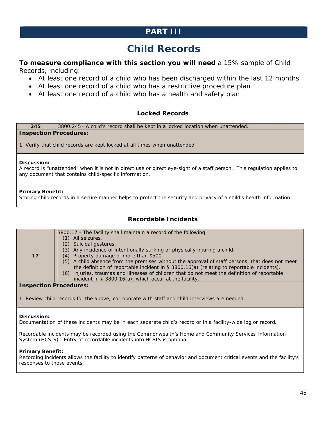## **PART III**

# **Child Records**

**To measure compliance with this section you will need** a 15% sample of Child Records, including:

- At least one record of a child who has been discharged within the last 12 months
- At least one record of a child who has a restrictive procedure plan
- At least one record of a child who has a health and safety plan

### **Locked Records**

**245** 3800.245 - A child's record shall be kept in a locked location when unattended. **Inspection Procedures:** 

1. Verify that child records are kept locked at all times when unattended.

### **Discussion:**

A record is "unattended" when it is not in direct use or direct eye-sight of a staff person. This regulation applies to any document that contains child-specific information.

### **Primary Benefit:**

Storing child records in a secure manner helps to protect the security and privacy of a child's health information.

### **Recordable Incidents**

| 17 | 3800.17 - The facility shall maintain a record of the following:<br>All seizures.<br>(2) Suicidal gestures.<br>(3) Any incidence of intentionally striking or physically injuring a child.<br>(4) Property damage of more than \$500.<br>(5) A child absence from the premises without the approval of staff persons, that does not meet<br>the definition of reportable incident in $\S$ 3800.16(a) (relating to reportable incidents).<br>(6) Injuries, traumas and illnesses of children that do not meet the definition of reportable<br>incident in § 3800.16(a), which occur at the facility. |
|----|-----------------------------------------------------------------------------------------------------------------------------------------------------------------------------------------------------------------------------------------------------------------------------------------------------------------------------------------------------------------------------------------------------------------------------------------------------------------------------------------------------------------------------------------------------------------------------------------------------|

### **Inspection Procedures:**

1. Review child records for the above; corroborate with staff and child interviews are needed.

### **Discussion:**

Documentation of these incidents may be in each separate child's record or in a facility-wide log or record.

Recordable incidents may be recorded using the Commonwealth's Home and Community Services Information System (HCSIS). Entry of recordable incidents into HCSIS is optional.

### **Primary Benefit:**

Recording incidents allows the facility to identify patterns of behavior and document critical events and the facility's responses to those events.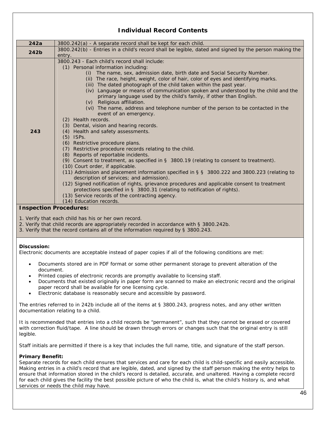### **Individual Record Contents**

| 242a                          | 3800.242(a) - A separate record shall be kept for each child.                                         |
|-------------------------------|-------------------------------------------------------------------------------------------------------|
| 242b                          | 3800.242(b) - Entries in a child's record shall be legible, dated and signed by the person making the |
|                               | entry.                                                                                                |
|                               | 3800.243 - Fach child's record shall include:                                                         |
|                               | (1) Personal information including:                                                                   |
|                               | The name, sex, admission date, birth date and Social Security Number.<br>(i)                          |
|                               | (ii) The race, height, weight, color of hair, color of eyes and identifying marks.                    |
|                               | (iii) The dated photograph of the child taken within the past year.                                   |
|                               | (iv) Language or means of communication spoken and understood by the child and the                    |
|                               | primary language used by the child's family, if other than English.                                   |
|                               | (v) Religious affiliation.                                                                            |
|                               | (vi) The name, address and telephone number of the person to be contacted in the                      |
|                               | event of an emergency.                                                                                |
|                               | (2) Health records.                                                                                   |
|                               | Dental, vision and hearing records.<br>(3)                                                            |
| 243                           | Health and safety assessments.<br>(4)                                                                 |
|                               | ISP <sub>S</sub> .<br>(5)                                                                             |
|                               | (6) Restrictive procedure plans.                                                                      |
|                               | Restrictive procedure records relating to the child.<br>(7)                                           |
|                               | (8) Reports of reportable incidents.                                                                  |
|                               | (9) Consent to treatment, as specified in $\S$ 3800.19 (relating to consent to treatment).            |
|                               | (10) Court order, if applicable.                                                                      |
|                               | (11) Admission and placement information specified in § § 3800.222 and 3800.223 (relating to          |
|                               | description of services; and admission).                                                              |
|                               | (12) Signed notification of rights, grievance procedures and applicable consent to treatment          |
|                               | protections specified in § 3800.31 (relating to notification of rights).                              |
|                               | (13) Service records of the contracting agency.                                                       |
|                               | (14) Education records.                                                                               |
| <b>Inspection Procedures:</b> |                                                                                                       |

- 1. Verify that each child has his or her own record.
- 2. Verify that child records are appropriately recorded in accordance with § 3800.242b.
- 3. Verify that the record contains all of the information required by § 3800.243.

### **Discussion:**

Electronic documents are acceptable instead of paper copies if all of the following conditions are met:

- Documents stored are in PDF format or some other permanent storage to prevent alteration of the document.
- Printed copies of electronic records are promptly available to licensing staff.
- Documents that existed originally in paper form are scanned to make an electronic record and the original paper record shall be available for one licensing cycle.
- Electronic database is reasonably secure and accessible by password.

The entries referred to in 242b include all of the items at § 3800.243, progress notes, and any other written documentation relating to a child.

It is recommended that entries into a child records be "permanent", such that they cannot be erased or covered with correction fluid/tape. A line should be drawn through errors or changes such that the original entry is still legible.

Staff initials are permitted if there is a key that includes the full name, title, and signature of the staff person.

### **Primary Benefit:**

Separate records for each child ensures that services and care for each child is child-specific and easily accessible. Making entries in a child's record that are legible, dated, and signed by the staff person making the entry helps to ensure that information stored in the child's record is detailed, accurate, and unaltered. Having a complete record for each child gives the facility the best possible picture of who the child is, what the child's history is, and what services or needs the child may have.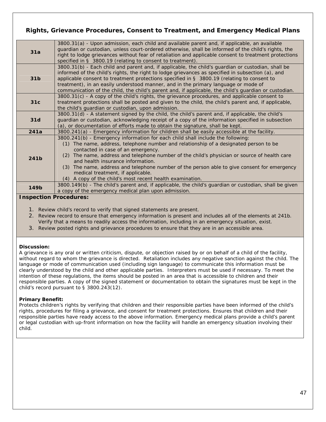### **Rights, Grievance Procedures, Consent to Treatment, and Emergency Medical Plans**

| 31a             | 3800.31(a) - Upon admission, each child and available parent and, if applicable, an available<br>guardian or custodian, unless court-ordered otherwise, shall be informed of the child's rights, the<br>right to lodge grievances without fear of retaliation and applicable consent to treatment protections<br>specified in § 3800.19 (relating to consent to treatment).                                                                                                                                                                          |
|-----------------|------------------------------------------------------------------------------------------------------------------------------------------------------------------------------------------------------------------------------------------------------------------------------------------------------------------------------------------------------------------------------------------------------------------------------------------------------------------------------------------------------------------------------------------------------|
| 31 <sub>b</sub> | 3800.31(b) - Each child and parent and, if applicable, the child's guardian or custodian, shall be<br>informed of the child's rights, the right to lodge grievances as specified in subsection (a), and<br>applicable consent to treatment protections specified in $\S$ 3800.19 (relating to consent to<br>treatment), in an easily understood manner, and in the primary language or mode of<br>communication of the child, the child's parent and, if applicable, the child's guardian or custodian.                                              |
| 31c             | 3800.31(c) - A copy of the child's rights, the grievance procedures, and applicable consent to<br>treatment protections shall be posted and given to the child, the child's parent and, if applicable,<br>the child's guardian or custodian, upon admission.                                                                                                                                                                                                                                                                                         |
| 31d             | 3800.31(d) - A statement signed by the child, the child's parent and, if applicable, the child's<br>guardian or custodian, acknowledging receipt of a copy of the information specified in subsection<br>(a), or documentation of efforts made to obtain the signature, shall be kept.                                                                                                                                                                                                                                                               |
| 241a            | 3800.241(a) - Emergency information for children shall be easily accessible at the facility.                                                                                                                                                                                                                                                                                                                                                                                                                                                         |
| 241b            | 3800.241(b) - Emergency information for each child shall include the following:<br>(1) The name, address, telephone number and relationship of a designated person to be<br>contacted in case of an emergency.<br>(2) The name, address and telephone number of the child's physician or source of health care<br>and health insurance information.<br>(3) The name, address and telephone number of the person able to give consent for emergency<br>medical treatment, if applicable.<br>(4) A copy of the child's most recent health examination. |
| 149b            | 3800.149(b) - The child's parent and, if applicable, the child's guardian or custodian, shall be given<br>a copy of the emergency medical plan upon admission.                                                                                                                                                                                                                                                                                                                                                                                       |
|                 | <b>Inspection Procedures:</b>                                                                                                                                                                                                                                                                                                                                                                                                                                                                                                                        |
|                 |                                                                                                                                                                                                                                                                                                                                                                                                                                                                                                                                                      |

- 1. Review child's record to verify that signed statements are present.
- 2. Review record to ensure that emergency information is present and includes all of the elements at 241b. Verify that a means to readily access the information, including in an emergency situation, exist.
- 3. Review posted rights and grievance procedures to ensure that they are in an accessible area.

### **Discussion:**

A grievance is any oral or written criticism, dispute, or objection raised by or on behalf of a child of the facility, without regard to whom the grievance is directed. Retaliation includes any negative sanction against the child. The language or mode of communication used (including sign language) to communicate this information must be clearly understood by the child and other applicable parties. Interpreters must be used if necessary. To meet the intention of these regulations, the items should be posted in an area that is accessible to children and their responsible parties. A copy of the signed statement or documentation to obtain the signatures must be kept in the child's record pursuant to § 3800.243(12).

### **Primary Benefit:**

Protects children's rights by verifying that children and their responsible parties have been informed of the child's rights, procedures for filing a grievance, and consent for treatment protections. Ensures that children and their responsible parties have ready access to the above information. Emergency medical plans provide a child's parent or legal custodian with up-front information on how the facility will handle an emergency situation involving their child.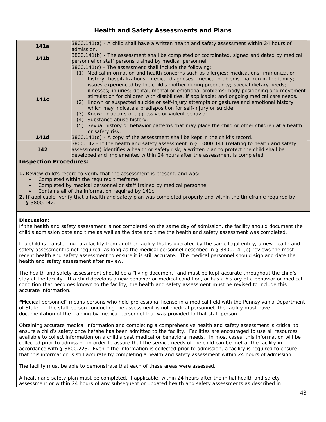### **Health and Safety Assessments and Plans**

| 141a             | 3800.141(a) - A child shall have a written health and safety assessment within 24 hours of<br>admission.                                                                                                                                                                                                                                                                                                                                                                                                                                                                                                                                                                                                                                                                                                                                                                                                                 |
|------------------|--------------------------------------------------------------------------------------------------------------------------------------------------------------------------------------------------------------------------------------------------------------------------------------------------------------------------------------------------------------------------------------------------------------------------------------------------------------------------------------------------------------------------------------------------------------------------------------------------------------------------------------------------------------------------------------------------------------------------------------------------------------------------------------------------------------------------------------------------------------------------------------------------------------------------|
| 141 <sub>b</sub> | 3800.141(b) - The assessment shall be completed or coordinated, signed and dated by medical<br>personnel or staff persons trained by medical personnel.                                                                                                                                                                                                                                                                                                                                                                                                                                                                                                                                                                                                                                                                                                                                                                  |
| 141 <sub>c</sub> | 3800.141(c) - The assessment shall include the following:<br>Medical information and health concerns such as allergies; medications; immunization<br>(1)<br>history; hospitalizations; medical diagnoses; medical problems that run in the family;<br>issues experienced by the child's mother during pregnancy; special dietary needs;<br>illnesses; injuries; dental, mental or emotional problems; body positioning and movement<br>stimulation for children with disabilities, if applicable; and ongoing medical care needs.<br>Known or suspected suicide or self-injury attempts or gestures and emotional history<br>(2)<br>which may indicate a predisposition for self-injury or suicide.<br>Known incidents of aggressive or violent behavior.<br>(3)<br>Substance abuse history.<br>(4)<br>(5) Sexual history or behavior patterns that may place the child or other children at a health<br>or safety risk. |
| 141d             | 3800.141(d) - A copy of the assessment shall be kept in the child's record.                                                                                                                                                                                                                                                                                                                                                                                                                                                                                                                                                                                                                                                                                                                                                                                                                                              |
| 142              | 3800.142 - If the health and safety assessment in $\S$ 3800.141 (relating to health and safety<br>assessment) identifies a health or safety risk, a written plan to protect the child shall be<br>developed and implemented within 24 hours after the assessment is completed.                                                                                                                                                                                                                                                                                                                                                                                                                                                                                                                                                                                                                                           |
|                  |                                                                                                                                                                                                                                                                                                                                                                                                                                                                                                                                                                                                                                                                                                                                                                                                                                                                                                                          |

### **Inspection Procedures:**

**1.** Review child's record to verify that the assessment is present, and was:

- Completed within the required timeframe
- Completed by medical personnel or staff trained by medical personnel
- Contains all of the information required by 141c
- **2.** If applicable, verify that a health and safety plan was completed properly and within the timeframe required by § 3800.142.

### **Discussion:**

If the health and safety assessment is not completed on the same day of admission, the facility should document the child's admission date *and time* as well as the date *and time* the health and safety assessment was completed.

If a child is transferring to a facility from another facility that is operated by the same legal entity, a new health and safety assessment is not required, as long as the medical personnel described in § 3800.141(b) reviews the most recent health and safety assessment to ensure it is still accurate. The medical personnel should sign and date the health and safety assessment after review.

The health and safety assessment should be a "living document" and must be kept accurate throughout the child's stay at the facility. If a child develops a new behavior or medical condition, or has a history of a behavior or medical condition that becomes known to the facility, the health and safety assessment must be revised to include this accurate information.

**"**Medical personnel" means persons who hold professional license in a medical field with the Pennsylvania Department of State. If the staff person conducting the assessment is not medical personnel, the facility must have documentation of the training by medical personnel that was provided to that staff person.

Obtaining accurate medical information and completing a comprehensive health and safety assessment is critical to ensure a child's safety once he/she has been admitted to the facility. Facilities are encouraged to use all resources available to collect information on a child's past medical or behavioral needs. In most cases, this information will be collected prior to admission in order to assure that the service needs of the child can be met at the facility in accordance with § 3800.223. Even if the information is collected prior to admission, a facility is required to ensure that this information is still accurate by completing a health and safety assessment within 24 hours of admission.

The facility must be able to demonstrate that each of these areas were assessed.

A health and safety plan must be completed, if applicable, within 24 hours after the initial health and safety assessment or within 24 hours of any subsequent or updated health and safety assessments as described in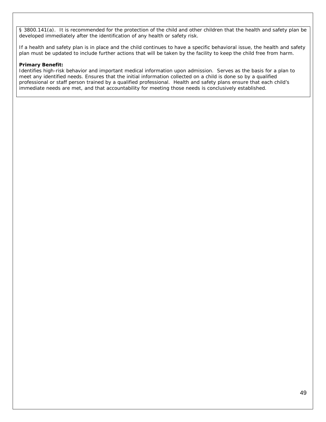§ 3800.141(a). It is recommended for the protection of the child and other children that the health and safety plan be developed immediately after the identification of any health or safety risk.

If a health and safety plan is in place and the child continues to have a specific behavioral issue, the health and safety plan must be updated to include further actions that will be taken by the facility to keep the child free from harm.

### **Primary Benefit:**

Identifies high-risk behavior and important medical information upon admission. Serves as the basis for a plan to meet any identified needs. Ensures that the initial information collected on a child is done so by a qualified professional or staff person trained by a qualified professional. Health and safety plans ensure that each child's immediate needs are met, and that accountability for meeting those needs is conclusively established.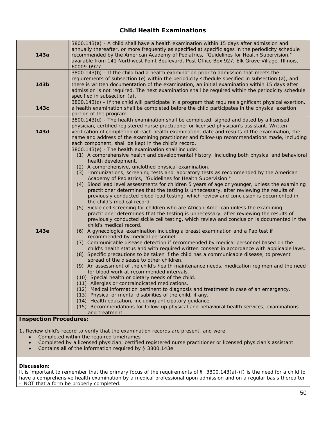### **Child Health Examinations**

| 143a             | 3800.143(a) - A child shall have a health examination within 15 days after admission and<br>annually thereafter, or more frequently as specified at specific ages in the periodicity schedule<br>recommended by the American Academy of Pediatrics, "Guidelines for Health Supervision,"<br>available from 141 Northwest Point Boulevard, Post Office Box 927, Elk Grove Village, Illinois,<br>60009-0927.                                                                                                                                                                                                                                                                                                                                                                                                                                                                                                                                                                                                                                                                                                                                                                                                                                                                                                                                                                                                                                                                                                                                                                                                                                                                                                                                                                                                                                                                                                                                                                                                                                                            |
|------------------|-----------------------------------------------------------------------------------------------------------------------------------------------------------------------------------------------------------------------------------------------------------------------------------------------------------------------------------------------------------------------------------------------------------------------------------------------------------------------------------------------------------------------------------------------------------------------------------------------------------------------------------------------------------------------------------------------------------------------------------------------------------------------------------------------------------------------------------------------------------------------------------------------------------------------------------------------------------------------------------------------------------------------------------------------------------------------------------------------------------------------------------------------------------------------------------------------------------------------------------------------------------------------------------------------------------------------------------------------------------------------------------------------------------------------------------------------------------------------------------------------------------------------------------------------------------------------------------------------------------------------------------------------------------------------------------------------------------------------------------------------------------------------------------------------------------------------------------------------------------------------------------------------------------------------------------------------------------------------------------------------------------------------------------------------------------------------|
| 143 <sub>b</sub> | 3800.143(b) - If the child had a health examination prior to admission that meets the<br>requirements of subsection (e) within the periodicity schedule specified in subsection (a), and<br>there is written documentation of the examination, an initial examination within 15 days after<br>admission is not required. The next examination shall be required within the periodicity schedule<br>specified in subsection (a).                                                                                                                                                                                                                                                                                                                                                                                                                                                                                                                                                                                                                                                                                                                                                                                                                                                                                                                                                                                                                                                                                                                                                                                                                                                                                                                                                                                                                                                                                                                                                                                                                                       |
| 143c             | 3800.143(c) - If the child will participate in a program that requires significant physical exertion,<br>a health examination shall be completed before the child participates in the physical exertion<br>portion of the program.                                                                                                                                                                                                                                                                                                                                                                                                                                                                                                                                                                                                                                                                                                                                                                                                                                                                                                                                                                                                                                                                                                                                                                                                                                                                                                                                                                                                                                                                                                                                                                                                                                                                                                                                                                                                                                    |
| 143d             | 3800.143(d) - The health examination shall be completed, signed and dated by a licensed<br>physician, certified registered nurse practitioner or licensed physician's assistant. Written<br>verification of completion of each health examination, date and results of the examination, the<br>name and address of the examining practitioner and follow-up recommendations made, including<br>each component, shall be kept in the child's record.                                                                                                                                                                                                                                                                                                                                                                                                                                                                                                                                                                                                                                                                                                                                                                                                                                                                                                                                                                                                                                                                                                                                                                                                                                                                                                                                                                                                                                                                                                                                                                                                                   |
| 143e             | 3800.143(e) - The health examination shall include:<br>(1) A comprehensive health and developmental history, including both physical and behavioral<br>health development.<br>(2) A comprehensive, unclothed physical examination.<br>(3) Immunizations, screening tests and laboratory tests as recommended by the American<br>Academy of Pediatrics, "Guidelines for Health Supervision."<br>(4) Blood lead level assessments for children 5 years of age or younger, unless the examining<br>practitioner determines that the testing is unnecessary, after reviewing the results of<br>previously conducted blood lead testing, which review and conclusion is documented in<br>the child's medical record.<br>(5) Sickle cell screening for children who are African-American unless the examining<br>practitioner determines that the testing is unnecessary, after reviewing the results of<br>previously conducted sickle cell testing, which review and conclusion is documented in the<br>child's medical record.<br>(6) A gynecological examination including a breast examination and a Pap test if<br>recommended by medical personnel.<br>(7) Communicable disease detection if recommended by medical personnel based on the<br>child's health status and with required written consent in accordance with applicable laws.<br>(8) Specific precautions to be taken if the child has a communicable disease, to prevent<br>spread of the disease to other children.<br>(9) An assessment of the child's health maintenance needs, medication regimen and the need<br>for blood work at recommended intervals.<br>(10) Special health or dietary needs of the child.<br>(11) Allergies or contraindicated medications.<br>(12) Medical information pertinent to diagnosis and treatment in case of an emergency.<br>(13) Physical or mental disabilities of the child, if any.<br>(14) Health education, including anticipatory guidance.<br>(15) Recommendations for follow-up physical and behavioral health services, examinations<br>and treatment. |

**Inspection Procedures:** 

**1.** Review child's record to verify that the examination records are present, and were:

- Completed within the required timeframes
- Completed by a licensed physician, certified registered nurse practitioner or licensed physician's assistant
- Contains all of the information required by § 3800.143e

### **Discussion:**

It is important to remember that the primary focus of the requirements of § 3800.143(a)-(f) is the need for a child to have a comprehensive health examination by a medical professional upon admission and on a regular basis thereafter – NOT that a form be properly completed.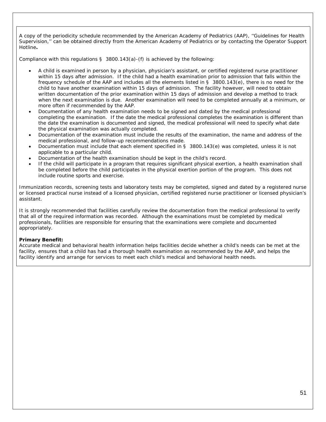A copy of the periodicity schedule recommended by the American Academy of Pediatrics (AAP), ''Guidelines for Health Supervision,'' can be obtained directly from the American Academy of Pediatrics or by contacting the Operator Support Hotline**.** 

Compliance with this regulations  $\S$  3800.143(a)-(f) is achieved by the following:

- A child is examined *in person* by a physician, physician's assistant, or certified registered nurse practitioner within 15 days after admission. If the child had a health examination prior to admission that falls within the frequency schedule of the AAP and includes all the elements listed in § 3800.143(e), there is no need for the child to have another examination within 15 days of admission. The facility however, will need to obtain written documentation of the prior examination within 15 days of admission and develop a method to track when the next examination is due. Another examination will need to be completed annually at a minimum, or more often if recommended by the AAP.
- Documentation of any health examination needs to be signed and dated by the medical professional completing the examination. If the date the medical professional completes the examination is different than the date the examination is documented and signed, the medical professional will need to specify what date the physical examination was actually completed.
- Documentation of the examination must include the results of the examination, the name and address of the medical professional, and follow-up recommendations made.
- Documentation must include that each element specified in § 3800.143(e) was completed, unless it is not applicable to a particular child.
- Documentation of the health examination should be kept in the child's record.
- If the child will participate in a program that requires significant physical exertion, a health examination shall be completed before the child participates in the physical exertion portion of the program. This does not include routine sports and exercise.

Immunization records, screening tests and laboratory tests may be completed, signed and dated by a registered nurse or licensed practical nurse instead of a licensed physician, certified registered nurse practitioner or licensed physician's assistant.

It is strongly recommended that facilities carefully review the documentation from the medical professional to verify that all of the required information was recorded. Although the examinations must be completed by medical professionals, facilities are responsible for ensuring that the examinations were complete and documented appropriately.

### **Primary Benefit:**

Accurate medical and behavioral health information helps facilities decide whether a child's needs can be met at the facility, ensures that a child has had a thorough health examination as recommended by the AAP, and helps the facility identify and arrange for services to meet each child's medical and behavioral health needs.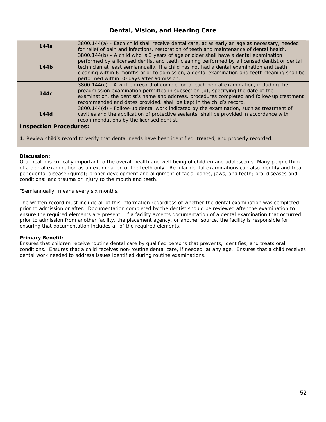### **Dental, Vision, and Hearing Care**

| 144a             | 3800.144(a) - Each child shall receive dental care, at as early an age as necessary, needed<br>for relief of pain and infections, restoration of teeth and maintenance of dental health.                                                                                                                                                                                                                                      |
|------------------|-------------------------------------------------------------------------------------------------------------------------------------------------------------------------------------------------------------------------------------------------------------------------------------------------------------------------------------------------------------------------------------------------------------------------------|
| 144 <sub>b</sub> | 3800.144(b) - A child who is 3 years of age or older shall have a dental examination<br>performed by a licensed dentist and teeth cleaning performed by a licensed dentist or dental<br>technician at least semiannually. If a child has not had a dental examination and teeth<br>cleaning within 6 months prior to admission, a dental examination and teeth cleaning shall be<br>performed within 30 days after admission. |
| 144c             | 3800.144(c) - A written record of completion of each dental examination, including the<br>preadmission examination permitted in subsection (b), specifying the date of the<br>examination, the dentist's name and address, procedures completed and follow-up treatment<br>recommended and dates provided, shall be kept in the child's record.                                                                               |
| 144d             | 3800.144(d) - Follow-up dental work indicated by the examination, such as treatment of<br>cavities and the application of protective sealants, shall be provided in accordance with<br>recommendations by the licensed dentist.                                                                                                                                                                                               |

### **Inspection Procedures:**

**1.** Review child's record to verify that dental needs have been identified, treated, and properly recorded.

### **Discussion:**

Oral health is critically important to the overall health and well-being of children and adolescents. Many people think of a dental examination as an examination of the teeth only. Regular dental examinations can also identify and treat periodontal disease (gums); proper development and alignment of facial bones, jaws, and teeth; oral diseases and conditions; and trauma or injury to the mouth and teeth.

"Semiannually" means every six months.

The written record must include all of this information regardless of whether the dental examination was completed prior to admission or after. Documentation completed by the dentist should be reviewed after the examination to ensure the required elements are present. If a facility accepts documentation of a dental examination that occurred prior to admission from another facility, the placement agency, or another source, the facility is responsible for ensuring that documentation includes all of the required elements.

### **Primary Benefit:**

Ensures that children receive routine dental care by qualified persons that prevents, identifies, and treats oral conditions. Ensures that a child receives non-routine dental care, if needed, at any age. Ensures that a child receives dental work needed to address issues identified during routine examinations.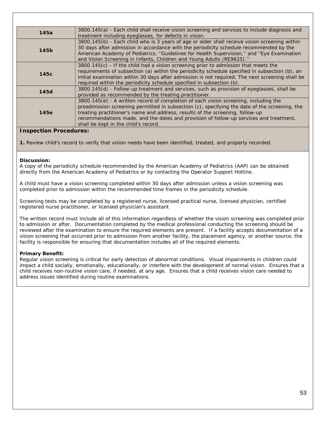| 145a        | 3800.145(a) - Each child shall receive vision screening and services to include diagnosis and                                                                                                                                                                                                                                                                                                            |
|-------------|----------------------------------------------------------------------------------------------------------------------------------------------------------------------------------------------------------------------------------------------------------------------------------------------------------------------------------------------------------------------------------------------------------|
|             | treatment including eyeglasses, for defects in vision.                                                                                                                                                                                                                                                                                                                                                   |
| 145b        | 3800.145(b) - Each child who is 3 years of age or older shall receive vision screening within<br>30 days after admission in accordance with the periodicity schedule recommended by the<br>American Academy of Pediatrics, "Guidelines for Health Supervision," and "Eye Examination<br>and Vision Screening in Infants, Children and Young Adults (RE9625)."                                            |
| 145c        | 3800.145(c) - If the child had a vision screening prior to admission that meets the<br>requirements of subsection (a) within the periodicity schedule specified in subsection (b), an<br>initial examination within 30 days after admission is not required. The next screening shall be<br>required within the periodicity schedule specified in subsection (b).                                        |
| <b>145d</b> | 3800.145(d) - Follow-up treatment and services, such as provision of eyeglasses, shall be<br>provided as recommended by the treating practitioner.                                                                                                                                                                                                                                                       |
| 145e        | 3800.145(e) - A written record of completion of each vision screening, including the<br>preadmission screening permitted in subsection (c), specifying the date of the screening, the<br>treating practitioner's name and address, results of the screening, follow-up<br>recommendations made, and the dates and provision of follow-up services and treatment,<br>shall be kept in the child's record. |

### **Inspection Procedures:**

**1.** Review child's record to verify that vision needs have been identified, treated, and properly recorded.

### **Discussion:**

A copy of the periodicity schedule recommended by the American Academy of Pediatrics (AAP) can be obtained directly from the American Academy of Pediatrics or by contacting the Operator Support Hotline.

A child must have a vision screening completed within 30 days after admission unless a vision screening was completed prior to admission within the recommended time frames in the periodicity schedule.

Screening tests may be completed by a registered nurse, licensed practical nurse, licensed physician, certified registered nurse practitioner, or licensed physician's assistant

The written record must include all of this information regardless of whether the vision screening was completed prior to admission or after. Documentation completed by the medical professional conducting the screening should be reviewed after the examination to ensure the required elements are present. If a facility accepts documentation of a vision screening that occurred prior to admission from another facility, the placement agency, or another source, the facility is responsible for ensuring that documentation includes all of the required elements.

### **Primary Benefit:**

Regular vision screening is critical for early detection of abnormal conditions. Visual impairments in children could impact a child socially, emotionally, educationally, or interfere with the development of normal vision. Ensures that a child receives non-routine vision care, if needed, at any age. Ensures that a child receives vision care needed to address issues identified during routine examinations.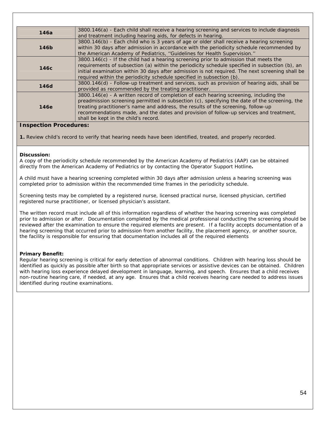| 146a | 3800.146(a) - Each child shall receive a hearing screening and services to include diagnosis<br>and treatment including hearing aids, for defects in hearing.                                                                                                                                                                                                                                                 |
|------|---------------------------------------------------------------------------------------------------------------------------------------------------------------------------------------------------------------------------------------------------------------------------------------------------------------------------------------------------------------------------------------------------------------|
| 146b | 3800.146(b) - Each child who is 3 years of age or older shall receive a hearing screening<br>within 30 days after admission in accordance with the periodicity schedule recommended by<br>the American Academy of Pediatrics, "Guidelines for Health Supervision."                                                                                                                                            |
| 146с | 3800.146(c) - If the child had a hearing screening prior to admission that meets the<br>requirements of subsection (a) within the periodicity schedule specified in subsection (b), an<br>initial examination within 30 days after admission is not required. The next screening shall be<br>required within the periodicity schedule specified in subsection (b).                                            |
| 146d | 3800.146(d) - Follow-up treatment and services, such as provision of hearing aids, shall be<br>provided as recommended by the treating practitioner.                                                                                                                                                                                                                                                          |
| 146e | 3800.146(e) - A written record of completion of each hearing screening, including the<br>preadmission screening permitted in subsection (c), specifying the date of the screening, the<br>treating practitioner's name and address, the results of the screening, follow-up<br>recommendations made, and the dates and provision of follow-up services and treatment,<br>shall be kept in the child's record. |

### **Inspection Procedures:**

**1.** Review child's record to verify that hearing needs have been identified, treated, and properly recorded.

### **Discussion:**

A copy of the periodicity schedule recommended by the American Academy of Pediatrics (AAP) can be obtained directly from the American Academy of Pediatrics or by contacting the Operator Support Hotline**.** 

A child must have a hearing screening completed within 30 days after admission unless a hearing screening was completed prior to admission within the recommended time frames in the periodicity schedule.

Screening tests may be completed by a registered nurse, licensed practical nurse, licensed physician, certified registered nurse practitioner, or licensed physician's assistant.

The written record must include all of this information regardless of whether the hearing screening was completed prior to admission or after. Documentation completed by the medical professional conducting the screening should be reviewed after the examination to ensure the required elements are present. If a facility accepts documentation of a hearing screening that occurred prior to admission from another facility, the placement agency, or another source, the facility is responsible for ensuring that documentation includes all of the required elements

### **Primary Benefit:**

Regular hearing screening is critical for early detection of abnormal conditions. Children with hearing loss should be identified as quickly as possible after birth so that appropriate services or assistive devices can be obtained. Children with hearing loss experience delayed development in language, learning, and speech. Ensures that a child receives non-routine hearing care, if needed, at any age. Ensures that a child receives hearing care needed to address issues identified during routine examinations.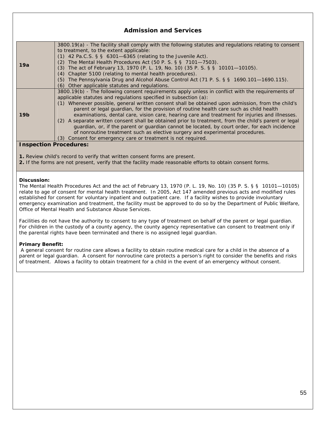### **Admission and Services**

| 19a                           | 3800.19(a) - The facility shall comply with the following statutes and regulations relating to consent |
|-------------------------------|--------------------------------------------------------------------------------------------------------|
|                               | to treatment, to the extent applicable:                                                                |
|                               | $(1)$ 42 Pa.C.S. § § 6301-6365 (relating to the Juvenile Act).                                         |
|                               | The Mental Health Procedures Act (50 P. S. $\S$ $\S$ 7101-7503).<br>(2)                                |
|                               | (3) The act of February 13, 1970 (P. L. 19, No. 10) (35 P. S. § § 10101—10105).                        |
|                               | (4) Chapter 5100 (relating to mental health procedures).                                               |
|                               | (5) The Pennsylvania Drug and Alcohol Abuse Control Act (71 P. S. § § 1690.101-1690.115).              |
|                               | (6) Other applicable statutes and regulations.                                                         |
|                               | 3800.19(b) - The following consent requirements apply unless in conflict with the requirements of      |
|                               | applicable statutes and regulations specified in subsection (a):                                       |
|                               | (1) Whenever possible, general written consent shall be obtained upon admission, from the child's      |
| 19 <sub>b</sub>               | parent or legal quardian, for the provision of routine health care such as child health                |
|                               | examinations, dental care, vision care, hearing care and treatment for injuries and illnesses.         |
|                               | (2) A separate written consent shall be obtained prior to treatment, from the child's parent or legal  |
|                               | guardian, or, if the parent or guardian cannot be located, by court order, for each incidence          |
|                               | of nonroutine treatment such as elective surgery and experimental procedures.                          |
|                               | (3) Consent for emergency care or treatment is not required.                                           |
| <b>Inspection Procedures:</b> |                                                                                                        |

### **Inspection Procedures:**

- **1.** Review child's record to verify that written consent forms are present.
- **2.** If the forms are not present, verify that the facility made reasonable efforts to obtain consent forms.

### **Discussion:**

The Mental Health Procedures Act and the act of February 13, 1970 (P. L. 19, No. 10) (35 P. S. § § 10101—10105) relate to age of consent for mental health treatment. In 2005, Act 147 amended previous acts and modified rules established for consent for voluntary inpatient and outpatient care. If a facility wishes to provide involuntary emergency examination and treatment, the facility must be approved to do so by the Department of Public Welfare, Office of Mental Health and Substance Abuse Services.

Facilities do not have the authority to consent to any type of treatment on behalf of the parent or legal guardian. For children in the custody of a county agency, the county agency representative can consent to treatment only if the parental rights have been terminated and there is no assigned legal guardian.

### **Primary Benefit:**

A general consent for routine care allows a facility to obtain routine medical care for a child in the absence of a parent or legal guardian. A consent for nonroutine care protects a person's right to consider the benefits and risks of treatment. Allows a facility to obtain treatment for a child in the event of an emergency without consent.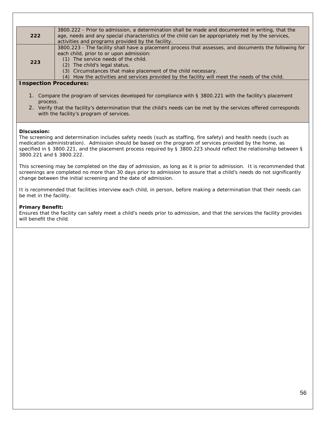| 222 | 3800.222 - Prior to admission, a determination shall be made and documented in writing, that the<br>age, needs and any special characteristics of the child can be appropriately met by the services, |
|-----|-------------------------------------------------------------------------------------------------------------------------------------------------------------------------------------------------------|
|     | activities and programs provided by the facility.                                                                                                                                                     |
| 223 | 3800.223 - The facility shall have a placement process that assesses, and documents the following for                                                                                                 |
|     | each child, prior to or upon admission:                                                                                                                                                               |
|     | The service needs of the child.<br>(1)                                                                                                                                                                |
|     | The child's legal status.<br>(2)                                                                                                                                                                      |
|     | (3) Circumstances that make placement of the child necessary.                                                                                                                                         |
|     | How the activities and services provided by the facility will meet the needs of the child.<br>(4)                                                                                                     |

### **Inspection Procedures:**

- 1. Compare the program of services developed for compliance with § 3800.221 with the facility's placement process.
- 2. Verify that the facility's determination that the child's needs can be met by the services offered corresponds with the facility's program of services.

### **Discussion:**

The screening and determination includes safety needs (such as staffing, fire safety) and health needs (such as medication administration). Admission should be based on the program of services provided by the home, as specified in § 3800.221, and the placement process required by § 3800.223 should reflect the relationship between § 3800.221 and § 3800.222.

This screening may be completed on the day of admission, as long as it is prior to admission. It is recommended that screenings are completed no more than 30 days prior to admission to assure that a child's needs do not significantly change between the initial screening and the date of admission.

It is recommended that facilities interview each child, in person, before making a determination that their needs can be met in the facility.

#### **Primary Benefit:**

Ensures that the facility can safely meet a child's needs prior to admission, and that the services the facility provides will benefit the child.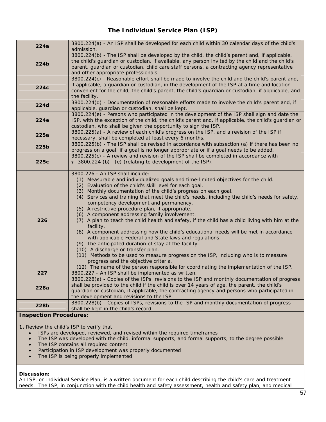### **The Individual Service Plan (ISP)**

| 224a                          | 3800.224(a) - An ISP shall be developed for each child within 30 calendar days of the child's<br>admission.                                                                                                                                                                                                                                                                                                                                                                                                                                                                                                                                                                                                                                                                                                                                                                                                                                                                                                                                                                                             |
|-------------------------------|---------------------------------------------------------------------------------------------------------------------------------------------------------------------------------------------------------------------------------------------------------------------------------------------------------------------------------------------------------------------------------------------------------------------------------------------------------------------------------------------------------------------------------------------------------------------------------------------------------------------------------------------------------------------------------------------------------------------------------------------------------------------------------------------------------------------------------------------------------------------------------------------------------------------------------------------------------------------------------------------------------------------------------------------------------------------------------------------------------|
| 224b                          | 3800.224(b) - The ISP shall be developed by the child, the child's parent and, if applicable,<br>the child's guardian or custodian, if available, any person invited by the child and the child's<br>parent, guardian or custodian, child care staff persons, a contracting agency representative<br>and other appropriate professionals.                                                                                                                                                                                                                                                                                                                                                                                                                                                                                                                                                                                                                                                                                                                                                               |
| 224c                          | 3800.224(c) - Reasonable effort shall be made to involve the child and the child's parent and,<br>if applicable, a guardian or custodian, in the development of the ISP at a time and location<br>convenient for the child, the child's parent, the child's guardian or custodian, if applicable, and<br>the facility.                                                                                                                                                                                                                                                                                                                                                                                                                                                                                                                                                                                                                                                                                                                                                                                  |
| <b>224d</b>                   | 3800.224(d) - Documentation of reasonable efforts made to involve the child's parent and, if<br>applicable, guardian or custodian, shall be kept.                                                                                                                                                                                                                                                                                                                                                                                                                                                                                                                                                                                                                                                                                                                                                                                                                                                                                                                                                       |
| 224e                          | 3800.224(e) - Persons who participated in the development of the ISP shall sign and date the<br>ISP, with the exception of the child, the child's parent and, if applicable, the child's guardian or<br>custodian, who shall be given the opportunity to sign the ISP.                                                                                                                                                                                                                                                                                                                                                                                                                                                                                                                                                                                                                                                                                                                                                                                                                                  |
| 225a                          | 3800.225(a) - A review of each child's progress on the ISP, and a revision of the ISP if<br>necessary, shall be completed at least every 6 months.                                                                                                                                                                                                                                                                                                                                                                                                                                                                                                                                                                                                                                                                                                                                                                                                                                                                                                                                                      |
| 225b                          | 3800.225(b) - The ISP shall be revised in accordance with subsection (a) if there has been no<br>progress on a goal, if a goal is no longer appropriate or if a goal needs to be added.                                                                                                                                                                                                                                                                                                                                                                                                                                                                                                                                                                                                                                                                                                                                                                                                                                                                                                                 |
| 225c                          | 3800.225(c) - A review and revision of the ISP shall be completed in accordance with<br>§ 3800.224 (b)-(e) (relating to development of the ISP).                                                                                                                                                                                                                                                                                                                                                                                                                                                                                                                                                                                                                                                                                                                                                                                                                                                                                                                                                        |
| 226                           | 3800.226 - An ISP shall include:<br>(1) Measurable and individualized goals and time-limited objectives for the child.<br>(2) Evaluation of the child's skill level for each goal.<br>(3) Monthly documentation of the child's progress on each goal.<br>(4) Services and training that meet the child's needs, including the child's needs for safety,<br>competency development and permanency.<br>(5) A restrictive procedure plan, if appropriate.<br>(6) A component addressing family involvement.<br>(7) A plan to teach the child health and safety, if the child has a child living with him at the<br>facility.<br>(8) A component addressing how the child's educational needs will be met in accordance<br>with applicable Federal and State laws and regulations.<br>(9) The anticipated duration of stay at the facility.<br>(10) A discharge or transfer plan.<br>(11) Methods to be used to measure progress on the ISP, including who is to measure<br>progress and the objective criteria.<br>(12) The name of the person responsible for coordinating the implementation of the ISP. |
| 227                           | 3800.227 - An ISP shall be implemented as written.                                                                                                                                                                                                                                                                                                                                                                                                                                                                                                                                                                                                                                                                                                                                                                                                                                                                                                                                                                                                                                                      |
| 228a                          | 3800.228(a) - Copies of the ISPs, revisions to the ISP and monthly documentation of progress<br>shall be provided to the child if the child is over 14 years of age, the parent, the child's<br>guardian or custodian, if applicable, the contracting agency and persons who participated in<br>the development and revisions to the ISP.                                                                                                                                                                                                                                                                                                                                                                                                                                                                                                                                                                                                                                                                                                                                                               |
| 228b                          | 3800.228(b) - Copies of ISPs, revisions to the ISP and monthly documentation of progress<br>shall be kept in the child's record.                                                                                                                                                                                                                                                                                                                                                                                                                                                                                                                                                                                                                                                                                                                                                                                                                                                                                                                                                                        |
| <b>Inspection Procedures:</b> |                                                                                                                                                                                                                                                                                                                                                                                                                                                                                                                                                                                                                                                                                                                                                                                                                                                                                                                                                                                                                                                                                                         |

**1.** Review the child's ISP to verify that:

- ISPs are developed, reviewed, and revised within the required timeframes
- The ISP was developed with the child, informal supports, and formal supports, to the degree possible
- The ISP contains all required content
- Participation in ISP development was properly documented
- The ISP is being properly implemented

### **Discussion:**

An ISP, or Individual Service Plan, is a written document for each child describing the child's care and treatment needs.The ISP, in conjunction with the child health and safety assessment, health and safety plan, and medical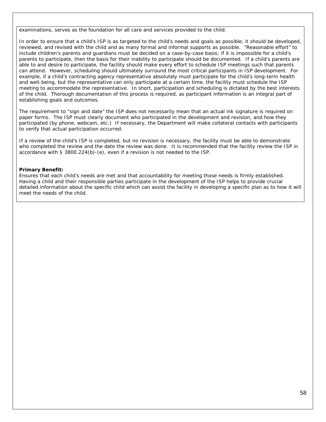examinations, serves as the foundation for all care and services provided to the child.

In order to ensure that a child's ISP is as targeted to the child's needs and goals as possible, it should be developed, reviewed, and revised with the child and as many formal and informal supports as possible. "Reasonable effort" to include children's parents and guardians must be decided on a case-by-case basis; if it is impossible for a child's parents to participate, then the basis for their inability to participate should be documented. If a child's parents are able to and desire to participate, the facility should make every effort to schedule ISP meetings such that parents can attend. However, scheduling should ultimately surround the most critical participants in ISP development. For example, if a child's contracting agency representative absolutely must participate for the child's long-term health and well-being, but the representative can only participate at a certain time, the facility must schedule the ISP meeting to accommodate the representative. In short, participation and scheduling is dictated by the best interests of the child. Thorough documentation of this process is required, as participant information is an integral part of establishing goals and outcomes.

The requirement to "sign and date" the ISP does not necessarily mean that an actual ink signature is required on paper forms. The ISP must clearly document who participated in the development and revision, and how they participated (by phone, webcam, etc.) If necessary, the Department will make collateral contacts with participants to verify that actual participation occurred.

If a review of the child's ISP is completed, but no revision is necessary, the facility must be able to demonstrate who completed the review and the date the review was done. It is recommended that the facility review the ISP in accordance with § 3800.224(b)-(e), even if a revision is not needed to the ISP.

### **Primary Benefit:**

Ensures that each child's needs are met and that accountability for meeting those needs is firmly established. Having a child and their responsible parties participate in the development of the ISP helps to provide crucial detailed information about the specific child which can assist the facility in developing a specific plan as to how it will meet the needs of the child.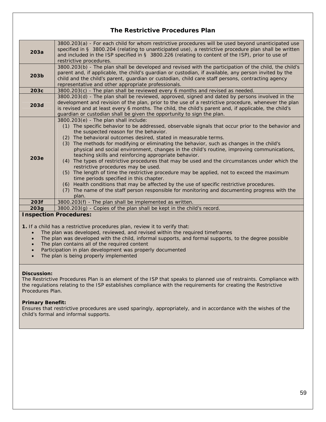### **The Restrictive Procedures Plan**

| 203a             | 3800.203(a) - For each child for whom restrictive procedures will be used beyond unanticipated use<br>specified in § 3800.204 (relating to unanticipated use), a restrictive procedure plan shall be written<br>and included in the ISP specified in § 3800.226 (relating to content of the ISP), prior to use of<br>restrictive procedures.                                                                                                                                                                                                                                                                                                                                                                                                                                                                                                                                                                                                                                                                    |
|------------------|-----------------------------------------------------------------------------------------------------------------------------------------------------------------------------------------------------------------------------------------------------------------------------------------------------------------------------------------------------------------------------------------------------------------------------------------------------------------------------------------------------------------------------------------------------------------------------------------------------------------------------------------------------------------------------------------------------------------------------------------------------------------------------------------------------------------------------------------------------------------------------------------------------------------------------------------------------------------------------------------------------------------|
| 203 <sub>b</sub> | 3800.203(b) - The plan shall be developed and revised with the participation of the child, the child's<br>parent and, if applicable, the child's guardian or custodian, if available, any person invited by the<br>child and the child's parent, guardian or custodian, child care staff persons, contracting agency<br>representative and other appropriate professionals.                                                                                                                                                                                                                                                                                                                                                                                                                                                                                                                                                                                                                                     |
| 203c             | 3800.203(c) - The plan shall be reviewed every 6 months and revised as needed.                                                                                                                                                                                                                                                                                                                                                                                                                                                                                                                                                                                                                                                                                                                                                                                                                                                                                                                                  |
| 203d             | 3800.203(d) - The plan shall be reviewed, approved, signed and dated by persons involved in the<br>development and revision of the plan, prior to the use of a restrictive procedure, whenever the plan<br>is revised and at least every 6 months. The child, the child's parent and, if applicable, the child's<br>guardian or custodian shall be given the opportunity to sign the plan.                                                                                                                                                                                                                                                                                                                                                                                                                                                                                                                                                                                                                      |
| 203e             | 3800.203(e) - The plan shall include:<br>(1) The specific behavior to be addressed, observable signals that occur prior to the behavior and<br>the suspected reason for the behavior.<br>The behavioral outcomes desired, stated in measurable terms.<br>(2)<br>The methods for modifying or eliminating the behavior, such as changes in the child's<br>(3)<br>physical and social environment, changes in the child's routine, improving communications,<br>teaching skills and reinforcing appropriate behavior.<br>(4) The types of restrictive procedures that may be used and the circumstances under which the<br>restrictive procedures may be used.<br>(5) The length of time the restrictive procedure may be applied, not to exceed the maximum<br>time periods specified in this chapter.<br>(6) Health conditions that may be affected by the use of specific restrictive procedures.<br>The name of the staff person responsible for monitoring and documenting progress with the<br>(7)<br>plan. |
| 203f             | 3800.203(f) - The plan shall be implemented as written.                                                                                                                                                                                                                                                                                                                                                                                                                                                                                                                                                                                                                                                                                                                                                                                                                                                                                                                                                         |
| 203g             | 3800.203(g) - Copies of the plan shall be kept in the child's record.                                                                                                                                                                                                                                                                                                                                                                                                                                                                                                                                                                                                                                                                                                                                                                                                                                                                                                                                           |
|                  |                                                                                                                                                                                                                                                                                                                                                                                                                                                                                                                                                                                                                                                                                                                                                                                                                                                                                                                                                                                                                 |

**Inspection Procedures:** 

**1.** If a child has a restrictive procedures plan, review it to verify that:

- The plan was developed, reviewed, and revised within the required timeframes
- The plan was developed with the child, informal supports, and formal supports, to the degree possible
- The plan contains all of the required content
- Participation in plan development was properly documented
- The plan is being properly implemented

### **Discussion:**

The Restrictive Procedures Plan is an element of the ISP that speaks to planned use of restraints. Compliance with the regulations relating to the ISP establishes compliance with the requirements for creating the Restrictive Procedures Plan.

### **Primary Benefit:**

Ensures that restrictive procedures are used sparingly, appropriately, and in accordance with the wishes of the child's formal and informal supports.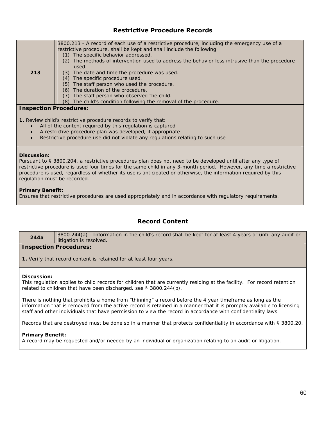|     | <b>Restrictive Procedure Records</b>                                                                                                                                  |
|-----|-----------------------------------------------------------------------------------------------------------------------------------------------------------------------|
|     | 3800.213 - A record of each use of a restrictive procedure, including the emergency use of a<br>restrictive procedure, shall be kept and shall include the following: |
|     | (1) The specific behavior addressed.                                                                                                                                  |
|     | The methods of intervention used to address the behavior less intrusive than the procedure<br>(2)<br>used.                                                            |
| 213 | The date and time the procedure was used.<br>(3)                                                                                                                      |
|     | The specific procedure used.<br>(4)                                                                                                                                   |
|     | The staff person who used the procedure.<br>(5)                                                                                                                       |
|     | The duration of the procedure.<br>(6)                                                                                                                                 |
|     | The staff person who observed the child.<br>(7)                                                                                                                       |
|     | The child's condition following the removal of the procedure.<br>(8)                                                                                                  |
|     | <b>Inspection Procedures:</b>                                                                                                                                         |
|     | <b>1.</b> Review child's restrictive procedure records to verify that:                                                                                                |

- All of the content required by this regulation is captured
- A restrictive procedure plan was developed, if appropriate
- Restrictive procedure use did not violate any regulations relating to such use

### **Discussion:**

Pursuant to § 3800.204, a restrictive procedures plan does not need to be developed until after any type of restrictive procedure is used four times for the same child in any 3-month period. However, any time a restrictive procedure is used, regardless of whether its use is anticipated or otherwise, the information required by this regulation must be recorded.

### **Primary Benefit:**

Ensures that restrictive procedures are used appropriately and in accordance with regulatory requirements.

### **Record Content**

**244a** 3800.244(a) - Information in the child's record shall be kept for at least 4 years or until any audit or litigation is resolved.

### **Inspection Procedures:**

**1.** Verify that record content is retained for at least four years.

### **Discussion:**

This regulation applies to child records for children that are currently residing at the facility. For record retention related to children that have been discharged, see § 3800.244(b).

There is nothing that prohibits a home from "thinning" a record before the 4 year timeframe as long as the information that is removed from the active record is retained in a manner that it is promptly available to licensing staff and other individuals that have permission to view the record in accordance with confidentiality laws.

Records that are destroyed must be done so in a manner that protects confidentiality in accordance with § 3800.20.

### **Primary Benefit:**

A record may be requested and/or needed by an individual or organization relating to an audit or litigation.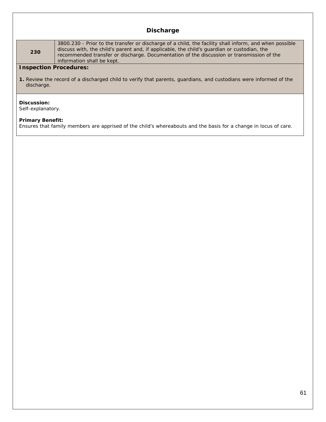### **Discharge**

**230**

3800.230 - Prior to the transfer or discharge of a child, the facility shall inform, and when possible discuss with, the child's parent and, if applicable, the child's guardian or custodian, the recommended transfer or discharge. Documentation of the discussion or transmission of the information shall be kept.

### **Inspection Procedures:**

**1.** Review the record of a discharged child to verify that parents, guardians, and custodians were informed of the discharge.

### **Discussion:**

Self-explanatory.

### **Primary Benefit:**

Ensures that family members are apprised of the child's whereabouts and the basis for a change in locus of care.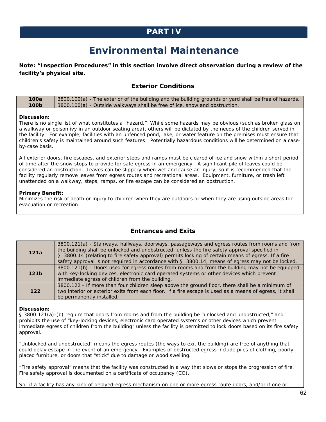## **PART IV**

# **Environmental Maintenance**

**Note: "Inspection Procedures" in this section involve direct observation during a review of the facility's physical site.** 

### **Exterior Conditions**

| 100a             | 3800.100(a) - The exterior of the building and the building grounds or yard shall be free of hazards. |
|------------------|-------------------------------------------------------------------------------------------------------|
| 100 <sub>b</sub> | 3800.100(a) - Outside walkways shall be free of ice, snow and obstruction.                            |

### **Discussion:**

There is no single list of what constitutes a "hazard." While some hazards may be obvious (such as broken glass on a walkway or poison ivy in an outdoor seating area), others will be dictated by the needs of the children served in the facility. For example, facilities with an unfenced pond, lake, or water feature on the premises must ensure that children's safety is maintained around such features. Potentially hazardous conditions will be determined on a caseby-case basis.

All exterior doors, fire escapes, and exterior steps and ramps must be cleared of ice and snow within a short period of time after the snow stops to provide for safe egress in an emergency. A significant pile of leaves could be considered an obstruction. Leaves can be slippery when wet and cause an injury, so it is recommended that the facility regularly remove leaves from egress routes and recreational areas. Equipment, furniture, or trash left unattended on a walkway, steps, ramps, or fire escape can be considered an obstruction.

### **Primary Benefit:**

Minimizes the risk of death or injury to children when they are outdoors or when they are using outside areas for evacuation or recreation.

| 121a             | 3800.121(a) - Stairways, hallways, doorways, passageways and egress routes from rooms and from<br>the building shall be unlocked and unobstructed, unless the fire safety approval specified in<br>§ 3800.14 (relating to fire safety approval) permits locking of certain means of egress. If a fire<br>safety approval is not required in accordance with $\S$ 3800.14, means of egress may not be locked. |
|------------------|--------------------------------------------------------------------------------------------------------------------------------------------------------------------------------------------------------------------------------------------------------------------------------------------------------------------------------------------------------------------------------------------------------------|
| 121 <sub>b</sub> | 3800.121(b) - Doors used for egress routes from rooms and from the building may not be equipped<br>with key-locking devices, electronic card operated systems or other devices which prevent<br>immediate egress of children from the building.                                                                                                                                                              |
| $122$            | 3800.122 - If more than four children sleep above the ground floor, there shall be a minimum of<br>two interior or exterior exits from each floor. If a fire escape is used as a means of egress, it shall<br>be permanently installed.                                                                                                                                                                      |

**Entrances and Exits** 

### **Discussion:**

§ 3800.121(a)-(b) require that doors from rooms and from the building be "unlocked and unobstructed," and prohibits the use of "key-locking devices, electronic card operated systems or other devices which prevent immediate egress of children from the building" unless the facility is permitted to lock doors based on its fire safety approval.

"Unblocked and unobstructed" means the egress routes (the ways to exit the building) are free of anything that could delay escape in the event of an emergency. Examples of obstructed egress include piles of clothing, poorlyplaced furniture, or doors that "stick" due to damage or wood swelling.

"Fire safety approval" means that the facility was constructed in a way that slows or stops the progression of fire. Fire safety approval is documented on a certificate of occupancy (CO).

So: if a facility has any kind of delayed-egress mechanism on one or more egress route doors, and/or if one or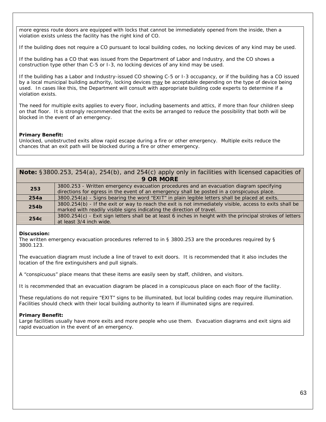more egress route doors are equipped with locks that cannot be immediately opened from the inside, then a violation exists unless the facility has the right kind of CO.

If the building does not require a CO pursuant to local building codes, no locking devices of any kind may be used.

If the building has a CO that was issued from the Department of Labor and Industry, and the CO shows a construction type other than C-5 or I-3, no locking devices of any kind may be used.

If the building has a Labor and Industry-issued CO showing C-5 or I-3 occupancy, or if the building has a CO issued by a local municipal building authority, locking devices may be acceptable depending on the type of device being used. In cases like this, the Department will consult with appropriate building code experts to determine if a violation exists.

The need for multiple exits applies to every floor, including basements and attics, if more than four children sleep on that floor. It is strongly recommended that the exits be arranged to reduce the possibility that both will be blocked in the event of an emergency.

### **Primary Benefit:**

Unlocked, unobstructed exits allow rapid escape during a fire or other emergency. Multiple exits reduce the chances that an exit path will be blocked during a fire or other emergency.

|           | Note: §3800.253, 254(a), 254(b), and 254(c) apply only in facilities with licensed capacities of |  |  |
|-----------|--------------------------------------------------------------------------------------------------|--|--|
| 9 OR MORE |                                                                                                  |  |  |

| 253  | 3800.253 - Written emergency evacuation procedures and an evacuation diagram specifying                    |
|------|------------------------------------------------------------------------------------------------------------|
|      | directions for egress in the event of an emergency shall be posted in a conspicuous place.                 |
| 254a | 3800.254(a) - Signs bearing the word "EXIT" in plain legible letters shall be placed at exits.             |
| 254b | 3800.254(b) - If the exit or way to reach the exit is not immediately visible, access to exits shall be    |
|      | marked with readily visible signs indicating the direction of travel.                                      |
| 254c | 3800.254(c) - Exit sign letters shall be at least 6 inches in height with the principal strokes of letters |
|      | at least 3/4 inch wide.                                                                                    |

### **Discussion:**

The written emergency evacuation procedures referred to in § 3800.253 are the procedures required by § 3800.123.

The evacuation diagram must include a line of travel to exit doors. It is recommended that it also includes the location of the fire extinguishers and pull signals.

A "conspicuous" place means that these items are easily seen by staff, children, and visitors.

It is recommended that an evacuation diagram be placed in a conspicuous place on each floor of the facility.

These regulations do not require "EXIT" signs to be illuminated, but local building codes may require illumination. Facilities should check with their local building authority to learn if illuminated signs are required.

### **Primary Benefit:**

Large facilities usually have more exits and more people who use them. Evacuation diagrams and exit signs aid rapid evacuation in the event of an emergency.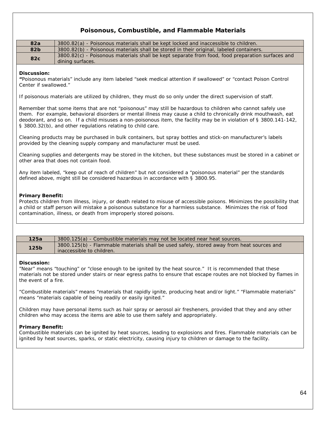### **Poisonous, Combustible, and Flammable Materials**

| 82a         | 3800.82(a) - Poisonous materials shall be kept locked and inaccessible to children.                                  |
|-------------|----------------------------------------------------------------------------------------------------------------------|
| 82b         | 3800.82(b) - Poisonous materials shall be stored in their original, labeled containers.                              |
| 82c         | 3800.82(c) - Poisonous materials shall be kept separate from food, food preparation surfaces and<br>dining surfaces. |
| Discussion: |                                                                                                                      |

### **"**Poisonous materials" include any item labeled "seek medical attention if swallowed" or "contact Poison Control Center if swallowed."

If poisonous materials are utilized by children, they must do so only under the direct supervision of staff.

Remember that some items that are not "poisonous" may still be hazardous to children who cannot safely use them. For example, behavioral disorders or mental illness may cause a child to chronically drink mouthwash, eat deodorant, and so on. If a child misuses a non-poisonous item, the facility may be in violation of § 3800.141-142, § 3800.32(b), and other regulations relating to child care.

Cleaning products may be purchased in bulk containers, but spray bottles and stick-on manufacturer's labels provided by the cleaning supply company and manufacturer must be used.

Cleaning supplies and detergents may be stored in the kitchen, but these substances must be stored in a cabinet or other area that does not contain food.

Any item labeled, "keep out of reach of children" but not considered a "poisonous material" per the standards defined above, might still be considered hazardous in accordance with § 3800.95.

### **Primary Benefit:**

Protects children from illness, injury, or death related to misuse of accessible poisons. Minimizes the possibility that a child or staff person will mistake a poisonous substance for a harmless substance. Minimizes the risk of food contamination, illness, or death from improperly stored poisons.

| 125a             | 3800.125(a) - Combustible materials may not be located near heat sources.                                              |
|------------------|------------------------------------------------------------------------------------------------------------------------|
| 125 <sub>b</sub> | 3800.125(b) - Flammable materials shall be used safely, stored away from heat sources and<br>inaccessible to children. |

### **Discussion:**

"Near" means "touching" or "close enough to be ignited by the heat source." It is recommended that these materials not be stored under stairs or near egress paths to ensure that escape routes are not blocked by flames in the event of a fire.

"Combustible materials" means "materials that rapidly ignite, producing heat and/or light." "Flammable materials" means "materials capable of being readily or easily ignited."

Children may have personal items such as hair spray or aerosol air fresheners, provided that they and any other children who may access the items are able to use them safely and appropriately.

### **Primary Benefit:**

Combustible materials can be ignited by heat sources, leading to explosions and fires. Flammable materials can be ignited by heat sources, sparks, or static electricity, causing injury to children or damage to the facility.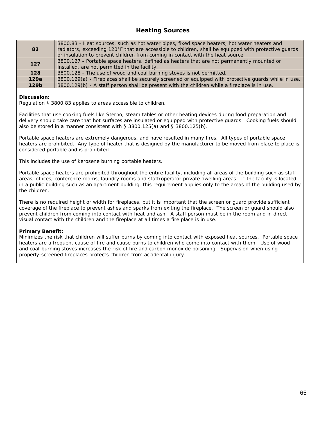### **Heating Sources**

| 83               | 3800.83 - Heat sources, such as hot water pipes, fixed space heaters, hot water heaters and<br>radiators, exceeding 120°F that are accessible to children, shall be equipped with protective guards<br>or insulation to prevent children from coming in contact with the heat source. |
|------------------|---------------------------------------------------------------------------------------------------------------------------------------------------------------------------------------------------------------------------------------------------------------------------------------|
| 127              | 3800.127 - Portable space heaters, defined as heaters that are not permanently mounted or<br>installed, are not permitted in the facility.                                                                                                                                            |
| 128              | 3800.128 - The use of wood and coal burning stoves is not permitted.                                                                                                                                                                                                                  |
| 129a             | 3800.129(a) - Fireplaces shall be securely screened or equipped with protective guards while in use.                                                                                                                                                                                  |
| 129 <sub>b</sub> | 3800.129(b) - A staff person shall be present with the children while a fireplace is in use.                                                                                                                                                                                          |

### **Discussion:**

Regulation § 3800.83 applies to areas accessible to children.

Facilities that use cooking fuels like Sterno, steam tables or other heating devices during food preparation and delivery should take care that hot surfaces are insulated or equipped with protective guards. Cooking fuels should also be stored in a manner consistent with § 3800.125(a) and § 3800.125(b).

Portable space heaters are extremely dangerous, and have resulted in many fires. All types of portable space heaters are prohibited. Any type of heater that is designed by the manufacturer to be moved from place to place is considered portable and is prohibited.

This includes the use of kerosene burning portable heaters.

Portable space heaters are prohibited throughout the entire facility, including all areas of the building such as staff areas, offices, conference rooms, laundry rooms and staff/operator private dwelling areas. If the facility is located in a public building such as an apartment building, this requirement applies only to the areas of the building used by the children.

There is no required height or width for fireplaces, but it is important that the screen or guard provide sufficient coverage of the fireplace to prevent ashes and sparks from exiting the fireplace. The screen or guard should also prevent children from coming into contact with heat and ash. A staff person must be in the room and in direct visual contact with the children and the fireplace at all times a fire place is in use.

### **Primary Benefit:**

Minimizes the risk that children will suffer burns by coming into contact with exposed heat sources. Portable space heaters are a frequent cause of fire and cause burns to children who come into contact with them. Use of woodand coal-burning stoves increases the risk of fire and carbon monoxide poisoning. Supervision when using properly-screened fireplaces protects children from accidental injury.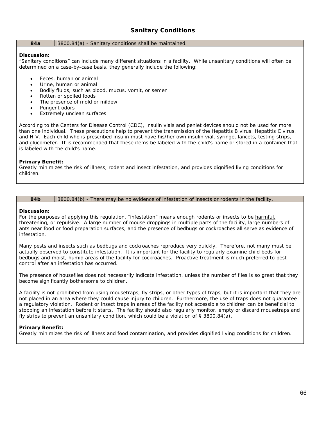### **Sanitary Conditions**

#### **84a** 3800.84(a) - Sanitary conditions shall be maintained.

### **Discussion:**

"Sanitary conditions" can include many different situations in a facility. While unsanitary conditions will often be determined on a case-by-case basis, they generally include the following:

- Feces, human or animal
- Urine, human or animal
- Bodily fluids, such as blood, mucus, vomit, or semen
- Rotten or spoiled foods
- The presence of mold or mildew
- Pungent odors
- Extremely unclean surfaces

According to the Centers for Disease Control (CDC), insulin vials and penlet devices should not be used for more than one individual. These precautions help to prevent the transmission of the Hepatitis B virus, Hepatitis C virus, and HIV. Each child who is prescribed insulin must have his/her own insulin vial, syringe, lancets, testing strips, and glucometer. It is recommended that these items be labeled with the child's name or stored in a container that is labeled with the child's name.

### **Primary Benefit:**

Greatly minimizes the risk of illness, rodent and insect infestation, and provides dignified living conditions for children.

### **84b** 3800.84(b) - There may be no evidence of infestation of insects or rodents in the facility.

### **Discussion:**

For the purposes of applying this regulation, "infestation" means enough rodents or insects to be harmful, threatening, or repulsive. A large number of mouse droppings in multiple parts of the facility, large numbers of ants near food or food preparation surfaces, and the presence of bedbugs or cockroaches all serve as evidence of infestation.

Many pests and insects such as bedbugs and cockroaches reproduce very quickly. Therefore, not many must be actually observed to constitute infestation. It is important for the facility to regularly examine child beds for bedbugs and moist, humid areas of the facility for cockroaches. Proactive treatment is much preferred to pest control after an infestation has occurred.

The presence of houseflies does not necessarily indicate infestation, unless the number of flies is so great that they become significantly bothersome to children.

A facility is not prohibited from using mousetraps, fly strips, or other types of traps, but it is important that they are not placed in an area where they could cause injury to children. Furthermore, the use of traps does not guarantee a regulatory violation. Rodent or insect traps in areas of the facility not accessible to children can be beneficial to stopping an infestation before it starts. The facility should also regularly monitor, empty or discard mousetraps and fly strips to prevent an unsanitary condition, which could be a violation of  $\S$  3800.84(a).

### **Primary Benefit:**

Greatly minimizes the risk of illness and food contamination, and provides dignified living conditions for children.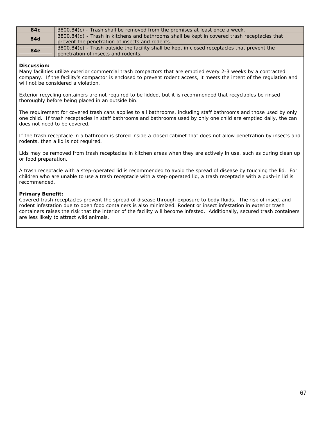| 84 <sub>c</sub> | 3800.84(c) - Trash shall be removed from the premises at least once a week.                                                                     |
|-----------------|-------------------------------------------------------------------------------------------------------------------------------------------------|
| 84d             | 3800.84(d) - Trash in kitchens and bathrooms shall be kept in covered trash receptacles that<br>prevent the penetration of insects and rodents. |
| <b>84e</b>      | 3800.84(e) - Trash outside the facility shall be kept in closed receptacles that prevent the<br>penetration of insects and rodents.             |

### **Discussion:**

Many facilities utilize exterior commercial trash compactors that are emptied every 2-3 weeks by a contracted company. If the facility's compactor is enclosed to prevent rodent access, it meets the intent of the regulation and will not be considered a violation.

Exterior recycling containers are not required to be lidded, but it is recommended that recyclables be rinsed thoroughly before being placed in an outside bin.

The requirement for covered trash cans applies to all bathrooms, including staff bathrooms and those used by only one child. If trash receptacles in staff bathrooms and bathrooms used by only one child are emptied daily, the can does not need to be covered.

If the trash receptacle in a bathroom is stored inside a closed cabinet that does not allow penetration by insects and rodents, then a lid is not required.

Lids may be removed from trash receptacles in kitchen areas when they are actively in use, such as during clean up or food preparation.

A trash receptacle with a step-operated lid is recommended to avoid the spread of disease by touching the lid. For children who are unable to use a trash receptacle with a step-operated lid, a trash receptacle with a push-in lid is recommended.

### **Primary Benefit:**

Covered trash receptacles prevent the spread of disease through exposure to body fluids. The risk of insect and rodent infestation due to open food containers is also minimized. Rodent or insect infestation in exterior trash containers raises the risk that the interior of the facility will become infested. Additionally, secured trash containers are less likely to attract wild animals.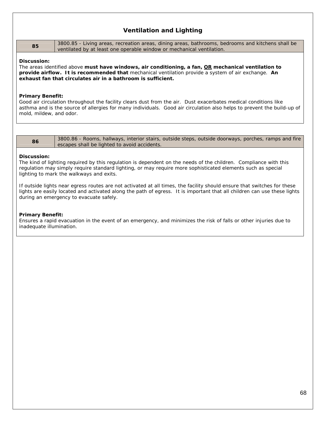### **Ventilation and Lighting**

| 85 | a 3800.85 - Living areas, recreation areas, dining areas, bathrooms, bedrooms and kitchens shall be |
|----|-----------------------------------------------------------------------------------------------------|
|    | ventilated by at least one operable window or mechanical ventilation.                               |

#### **Discussion:**

The areas identified above **must have windows, air conditioning, a fan, OR mechanical ventilation to provide airflow. It is recommended that** mechanical ventilation provide a system of air exchange. **An exhaust fan that circulates air in a bathroom is sufficient.** 

### **Primary Benefit:**

Good air circulation throughout the facility clears dust from the air. Dust exacerbates medical conditions like asthma and is the source of allergies for many individuals. Good air circulation also helps to prevent the build-up of mold, mildew, and odor.

86 3800.86 - Rooms, hallways, interior stairs, outside steps, outside doorways, porches, ramps and fire escapes shall be lighted to avoid accidents.

#### **Discussion:**

The kind of lighting required by this regulation is dependent on the needs of the children. Compliance with this regulation may simply require standard lighting, or may require more sophisticated elements such as special lighting to mark the walkways and exits.

If outside lights near egress routes are not activated at all times, the facility should ensure that switches for these lights are easily located and activated along the path of egress. It is important that all children can use these lights during an emergency to evacuate safely.

### **Primary Benefit:**

Ensures a rapid evacuation in the event of an emergency, and minimizes the risk of falls or other injuries due to inadequate illumination.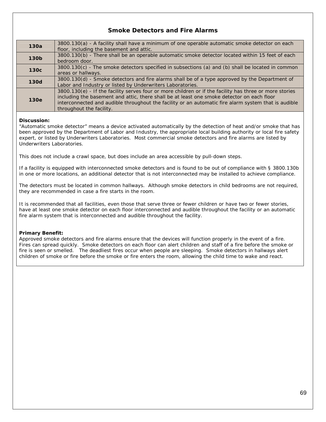### **Smoke Detectors and Fire Alarms**

| 130a             | 3800.130(a) - A facility shall have a minimum of one operable automatic smoke detector on each<br>floor, including the basement and attic.                                                                                                                                                                                                |
|------------------|-------------------------------------------------------------------------------------------------------------------------------------------------------------------------------------------------------------------------------------------------------------------------------------------------------------------------------------------|
| 130 <sub>b</sub> | 3800.130(b) - There shall be an operable automatic smoke detector located within 15 feet of each<br>bedroom door.                                                                                                                                                                                                                         |
| 130 <sub>c</sub> | 3800.130(c) - The smoke detectors specified in subsections (a) and (b) shall be located in common<br>areas or hallways.                                                                                                                                                                                                                   |
| <b>130d</b>      | 3800.130(d) - Smoke detectors and fire alarms shall be of a type approved by the Department of<br>Labor and Industry or listed by Underwriters Laboratories.                                                                                                                                                                              |
| 130e             | 3800.130(e) - If the facility serves four or more children or if the facility has three or more stories<br>including the basement and attic, there shall be at least one smoke detector on each floor<br>interconnected and audible throughout the facility or an automatic fire alarm system that is audible<br>throughout the facility. |

### **Discussion:**

"Automatic smoke detector" means a device activated automatically by the detection of heat and/or smoke that has been approved by the Department of Labor and Industry, the appropriate local building authority or local fire safety expert, or listed by Underwriters Laboratories. Most commercial smoke detectors and fire alarms are listed by Underwriters Laboratories.

This does not include a crawl space, but does include an area accessible by pull-down steps.

If a facility is equipped with interconnected smoke detectors and is found to be out of compliance with § 3800.130b in one or more locations, an additional detector that is not interconnected may be installed to achieve compliance.

The detectors must be located in common hallways. Although smoke detectors in child bedrooms are not required, they are recommended in case a fire starts in the room.

It is recommended that all facilities, even those that serve three or fewer children or have two or fewer stories, have at least one smoke detector on each floor interconnected and audible throughout the facility or an automatic fire alarm system that is interconnected and audible throughout the facility.

### **Primary Benefit:**

Approved smoke detectors and fire alarms ensure that the devices will function properly in the event of a fire. Fires can spread quickly.Smoke detectors on each floor can alert children and staff of a fire before the smoke or fire is seen or smelled. The deadliest fires occur when people are sleeping. Smoke detectors in hallways alert children of smoke or fire before the smoke or fire enters the room, allowing the child time to wake and react.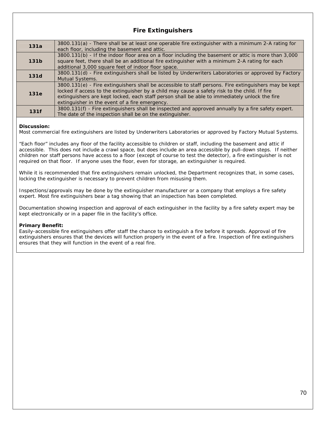### **Fire Extinguishers**

| 131a        | 3800.131(a) - There shall be at least one operable fire extinguisher with a minimum 2-A rating for<br>each floor, including the basement and attic.                                                                                                                                                                                                       |
|-------------|-----------------------------------------------------------------------------------------------------------------------------------------------------------------------------------------------------------------------------------------------------------------------------------------------------------------------------------------------------------|
| 131b        | 3800.131(b) - If the indoor floor area on a floor including the basement or attic is more than 3,000<br>square feet, there shall be an additional fire extinguisher with a minimum 2-A rating for each<br>additional 3,000 square feet of indoor floor space.                                                                                             |
| <b>131d</b> | 3800.131(d) - Fire extinguishers shall be listed by Underwriters Laboratories or approved by Factory<br>Mutual Systems.                                                                                                                                                                                                                                   |
| 131e        | 3800.131(e) - Fire extinguishers shall be accessible to staff persons. Fire extinguishers may be kept<br>locked if access to the extinguisher by a child may cause a safety risk to the child. If fire<br>extinguishers are kept locked, each staff person shall be able to immediately unlock the fire<br>extinguisher in the event of a fire emergency. |
| 131f        | 3800.131(f) - Fire extinguishers shall be inspected and approved annually by a fire safety expert.<br>The date of the inspection shall be on the extinguisher.                                                                                                                                                                                            |

### **Discussion:**

Most commercial fire extinguishers are listed by Underwriters Laboratories or approved by Factory Mutual Systems.

"Each floor" includes any floor of the facility accessible to children or staff, including the basement and attic if accessible. This does not include a crawl space, but does include an area accessible by pull-down steps. If neither children nor staff persons have access to a floor (except of course to test the detector), a fire extinguisher is not required on that floor. If anyone uses the floor, even for storage, an extinguisher is required.

While it is recommended that fire extinguishers remain unlocked, the Department recognizes that, in some cases, locking the extinguisher is necessary to prevent children from misusing them.

Inspections/approvals may be done by the extinguisher manufacturer or a company that employs a fire safety expert. Most fire extinguishers bear a tag showing that an inspection has been completed.

Documentation showing inspection and approval of each extinguisher in the facility by a fire safety expert may be kept electronically or in a paper file in the facility's office.

### **Primary Benefit:**

Easily-accessible fire extinguishers offer staff the chance to extinguish a fire before it spreads. Approval of fire extinguishers ensures that the devices will function properly in the event of a fire. Inspection of fire extinguishers ensures that they will function in the event of a real fire.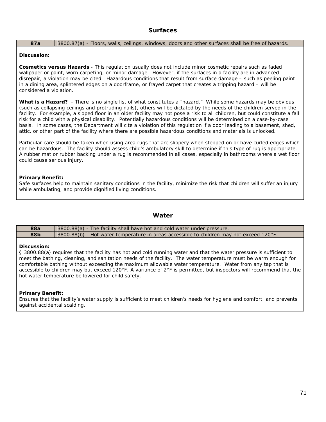### **87a** 3800.87(a) - Floors, walls, ceilings, windows, doors and other surfaces shall be free of hazards.

### **Discussion:**

**Cosmetics versus Hazards** - This regulation usually does not include minor cosmetic repairs such as faded wallpaper or paint, worn carpeting, or minor damage. However, if the surfaces in a facility are in advanced disrepair, a violation may be cited. Hazardous conditions that result from surface damage – such as peeling paint in a dining area, splintered edges on a doorframe, or frayed carpet that creates a tripping hazard – will be considered a violation.

**What is a Hazard?** - There is no single list of what constitutes a "hazard." While some hazards may be obvious (such as collapsing ceilings and protruding nails), others will be dictated by the needs of the children served in the facility. For example, a sloped floor in an older facility may not pose a risk to all children, but could constitute a fall risk for a child with a physical disability. Potentially hazardous conditions will be determined on a case-by-case basis. In some cases, the Department will cite a violation of this regulation if a door leading to a basement, shed, attic, or other part of the facility where there are possible hazardous conditions and materials is unlocked.

Particular care should be taken when using area rugs that are slippery when stepped on or have curled edges which can be hazardous. The facility should assess child's ambulatory skill to determine if this type of rug is appropriate. A rubber mat or rubber backing under a rug is recommended in all cases, especially in bathrooms where a wet floor could cause serious injury.

### **Primary Benefit:**

Safe surfaces help to maintain sanitary conditions in the facility, minimize the risk that children will suffer an injury while ambulating, and provide dignified living conditions.

### **Water**

| <b>88a</b> | 3800.88(a) - The facility shall have hot and cold water under pressure.                  |
|------------|------------------------------------------------------------------------------------------|
| 88b        | 3800.88(b) - Hot water temperature in areas accessible to children may not exceed 120°F. |

### **Discussion:**

§ 3800.88(a) requires that the facility has hot and cold running water and that the water pressure is sufficient to meet the bathing, cleaning, and sanitation needs of the facility. The water temperature must be warm enough for comfortable bathing without exceeding the maximum allowable water temperature. Water from any tap that is accessible to children may but exceed 120°F. A variance of 2°F is permitted, but inspectors will recommend that the hot water temperature be lowered for child safety.

### **Primary Benefit:**

Ensures that the facility's water supply is sufficient to meet children's needs for hygiene and comfort, and prevents against accidental scalding.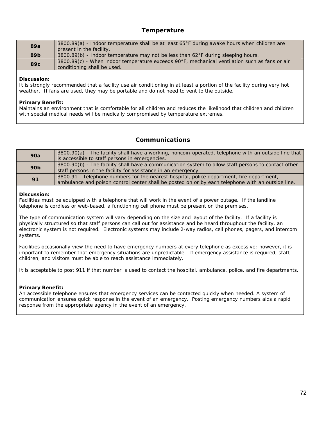### **Temperature**

| 89a | 3800.89(a) - Indoor temperature shall be at least 65°F during awake hours when children are<br>present in the facility.      |
|-----|------------------------------------------------------------------------------------------------------------------------------|
| 89b | 3800.89(b) - Indoor temperature may not be less than 62°F during sleeping hours.                                             |
| 89c | 3800.89(c) - When indoor temperature exceeds 90°F, mechanical ventilation such as fans or air<br>conditioning shall be used. |

### **Discussion:**

It is strongly recommended that a facility use air conditioning in at least a portion of the facility during very hot weather. If fans are used, they may be portable and do not need to vent to the outside.

### **Primary Benefit:**

Maintains an environment that is comfortable for all children and reduces the likelihood that children and children with special medical needs will be medically compromised by temperature extremes.

### **Communications**

| 90a             | 3800.90(a) - The facility shall have a working, noncoin-operated, telephone with an outside line that |
|-----------------|-------------------------------------------------------------------------------------------------------|
|                 | is accessible to staff persons in emergencies.                                                        |
| 90 <sub>b</sub> | 3800.90(b) - The facility shall have a communication system to allow staff persons to contact other   |
|                 | staff persons in the facility for assistance in an emergency.                                         |
| 91              | 3800.91 - Telephone numbers for the nearest hospital, police department, fire department,             |
|                 | ambulance and poison control center shall be posted on or by each telephone with an outside line.     |

### **Discussion:**

Facilities must be equipped with a telephone that will work in the event of a power outage. If the landline telephone is cordless or web-based, a functioning cell phone must be present on the premises.

The type of communication system will vary depending on the size and layout of the facility. If a facility is physically structured so that staff persons can call out for assistance and be heard throughout the facility, an electronic system is not required. Electronic systems may include 2-way radios, cell phones, pagers, and intercom systems.

Facilities occasionally view the need to have emergency numbers at every telephone as excessive; however, it is important to remember that emergency situations are unpredictable. If emergency assistance is required, staff, children, and visitors must be able to reach assistance immediately.

It is acceptable to post 911 if that number is used to contact the hospital, ambulance, police, and fire departments.

### **Primary Benefit:**

An accessible telephone ensures that emergency services can be contacted quickly when needed. A system of communication ensures quick response in the event of an emergency. Posting emergency numbers aids a rapid response from the appropriate agency in the event of an emergency.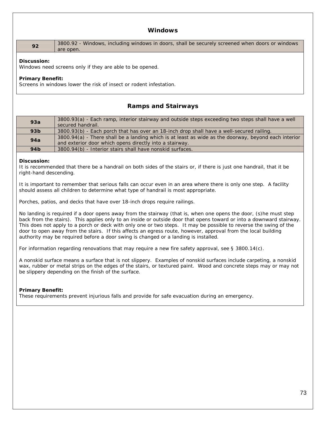### **Windows**

**92** 3800.92 - Windows, including windows in doors, shall be securely screened when doors or windows are open.

### **Discussion:**

Windows need screens only if they are able to be opened.

### **Primary Benefit:**

Screens in windows lower the risk of insect or rodent infestation.

### **Ramps and Stairways**

| 93a             | 3800.93(a) - Each ramp, interior stairway and outside steps exceeding two steps shall have a well<br>secured handrail.                                          |
|-----------------|-----------------------------------------------------------------------------------------------------------------------------------------------------------------|
| 93 <sub>b</sub> | 3800.93(b) - Each porch that has over an 18-inch drop shall have a well-secured railing.                                                                        |
| 94a             | 3800.94(a) - There shall be a landing which is at least as wide as the doorway, beyond each interior<br>and exterior door which opens directly into a stairway. |
| 94 <sub>b</sub> | 3800.94(b) - Interior stairs shall have nonskid surfaces.                                                                                                       |

### **Discussion:**

It is recommended that there be a handrail on both sides of the stairs or, if there is just one handrail, that it be right-hand descending.

It is important to remember that serious falls can occur even in an area where there is only one step. A facility should assess all children to determine what type of handrail is most appropriate.

Porches, patios, and decks that have over 18-inch drops require railings.

No landing is required if a door opens away from the stairway (that is, when one opens the door, (s)he must step back from the stairs). This applies only to an inside or outside door that opens toward or into a downward stairway. This does not apply to a porch or deck with only one or two steps. It may be possible to reverse the swing of the door to open away from the stairs. If this affects an egress route, however, approval from the local building authority may be required before a door swing is changed or a landing is installed.

For information regarding renovations that may require a new fire safety approval, see § 3800.14(c).

A nonskid surface means a surface that is not slippery. Examples of nonskid surfaces include carpeting, a nonskid wax, rubber or metal strips on the edges of the stairs, or textured paint. Wood and concrete steps may or may not be slippery depending on the finish of the surface.

### **Primary Benefit:**

These requirements prevent injurious falls and provide for safe evacuation during an emergency.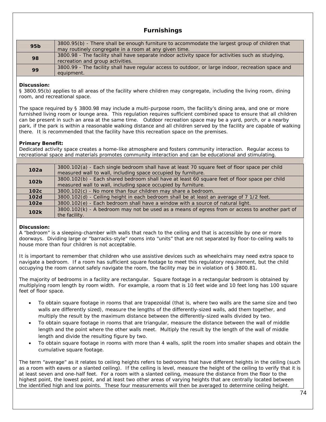# **Furnishings**

| 95 <sub>b</sub> | 3800.95(b) - There shall be enough furniture to accommodate the largest group of children that<br>may routinely congregate in a room at any given time. |
|-----------------|---------------------------------------------------------------------------------------------------------------------------------------------------------|
| 98              | 3800.98 - The facility shall have separate indoor activity space for activities such as studying,<br>recreation and group activities.                   |
| 99              | 3800.99 - The facility shall have regular access to outdoor, or large indoor, recreation space and<br>equipment.                                        |

### **Discussion:**

§ 3800.95(b) applies to all areas of the facility where children may congregate, including the living room, dining room, and recreational space.

The space required by § 3800.98 may include a multi-purpose room, the facility's dining area, and one or more furnished living room or lounge area. This regulation requires sufficient combined space to ensure that all children can be present in such an area at the same time. Outdoor recreation space may be a yard, porch, or a nearby park, if the park is within a reasonable walking distance and all children served by the facility are capable of walking there. It is recommended that the facility have this recreation space on the premises.

### **Primary Benefit:**

Dedicated activity space creates a home-like atmosphere and fosters community interaction. Regular access to recreational space and materials promotes community interaction and can be educational and stimulating.

| 102a             | 3800.102(a) - Each single bedroom shall have at least 70 square feet of floor space per child<br>measured wall to wall, including space occupied by furniture. |
|------------------|----------------------------------------------------------------------------------------------------------------------------------------------------------------|
| 102 <sub>b</sub> | 3800.102(b) - Each shared bedroom shall have at least 60 square feet of floor space per child<br>measured wall to wall, including space occupied by furniture. |
| 102c             | 3800.102(c) - No more than four children may share a bedroom.                                                                                                  |
| 102d             | 3800.102(d) - Ceiling height in each bedroom shall be at least an average of 7 1/2 feet.                                                                       |
| 102e             | 3800.102(e) - Each bedroom shall have a window with a source of natural light.                                                                                 |
| 102k             | 3800.102(k) - A bedroom may not be used as a means of egress from or access to another part of<br>the facility.                                                |
|                  |                                                                                                                                                                |

### **Discussion:**

A "bedroom" is a sleeping-chamber with walls that reach to the ceiling and that is accessible by one or more doorways. Dividing large or "barracks-style" rooms into "units" that are not separated by floor-to-ceiling walls to house more than four children is not acceptable.

It is important to remember that children who use assistive devices such as wheelchairs may need extra space to navigate a bedroom. If a room has sufficient square footage to meet this regulatory requirement, but the child occupying the room cannot safely navigate the room, the facility may be in violation of § 3800.81.

The majority of bedrooms in a facility are rectangular. Square footage in a rectangular bedroom is obtained by multiplying room length by room width. For example, a room that is 10 feet wide and 10 feet long has 100 square feet of floor space.

- To obtain square footage in rooms that are trapezoidal (that is, where two walls are the same size and two walls are differently sized), measure the lengths of the differently-sized walls, add them together, and multiply the result by the maximum distance between the differently-sized walls divided by two.
- To obtain square footage in rooms that are triangular, measure the distance between the wall of middle length and the point where the other walls meet. Multiply the result by the length of the wall of middle length and divide the resulting figure by two.
- To obtain square footage in rooms with more than 4 walls, split the room into smaller shapes and obtain the cumulative square footage.

The term "average" as it relates to ceiling heights refers to bedrooms that have different heights in the ceiling (such as a room with eaves or a slanted ceiling). If the ceiling is level, measure the height of the ceiling to verify that it is at least seven and one-half feet. For a room with a slanted ceiling, measure the distance from the floor to the highest point, the lowest point, and at least two other areas of varying heights that are centrally located between the identified high and low points. These four measurements will then be averaged to determine ceiling height.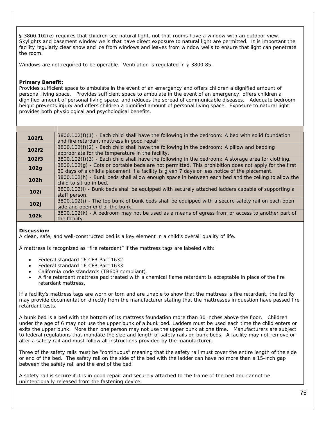§ 3800.102(e) requires that children see natural light, not that rooms have a window with an outdoor view. Skylights and basement window wells that have direct exposure to natural light are permitted. It is important the facility regularly clear snow and ice from windows and leaves from window wells to ensure that light can penetrate the room.

Windows are not required to be operable. Ventilation is regulated in § 3800.85.

### **Primary Benefit:**

Provides sufficient space to ambulate in the event of an emergency and offers children a dignified amount of personal living space. Provides sufficient space to ambulate in the event of an emergency, offers children a dignified amount of personal living space, and reduces the spread of communicable diseases. Adequate bedroom height prevents injury and offers children a dignified amount of personal living space. Exposure to natural light provides both physiological and psychological benefits.

| 102f1 | $3800.102(f)(1)$ - Each child shall have the following in the bedroom: A bed with solid foundation<br>and fire retardant mattress in good repair.                                                       |
|-------|---------------------------------------------------------------------------------------------------------------------------------------------------------------------------------------------------------|
| 102f2 | $3800.102(f)(2)$ - Each child shall have the following in the bedroom: A pillow and bedding<br>appropriate for the temperature in the facility.                                                         |
| 102f3 | $3800.102(f)(3)$ - Each child shall have the following in the bedroom: A storage area for clothing.                                                                                                     |
| 102g  | $3800.102(g)$ - Cots or portable beds are not permitted. This prohibition does not apply for the first<br>30 days of a child's placement if a facility is given 7 days or less notice of the placement. |
| 102h  | 3800.102(h) - Bunk beds shall allow enough space in between each bed and the ceiling to allow the<br>child to sit up in bed.                                                                            |
| 102i  | 3800.102(i) - Bunk beds shall be equipped with securely attached ladders capable of supporting a<br>staff person.                                                                                       |
| 102j  | 3800.102(j) - The top bunk of bunk beds shall be equipped with a secure safety rail on each open<br>side and open end of the bunk.                                                                      |
| 102k  | 3800.102(k) - A bedroom may not be used as a means of egress from or access to another part of<br>the facility.                                                                                         |

### **Discussion:**

A clean, safe, and well-constructed bed is a key element in a child's overall quality of life.

A mattress is recognized as "fire retardant" if the mattress tags are labeled with:

- Federal standard 16 CFR Part 1632
- Federal standard 16 CFR Part 1633
- California code standards (TB603 compliant).
- A fire retardant mattress pad treated with a chemical flame retardant is acceptable in place of the fire retardant mattress.

If a facility's mattress tags are worn or torn and are unable to show that the mattress is fire retardant, the facility may provide documentation directly from the manufacturer stating that the mattresses in question have passed fire retardant tests.

A bunk bed is a bed with the bottom of its mattress foundation more than 30 inches above the floor. Children under the age of 6 may not use the upper bunk of a bunk bed. Ladders must be used each time the child enters or exits the upper bunk. More than one person may not use the upper bunk at one time. Manufacturers are subject to federal regulations that mandate the size and length of safety rails on bunk beds. A facility may not remove or alter a safety rail and must follow all instructions provided by the manufacturer.

Three of the safety rails must be "continuous" meaning that the safety rail must cover the entire length of the side or end of the bed. The safety rail on the side of the bed with the ladder can have no more than a 15-inch gap between the safety rail and the end of the bed.

A safety rail is secure if it is in good repair and securely attached to the frame of the bed and cannot be unintentionally released from the fastening device.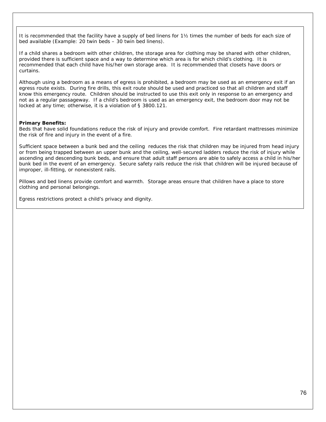It is recommended that the facility have a supply of bed linens for 1½ times the number of beds for each size of bed available (Example: 20 twin beds – 30 twin bed linens).

If a child shares a bedroom with other children, the storage area for clothing may be shared with other children, provided there is sufficient space and a way to determine which area is for which child's clothing. It is recommended that each child have his/her own storage area. It is recommended that closets have doors or curtains.

Although using a bedroom as a means of egress is prohibited, a bedroom may be used as an emergency exit if an egress route exists. During fire drills, this exit route should be used and practiced so that all children and staff know this emergency route. Children should be instructed to use this exit only in response to an emergency and not as a regular passageway. If a child's bedroom is used as an emergency exit, the bedroom door may not be locked at any time; otherwise, it is a violation of § 3800.121.

### **Primary Benefits:**

Beds that have solid foundations reduce the risk of injury and provide comfort. Fire retardant mattresses minimize the risk of fire and injury in the event of a fire.

Sufficient space between a bunk bed and the ceiling reduces the risk that children may be injured from head injury or from being trapped between an upper bunk and the ceiling, well-secured ladders reduce the risk of injury while ascending and descending bunk beds, and ensure that adult staff persons are able to safely access a child in his/her bunk bed in the event of an emergency. Secure safety rails reduce the risk that children will be injured because of improper, ill-fitting, or nonexistent rails.

Pillows and bed linens provide comfort and warmth. Storage areas ensure that children have a place to store clothing and personal belongings.

Egress restrictions protect a child's privacy and dignity.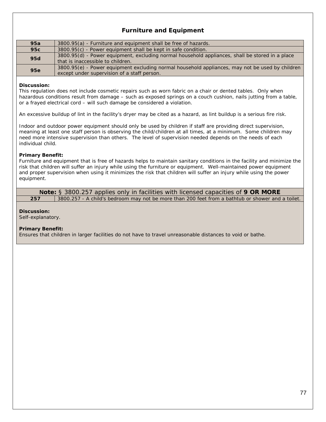# **Furniture and Equipment**

| 95a        | 3800.95(a) - Furniture and equipment shall be free of hazards.                                                                                 |
|------------|------------------------------------------------------------------------------------------------------------------------------------------------|
| 95c        | 3800.95(c) - Power equipment shall be kept in safe condition.                                                                                  |
| <b>95d</b> | 3800.95(d) - Power equipment, excluding normal household appliances, shall be stored in a place<br>that is inaccessible to children.           |
| <b>95e</b> | 3800.95(e) - Power equipment excluding normal household appliances, may not be used by children<br>except under supervision of a staff person. |

### **Discussion:**

This regulation does not include cosmetic repairs such as worn fabric on a chair or dented tables. Only when hazardous conditions result from damage – such as exposed springs on a couch cushion, nails jutting from a table, or a frayed electrical cord – will such damage be considered a violation.

An excessive buildup of lint in the facility's dryer may be cited as a hazard, as lint buildup is a serious fire risk.

Indoor and outdoor power equipment should only be used by children if staff are providing direct supervision, meaning at least one staff person is observing the child/children at all times, at a minimum. Some children may need more intensive supervision than others. The level of supervision needed depends on the needs of each individual child.

### **Primary Benefit:**

Furniture and equipment that is free of hazards helps to maintain sanitary conditions in the facility and minimize the risk that children will suffer an injury while using the furniture or equipment. Well-maintained power equipment and proper supervision when using it minimizes the risk that children will suffer an injury while using the power equipment.

**Note:** § 3800.257 applies only in facilities with licensed capacities of **9 OR MORE 257** 3800.257 - A child's bedroom may not be more than 200 feet from a bathtub or shower and a toilet.

### **Discussion:**

Self-explanatory.

### **Primary Benefit:**

Ensures that children in larger facilities do not have to travel unreasonable distances to void or bathe.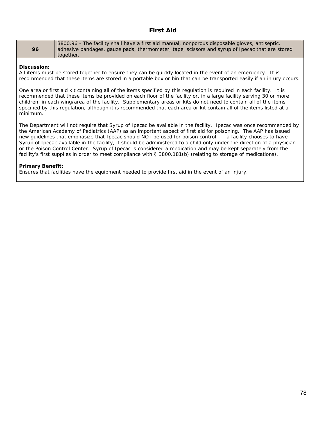### **First Aid**

**96**

3800.96 - The facility shall have a first aid manual, nonporous disposable gloves, antiseptic, adhesive bandages, gauze pads, thermometer, tape, scissors and syrup of Ipecac that are stored together.

### **Discussion:**

All items must be stored together to ensure they can be quickly located in the event of an emergency. It is recommended that these items are stored in a portable box or bin that can be transported easily if an injury occurs.

One area or first aid kit containing all of the items specified by this regulation is required in each facility. It is recommended that these items be provided on each floor of the facility or, in a large facility serving 30 or more children, in each wing/area of the facility. Supplementary areas or kits do not need to contain all of the items specified by this regulation, although it is recommended that each area or kit contain all of the items listed at a minimum.

The Department will not require that Syrup of Ipecac be available in the facility. Ipecac was once recommended by the American Academy of Pediatrics (AAP) as an important aspect of first aid for poisoning. The AAP has issued new guidelines that emphasize that Ipecac should NOT be used for poison control. If a facility chooses to have Syrup of Ipecac available in the facility, it should be administered to a child only under the direction of a physician or the Poison Control Center. Syrup of Ipecac is considered a medication and may be kept separately from the facility's first supplies in order to meet compliance with § 3800.181(b) (relating to storage of medications).

### **Primary Benefit:**

Ensures that facilities have the equipment needed to provide first aid in the event of an injury.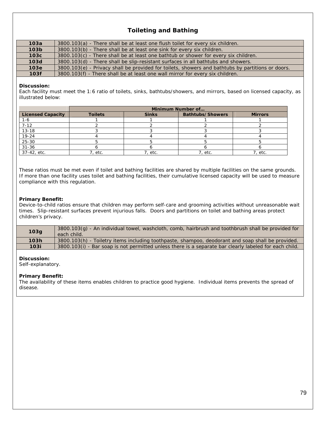# **Toileting and Bathing**

| 103a             | 3800.103(a) - There shall be at least one flush toilet for every six children.                    |
|------------------|---------------------------------------------------------------------------------------------------|
| 103 <sub>b</sub> | 3800.103(b) - There shall be at least one sink for every six children.                            |
| 103c             | $3800.103(c)$ - There shall be at least one bathtub or shower for every six children.             |
| 10 <sub>3d</sub> | 3800.103(d) - There shall be slip-resistant surfaces in all bathtubs and showers.                 |
| 103 <sub>e</sub> | 3800.103(e) - Privacy shall be provided for toilets, showers and bathtubs by partitions or doors. |
| 103f             | 3800.103(f) - There shall be at least one wall mirror for every six children.                     |

### **Discussion:**

Each facility must meet the 1:6 ratio of toilets, sinks, bathtubs/showers, and mirrors, based on licensed capacity, as illustrated below:

|                          |                |              | Minimum Number of       |                |
|--------------------------|----------------|--------------|-------------------------|----------------|
| <b>Licensed Capacity</b> | <b>Toilets</b> | <b>Sinks</b> | <b>Bathtubs/Showers</b> | <b>Mirrors</b> |
| $1 - 6$                  |                |              |                         |                |
| $7 - 12$                 |                |              |                         |                |
| $13 - 18$                |                |              |                         |                |
| $19 - 24$                |                |              |                         |                |
| $25 - 30$                |                |              |                         |                |
| $31 - 36$                |                |              |                         |                |
| 37-42, etc.              | 7, etc.        | ', etc.      | 7, etc.                 | 7, etc.        |

These ratios must be met even if toilet and bathing facilities are shared by multiple facilities on the same grounds. If more than one facility uses toilet and bathing facilities, their cumulative licensed capacity will be used to measure compliance with this regulation.

### **Primary Benefit:**

Device-to-child ratios ensure that children may perform self-care and grooming activities without unreasonable wait times. Slip-resistant surfaces prevent injurious falls. Doors and partitions on toilet and bathing areas protect children's privacy.

| 103g | 3800.103(g) - An individual towel, washcloth, comb, hairbrush and toothbrush shall be provided for<br>each child. |
|------|-------------------------------------------------------------------------------------------------------------------|
| 103h | 3800.103(h) - Toiletry items including toothpaste, shampoo, deodorant and soap shall be provided.                 |
| 103i | 3800.103(i) - Bar soap is not permitted unless there is a separate bar clearly labeled for each child.            |

### **Discussion:**

Self-explanatory.

### **Primary Benefit:**

The availability of these items enables children to practice good hygiene. Individual items prevents the spread of disease.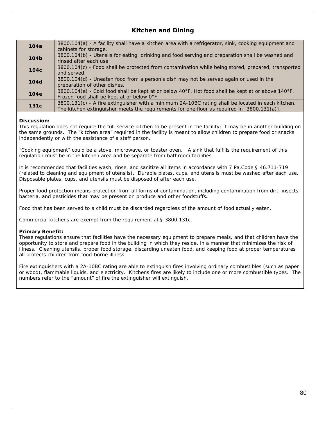# **Kitchen and Dining**

| 104a             | 3800.104(a) - A facility shall have a kitchen area with a refrigerator, sink, cooking equipment and<br>cabinets for storage.                                                                     |
|------------------|--------------------------------------------------------------------------------------------------------------------------------------------------------------------------------------------------|
| 104b             | 3800.104(b) - Utensils for eating, drinking and food serving and preparation shall be washed and<br>rinsed after each use.                                                                       |
| 104 <sub>c</sub> | 3800.104(c) - Food shall be protected from contamination while being stored, prepared, transported<br>and served.                                                                                |
| <b>104d</b>      | 3800.104(d) - Uneaten food from a person's dish may not be served again or used in the<br>preparation of other dishes.                                                                           |
| 104e             | 3800.104(e) - Cold food shall be kept at or below 40°F. Hot food shall be kept at or above 140°F.<br>Frozen food shall be kept at or below O°F.                                                  |
| 131c             | 3800.131(c) - A fire extinguisher with a minimum 2A-10BC rating shall be located in each kitchen.<br>The kitchen extinguisher meets the requirements for one floor as required in [3800.131(a)]. |

### **Discussion:**

This regulation does not require the full-service kitchen to be present in the facility; it may be in another building on the same grounds. The "kitchen area" required in the facility is meant to allow children to prepare food or snacks independently or with the assistance of a staff person.

"Cooking equipment" could be a stove, microwave, or toaster oven. A sink that fulfills the requirement of this regulation must be in the kitchen area and be separate from bathroom facilities.

It is recommended that facilities wash, rinse, and sanitize all items in accordance with 7 Pa.Code § 46.711-719 (related to cleaning and equipment of utensils). Durable plates, cups, and utensils must be washed after each use. Disposable plates, cups, and utensils must be disposed of after each use.

Proper food protection means protection from all forms of contamination, including contamination from dirt, insects, bacteria, and pesticides that may be present on produce and other foodstuffs**.** 

Food that has been served to a child must be discarded regardless of the amount of food actually eaten.

Commercial kitchens are exempt from the requirement at § 3800.131c.

### **Primary Benefit:**

These regulations ensure that facilities have the necessary equipment to prepare meals, and that children have the opportunity to store and prepare food in the building in which they reside, in a manner that minimizes the risk of illness. Cleaning utensils, proper food storage, discarding uneaten food, and keeping food at proper temperatures all protects children from food-borne illness.

Fire extinguishers with a 2A-10BC rating are able to extinguish fires involving ordinary combustibles (such as paper or wood), flammable liquids, and electricity. Kitchens fires are likely to include one or more combustible types. The numbers refer to the "amount" of fire the extinguisher will extinguish.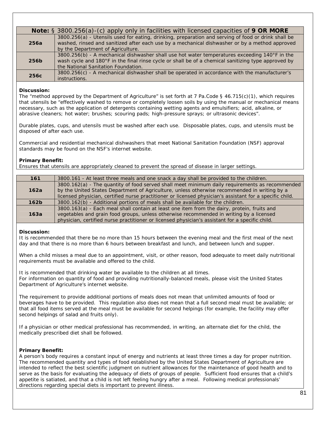|      | <b>Note:</b> § 3800.256(a)-(c) apply only in facilities with licensed capacities of 9 OR MORE                                                                                                                                               |  |  |
|------|---------------------------------------------------------------------------------------------------------------------------------------------------------------------------------------------------------------------------------------------|--|--|
| 256a | 3800.256(a) - Utensils used for eating, drinking, preparation and serving of food or drink shall be<br>washed, rinsed and sanitized after each use by a mechanical dishwasher or by a method approved<br>by the Department of Agriculture.  |  |  |
| 256b | 3800.256(b) - A mechanical dishwasher shall use hot water temperatures exceeding 140°F in the<br>wash cycle and 180°F in the final rinse cycle or shall be of a chemical sanitizing type approved by<br>the National Sanitation Foundation. |  |  |
| 256c | 3800.256(c) - A mechanical dishwasher shall be operated in accordance with the manufacturer's<br>instructions.                                                                                                                              |  |  |

### **Discussion:**

The "method approved by the Department of Agriculture" is set forth at 7 Pa.Code § 46.715(c)(1), which requires that utensils be "effectively washed to remove or completely loosen soils by using the manual or mechanical means necessary, such as the application of detergents containing wetting agents and emulsifiers; acid, alkaline, or abrasive cleaners; hot water; brushes; scouring pads; high-pressure sprays; or ultrasonic devices".

Durable plates, cups, and utensils must be washed after each use. Disposable plates, cups, and utensils must be disposed of after each use.

Commercial and residential mechanical dishwashers that meet National Sanitation Foundation (NSF) approval standards may be found on the NSF's internet website.

### **Primary Benefit:**

Ensures that utensils are appropriately cleaned to prevent the spread of disease in larger settings.

| 161              | 3800.161 - At least three meals and one snack a day shall be provided to the children.                   |
|------------------|----------------------------------------------------------------------------------------------------------|
|                  | 3800.162(a) - The quantity of food served shall meet minimum daily requirements as recommended           |
| 162a             | by the United States Department of Agriculture, unless otherwise recommended in writing by a             |
|                  | licensed physician, certified nurse practitioner or licensed physician's assistant for a specific child. |
| 162 <sub>b</sub> | 3800.162(b) - Additional portions of meals shall be available for the children.                          |
|                  | 3800.163(a) - Each meal shall contain at least one item from the dairy, protein, fruits and              |
| 163a             | vegetables and grain food groups, unless otherwise recommended in writing by a licensed                  |
|                  | physician, certified nurse practitioner or licensed physician's assistant for a specific child.          |
|                  |                                                                                                          |

### **Discussion:**

It is recommended that there be no more than 15 hours between the evening meal and the first meal of the next day and that there is no more than 6 hours between breakfast and lunch, and between lunch and supper.

When a child misses a meal due to an appointment, visit, or other reason, food adequate to meet daily nutritional requirements must be available and offered to the child.

It is recommended that drinking water be available to the children at all times. For information on quantity of food and providing nutritionally-balanced meals, please visit the United States Department of Agriculture's internet website.

The requirement to provide additional portions of meals does not mean that unlimited amounts of food or beverages have to be provided. This regulation also does not mean that a full second meal must be available; or that all food items served at the meal must be available for second helpings (for example, the facility may offer second helpings of salad and fruits only).

If a physician or other medical professional has recommended, in writing, an alternate diet for the child, the medically prescribed diet shall be followed.

### **Primary Benefit:**

A person's body requires a constant input of energy and nutrients at least three times a day for proper nutrition. The recommended quantity and types of food established by the United States Department of Agriculture are intended to reflect the best scientific judgment on nutrient allowances for the maintenance of good health and to serve as the basis for evaluating the adequacy of diets of groups of people. Sufficient food ensures that a child's appetite is satiated, and that a child is not left feeling hungry after a meal. Following medical professionals' directions regarding special diets is important to prevent illness.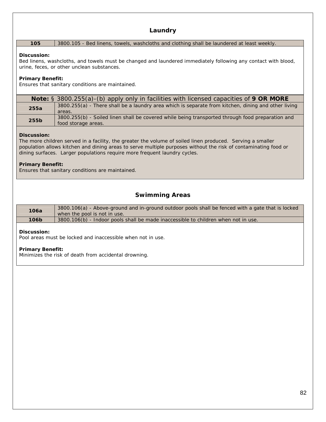# **Laundry**

### **105** 3800.105 - Bed linens, towels, washcloths and clothing shall be laundered at least weekly.

### **Discussion:**

Bed linens, washcloths, and towels must be changed and laundered immediately following any contact with blood, urine, feces, or other unclean substances.

### **Primary Benefit:**

Ensures that sanitary conditions are maintained.

|      | <b>Note:</b> § 3800.255(a)-(b) apply only in facilities with licensed capacities of 9 OR MORE                           |
|------|-------------------------------------------------------------------------------------------------------------------------|
| 255a | 3800.255(a) - There shall be a laundry area which is separate from kitchen, dining and other living<br>areas.           |
| 255b | 3800.255(b) - Soiled linen shall be covered while being transported through food preparation and<br>food storage areas. |

### **Discussion:**

The more children served in a facility, the greater the volume of soiled linen produced. Serving a smaller population allows kitchen and dining areas to serve multiple purposes without the risk of contaminating food or dining surfaces. Larger populations require more frequent laundry cycles.

### **Primary Benefit:**

Ensures that sanitary conditions are maintained.

# **Swimming Areas**

| 106a | 3800.106(a) - Above-ground and in-ground outdoor pools shall be fenced with a gate that is locked<br>when the pool is not in use. |
|------|-----------------------------------------------------------------------------------------------------------------------------------|
| 106b | 3800.106(b) - Indoor pools shall be made inaccessible to children when not in use.                                                |

### **Discussion:**

Pool areas must be locked and inaccessible when not in use.

### **Primary Benefit:**

Minimizes the risk of death from accidental drowning.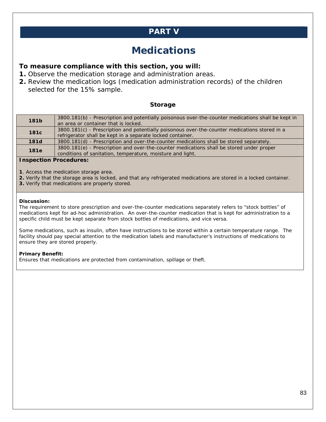# **PART V**

# **Medications**

# **To measure compliance with this section, you will:**

- **1.** Observe the medication storage and administration areas.
- **2.** Review the medication logs (medication administration records) of the children selected for the 15% sample.

## **Storage**

| <b>181b</b>      | 3800.181(b) - Prescription and potentially poisonous over-the-counter medications shall be kept in<br>an area or container that is locked.                  |
|------------------|-------------------------------------------------------------------------------------------------------------------------------------------------------------|
| 181 <sub>c</sub> | 3800.181(c) - Prescription and potentially poisonous over-the-counter medications stored in a<br>refrigerator shall be kept in a separate locked container. |
| <b>181d</b>      | 3800.181(d) - Prescription and over-the-counter medications shall be stored separately.                                                                     |
| 181e             | 3800.181(e) - Prescription and over-the-counter medications shall be stored under proper<br>conditions of sanitation, temperature, moisture and light.      |

### **Inspection Procedures:**

**1**. Access the medication storage area.

- **2.** Verify that the storage area is locked, and that any refrigerated medications are stored in a locked container.
- **3.** Verify that medications are properly stored.

### **Discussion:**

The requirement to store prescription and over-the-counter medications separately refers to "stock bottles" of medications kept for ad-hoc administration. An over-the-counter medication that is kept for administration to a specific child must be kept separate from stock bottles of medications, and vice versa.

Some medications, such as insulin, often have instructions to be stored within a certain temperature range. The facility should pay special attention to the medication labels and manufacturer's instructions of medications to ensure they are stored properly.

### **Primary Benefit:**

Ensures that medications are protected from contamination, spillage or theft.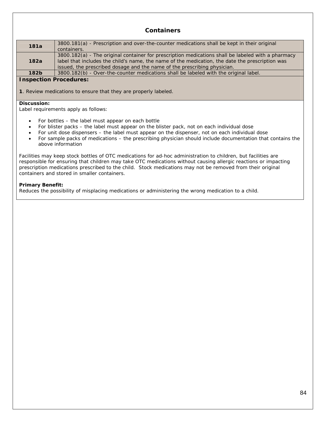## **Containers**

| 181a | 3800.181(a) - Prescription and over-the-counter medications shall be kept in their original<br>containers.                                                                                                                                                                        |
|------|-----------------------------------------------------------------------------------------------------------------------------------------------------------------------------------------------------------------------------------------------------------------------------------|
| 182a | 3800.182(a) - The original container for prescription medications shall be labeled with a pharmacy<br>label that includes the child's name, the name of the medication, the date the prescription was<br>issued, the prescribed dosage and the name of the prescribing physician. |
| 182b | 3800.182(b) - Over-the-counter medications shall be labeled with the original label.                                                                                                                                                                                              |
|      |                                                                                                                                                                                                                                                                                   |

### **Inspection Procedures:**

**1**. Review medications to ensure that they are properly labeled.

#### **Discussion:**

Label requirements apply as follows:

- For bottles the label must appear on each bottle
- For blister packs the label must appear on the blister pack, not on each individual dose
- For unit dose dispensers the label must appear on the dispenser, not on each individual dose
- For sample packs of medications the prescribing physician should include documentation that contains the above information

Facilities may keep stock bottles of OTC medications for ad-hoc administration to children, but facilities are responsible for ensuring that children may take OTC medications without causing allergic reactions or impacting prescription medications prescribed to the child. Stock medications may not be removed from their original containers and stored in smaller containers.

### **Primary Benefit:**

Reduces the possibility of misplacing medications or administering the wrong medication to a child.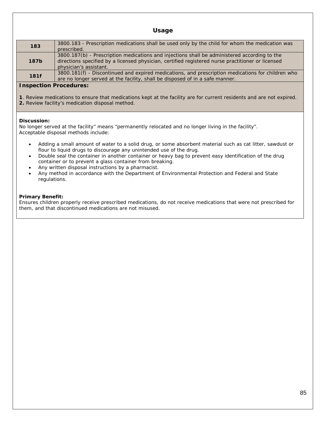### **Usage**

| 183         | 3800.183 - Prescription medications shall be used only by the child for whom the medication was<br>prescribed.                                                                                                              |
|-------------|-----------------------------------------------------------------------------------------------------------------------------------------------------------------------------------------------------------------------------|
| <b>187b</b> | 3800.187(b) - Prescription medications and injections shall be administered according to the<br>directions specified by a licensed physician, certified registered nurse practitioner or licensed<br>physician's assistant. |
| 181f        | 3800.181(f) - Discontinued and expired medications, and prescription medications for children who<br>are no longer served at the facility, shall be disposed of in a safe manner.                                           |

### **Inspection Procedures:**

**1**. Review medications to ensure that medications kept at the facility are for current residents and are not expired. **2.** Review facility's medication disposal method.

### **Discussion:**

No longer served at the facility" means "permanently relocated and no longer living in the facility". Acceptable disposal methods include:

- Adding a small amount of water to a solid drug, or some absorbent material such as cat litter, sawdust or flour to liquid drugs to discourage any unintended use of the drug.
- Double seal the container in another container or heavy bag to prevent easy identification of the drug container or to prevent a glass container from breaking.
- Any written disposal instructions by a pharmacist.
- Any method in accordance with the Department of Environmental Protection and Federal and State regulations.

### **Primary Benefit:**

Ensures children properly receive prescribed medications, do not receive medications that were not prescribed for them, and that discontinued medications are not misused.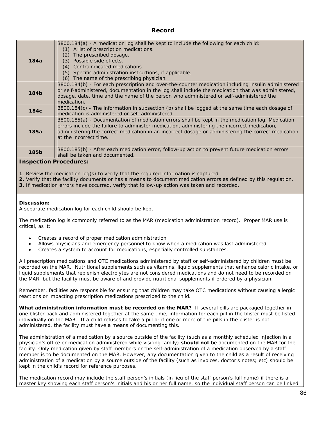|                               | RCLUI U                                                                                                                                                                                                                                                                                                                                                      |
|-------------------------------|--------------------------------------------------------------------------------------------------------------------------------------------------------------------------------------------------------------------------------------------------------------------------------------------------------------------------------------------------------------|
| 184a                          | 3800.184(a) - A medication log shall be kept to include the following for each child:<br>A list of prescription medications.<br>(1)<br>The prescribed dosage.<br>(2)<br>Possible side effects.<br>(3)<br>Contraindicated medications.<br>(4)<br>Specific administration instructions, if applicable.<br>(5)<br>The name of the prescribing physician.<br>(6) |
| 184b                          | 3800.184(b) - For each prescription and over-the-counter medication including insulin administered<br>or self-administered, documentation in the log shall include the medication that was administered,<br>dosage, date, time and the name of the person who administered or self-administered the<br>medication.                                           |
| 184 <sub>c</sub>              | 3800.184(c) - The information in subsection (b) shall be logged at the same time each dosage of<br>medication is administered or self-administered.                                                                                                                                                                                                          |
| 185a                          | 3800.185(a) - Documentation of medication errors shall be kept in the medication log. Medication<br>errors include the failure to administer medication, administering the incorrect medication,<br>administering the correct medication in an incorrect dosage or administering the correct medication<br>at the incorrect time.                            |
| 185b                          | 3800.185(b) - After each medication error, follow-up action to prevent future medication errors<br>shall be taken and documented.                                                                                                                                                                                                                            |
| <b>Inspection Procedures:</b> |                                                                                                                                                                                                                                                                                                                                                              |

**Record** 

**1**. Review the medication log(s) to verify that the required information is captured.

**2.** Verify that the facility documents or has a means to document medication errors as defined by this regulation.

**3.** If medication errors have occurred, verify that follow-up action was taken and recorded.

### **Discussion:**

A separate medication log for each child should be kept.

The medication log is commonly referred to as the MAR (medication administration record). Proper MAR use is critical, as it:

- Creates a record of proper medication administration
- Allows physicians and emergency personnel to know when a medication was last administered
- Creates a system to account for medications, especially controlled substances.

All prescription medications and OTC medications administered by staff or self-administered by children must be recorded on the MAR. Nutritional supplements such as vitamins, liquid supplements that enhance caloric intake, or liquid supplements that replenish electrolytes are not considered medications and do not need to be recorded on the MAR, but the facility must be aware of and provide nutritional supplements if ordered by a physician.

Remember, facilities are responsible for ensuring that children may take OTC medications without causing allergic reactions or impacting prescription medications prescribed to the child.

**What administration information must be recorded on the MAR?** If several pills are packaged together in one blister pack and administered together at the same time, information for each pill in the blister must be listed individually on the MAR. If a child refuses to take a pill or if one or more of the pills in the blister is not administered, the facility must have a means of documenting this.

The administration of a medication by a source outside of the facility (such as a monthly scheduled injection in a physician's office or medication administered while visiting family) **should not** be documented on the MAR for the facility. Only medication given by staff members or the self-administration of a medication observed by a staff member is to be documented on the MAR. However, any documentation given to the child as a result of receiving administration of a medication by a source outside of the facility (such as invoices, doctor's notes; etc) should be kept in the child's record for reference purposes.

The medication record may include the staff person's initials (in lieu of the staff person's full name) if there is a master key showing each staff person's initials and his or her full name, so the individual staff person can be linked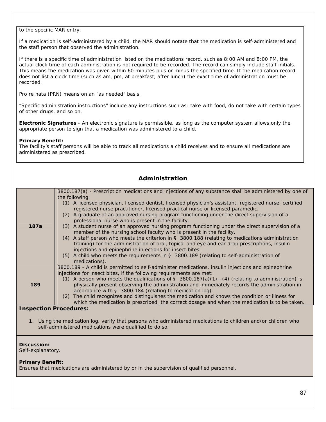to the specific MAR entry.

If a medication is self-administered by a child, the MAR should notate that the medication is self-administered and the staff person that observed the administration.

If there is a specific time of administration listed on the medications record, such as 8:00 AM and 8:00 PM, the actual clock time of each administration is not required to be recorded. The record can simply include staff initials. This means the medication was given within 60 minutes plus or minus the specified time. If the medication record does not list a clock time (such as am, pm, at breakfast, after lunch) the exact time of administration must be recorded.

Pro re nata (PRN) means on an "as needed" basis.

"Specific administration instructions" include any instructions such as: take with food, do not take with certain types of other drugs, and so on.

**Electronic Signatures** - An electronic signature is permissible, as long as the computer system allows only the appropriate person to sign that a medication was administered to a child.

### **Primary Benefit:**

The facility's staff persons will be able to track all medications a child receives and to ensure all medications are administered as prescribed.

| Administration                |                                                                                                                                                                                                                                                                                                                                                                                                                                                                                                                                                                                                                                                                                                                                                                                                                                                                                                                                                                                                                                                    |
|-------------------------------|----------------------------------------------------------------------------------------------------------------------------------------------------------------------------------------------------------------------------------------------------------------------------------------------------------------------------------------------------------------------------------------------------------------------------------------------------------------------------------------------------------------------------------------------------------------------------------------------------------------------------------------------------------------------------------------------------------------------------------------------------------------------------------------------------------------------------------------------------------------------------------------------------------------------------------------------------------------------------------------------------------------------------------------------------|
| 187a                          | 3800.187(a) - Prescription medications and injections of any substance shall be administered by one of<br>the following:<br>(1) A licensed physician, licensed dentist, licensed physician's assistant, registered nurse, certified<br>registered nurse practitioner, licensed practical nurse or licensed paramedic.<br>A graduate of an approved nursing program functioning under the direct supervision of a<br>(2)<br>professional nurse who is present in the facility.<br>A student nurse of an approved nursing program functioning under the direct supervision of a<br>(3)<br>member of the nursing school faculty who is present in the facility.<br>A staff person who meets the criterion in $\S$ 3800.188 (relating to medications administration<br>(4)<br>training) for the administration of oral, topical and eye and ear drop prescriptions, insulin<br>injections and epinephrine injections for insect bites.<br>A child who meets the requirements in § 3800.189 (relating to self-administration of<br>(5)<br>medications). |
| 189                           | 3800.189 - A child is permitted to self-administer medications, insulin injections and epinephrine<br>injections for insect bites, if the following requirements are met:<br>(1) A person who meets the qualifications of $\S$ 3800.187(a)(1)-(4) (relating to administration) is<br>physically present observing the administration and immediately records the administration in<br>accordance with § 3800.184 (relating to medication log).<br>The child recognizes and distinguishes the medication and knows the condition or illness for<br>(2)<br>which the medication is prescribed, the correct dosage and when the medication is to be taken.                                                                                                                                                                                                                                                                                                                                                                                            |
| <b>Inspection Procedures:</b> | 1. Using the medication log, verify that persons who administered medications to children and/or children who<br>self-administered medications were qualified to do so.                                                                                                                                                                                                                                                                                                                                                                                                                                                                                                                                                                                                                                                                                                                                                                                                                                                                            |
| Discussion:                   |                                                                                                                                                                                                                                                                                                                                                                                                                                                                                                                                                                                                                                                                                                                                                                                                                                                                                                                                                                                                                                                    |

Self-explanatory.

### **Primary Benefit:**

Ensures that medications are administered by or in the supervision of qualified personnel.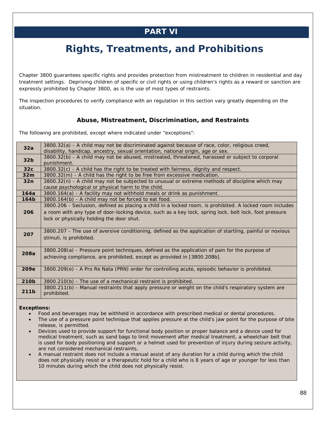# **PART VI**

# **Rights, Treatments, and Prohibitions**

Chapter 3800 guarantees specific rights and provides protection from mistreatment to children in residential and day treatment settings. Depriving children of specific or civil rights or using children's rights as a reward or sanction are expressly prohibited by Chapter 3800, as is the use of most types of restraints.

The inspection procedures to verify compliance with an regulation in this section vary greatly depending on the situation.

# **Abuse, Mistreatment, Discrimination, and Restraints**

The following are prohibited, except where indicated under "exceptions":

| 32a              | 3800.32(a) - A child may not be discriminated against because of race, color, religious creed,                                                                                                     |
|------------------|----------------------------------------------------------------------------------------------------------------------------------------------------------------------------------------------------|
| 32 <sub>b</sub>  | disability, handicap, ancestry, sexual orientation, national origin, age or sex.<br>3800.32(b) - A child may not be abused, mistreated, threatened, harassed or subject to corporal<br>punishment. |
|                  |                                                                                                                                                                                                    |
| 32c              | 3800.32(c) - A child has the right to be treated with fairness, dignity and respect.                                                                                                               |
| 32m              | 3800.32(m) - A child has the right to be free from excessive medication.                                                                                                                           |
| 32n              | 3800.32(n) - A child may not be subjected to unusual or extreme methods of discipline which may                                                                                                    |
|                  | cause psychological or physical harm to the child.                                                                                                                                                 |
| 164a             | 3800.164(a) - A facility may not withhold meals or drink as punishment.                                                                                                                            |
| 164 <sub>b</sub> | 3800.164(b) - A child may not be forced to eat food.                                                                                                                                               |
|                  | 3800.206 - Seclusion, defined as placing a child in a locked room, is prohibited. A locked room includes                                                                                           |
| 206              | a room with any type of door-locking device, such as a key lock, spring lock, bolt lock, foot pressure                                                                                             |
|                  | lock or physically holding the door shut.                                                                                                                                                          |
|                  |                                                                                                                                                                                                    |
|                  | 3800.207 - The use of aversive conditioning, defined as the application of startling, painful or noxious                                                                                           |
| 207              | stimuli, is prohibited.                                                                                                                                                                            |
|                  |                                                                                                                                                                                                    |
|                  | 3800.208(a) - Pressure point techniques, defined as the application of pain for the purpose of                                                                                                     |
| 208a             | achieving compliance, are prohibited, except as provided in [3800.208b].                                                                                                                           |
|                  |                                                                                                                                                                                                    |
| 209e             | 3800.209(e) - A Pro Re Nata (PRN) order for controlling acute, episodic behavior is prohibited.                                                                                                    |
|                  |                                                                                                                                                                                                    |
| 210b             | 3800.210(b) - The use of a mechanical restraint is prohibited.                                                                                                                                     |
|                  | 3800.211(b) - Manual restraints that apply pressure or weight on the child's respiratory system are                                                                                                |
| 211b             | prohibited.                                                                                                                                                                                        |
|                  |                                                                                                                                                                                                    |

### **Exceptions:**

- Food and beverages may be withheld in accordance with prescribed medical or dental procedures.
- The use of a pressure point technique that applies pressure at the child's jaw point for the purpose of bite release, is permitted.
- Devices used to provide support for functional body position or proper balance and a device used for medical treatment, such as sand bags to limit movement after medical treatment, a wheelchair belt that is used for body positioning and support or a helmet used for prevention of injury during seizure activity, are not considered mechanical restraints.
- A manual restraint does not include a manual assist of any duration for a child during which the child does not physically resist or a therapeutic hold for a child who is 8 years of age or younger for less than 10 minutes during which the child does not physically resist.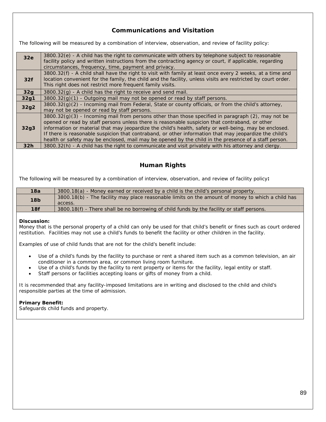# **Communications and Visitation**

The following will be measured by a combination of interview, observation, and review of facility policy:

| 32e  | 3800.32(e) - A child has the right to communicate with others by telephone subject to reasonable             |
|------|--------------------------------------------------------------------------------------------------------------|
|      | facility policy and written instructions from the contracting agency or court, if applicable, regarding      |
|      | circumstances, frequency, time, payment and privacy.                                                         |
|      | 3800.32(f) - A child shall have the right to visit with family at least once every 2 weeks, at a time and    |
| 32f  | location convenient for the family, the child and the facility, unless visits are restricted by court order. |
|      | This right does not restrict more frequent family visits.                                                    |
| 32g  | $3800.32(g)$ - A child has the right to receive and send mail.                                               |
| 32g1 | $3800.32(g)(1)$ - Outgoing mail may not be opened or read by staff persons.                                  |
| 32g2 | 3800.32(g)(2) - Incoming mail from Federal, State or county officials, or from the child's attorney,         |
|      | may not be opened or read by staff persons.                                                                  |
|      | $3800.32(q)(3)$ - Incoming mail from persons other than those specified in paragraph (2), may not be         |
|      | opened or read by staff persons unless there is reasonable suspicion that contraband, or other               |
| 32g3 | information or material that may jeopardize the child's health, safety or well-being, may be enclosed.       |
|      | If there is reasonable suspicion that contraband, or other information that may jeopardize the child's       |
|      | health or safety may be enclosed, mail may be opened by the child in the presence of a staff person.         |
| 32h  | 3800.32(h) - A child has the right to communicate and visit privately with his attorney and clergy.          |

# **Human Rights**

The following will be measured by a combination of interview, observation, and review of facility policy**:** 

| 18a             | 3800.18(a) - Money earned or received by a child is the child's personal property.                           |
|-----------------|--------------------------------------------------------------------------------------------------------------|
| 18 <sub>b</sub> | 3800.18(b) - The facility may place reasonable limits on the amount of money to which a child has<br>access. |
| 18f             | 3800.18(f) - There shall be no borrowing of child funds by the facility or staff persons.                    |

### **Discussion:**

Money that is the personal property of a child can only be used for that child's benefit or fines such as court ordered restitution. Facilities may not use a child's funds to benefit the facility or other children in the facility.

Examples of use of child funds that are not for the child's benefit include:

- Use of a child's funds by the facility to purchase or rent a shared item such as a common television, an air conditioner in a common area, or common living room furniture.
- Use of a child's funds by the facility to rent property or items for the facility, legal entity or staff.
- Staff persons or facilities accepting loans or gifts of money from a child.

It is recommended that any facility-imposed limitations are in writing and disclosed to the child and child's responsible parties at the time of admission.

### **Primary Benefit:**

Safeguards child funds and property.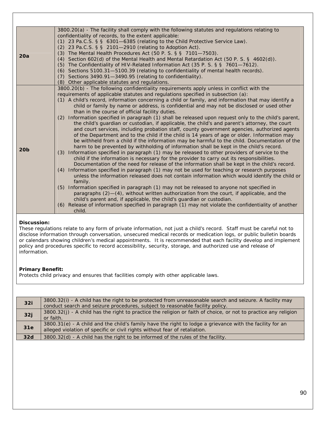|                 | 3800.20(a) - The facility shall comply with the following statutes and regulations relating to<br>confidentiality of records, to the extent applicable:<br>(1) 23 Pa.C.S. § § 6301-6385 (relating to the Child Protective Service Law).                                                                                                                                                                                                                                                                     |
|-----------------|-------------------------------------------------------------------------------------------------------------------------------------------------------------------------------------------------------------------------------------------------------------------------------------------------------------------------------------------------------------------------------------------------------------------------------------------------------------------------------------------------------------|
|                 | (2) 23 Pa.C.S. $\S$ $\S$ 2101-2910 (relating to Adoption Act).                                                                                                                                                                                                                                                                                                                                                                                                                                              |
| 20a             | (3) The Mental Health Procedures Act (50 P. S. § § 7101-7503).<br>(4) Section 602(d) of the Mental Health and Mental Retardation Act (50 P. S. § 4602(d)).                                                                                                                                                                                                                                                                                                                                                  |
|                 | (5) The Confidentiality of HIV-Related Information Act (35 P. S. § § 7601-7612).                                                                                                                                                                                                                                                                                                                                                                                                                            |
|                 | (6) Sections 5100.31-5100.39 (relating to confidentiality of mental health records).<br>(7) Sections 3490.91-3490.95 (relating to confidentiality).                                                                                                                                                                                                                                                                                                                                                         |
|                 | (8) Other applicable statutes and regulations.                                                                                                                                                                                                                                                                                                                                                                                                                                                              |
|                 | 3800.20(b) - The following confidentiality requirements apply unless in conflict with the<br>requirements of applicable statutes and regulations specified in subsection (a):                                                                                                                                                                                                                                                                                                                               |
|                 | (1) A child's record, information concerning a child or family, and information that may identify a                                                                                                                                                                                                                                                                                                                                                                                                         |
|                 | child or family by name or address, is confidential and may not be disclosed or used other<br>than in the course of official facility duties.                                                                                                                                                                                                                                                                                                                                                               |
|                 | Information specified in paragraph (1) shall be released upon request only to the child's parent,<br>(2)<br>the child's guardian or custodian, if applicable, the child's and parent's attorney, the court<br>and court services, including probation staff, county government agencies, authorized agents<br>of the Department and to the child if the child is 14 years of age or older. Information may<br>be withheld from a child if the information may be harmful to the child. Documentation of the |
| 20 <sub>b</sub> | harm to be prevented by withholding of information shall be kept in the child's record.<br>(3) Information specified in paragraph (1) may be released to other providers of service to the<br>child if the information is necessary for the provider to carry out its responsibilities.<br>Documentation of the need for release of the information shall be kept in the child's record.                                                                                                                    |
|                 | (4) Information specified in paragraph (1) may not be used for teaching or research purposes<br>unless the information released does not contain information which would identify the child or<br>family.                                                                                                                                                                                                                                                                                                   |
|                 | Information specified in paragraph (1) may not be released to anyone not specified in<br>(5)<br>paragraphs (2)-(4), without written authorization from the court, if applicable, and the<br>child's parent and, if applicable, the child's guardian or custodian.                                                                                                                                                                                                                                           |
|                 | (6) Release of information specified in paragraph (1) may not violate the confidentiality of another<br>child.                                                                                                                                                                                                                                                                                                                                                                                              |

## **Discussion:**

These regulations relate to any form of private information, not just a child's record. Staff must be careful not to disclose information through conversation, unsecured medical records or medication logs, or public bulletin boards or calendars showing children's medical appointments. It is recommended that each facility develop and implement policy and procedures specific to record accessibility, security, storage, and authorized use and release of information.

### **Primary Benefit:**

Protects child privacy and ensures that facilities comply with other applicable laws.

| 32i | 3800.32(i) - A child has the right to be protected from unreasonable search and seizure. A facility may<br>conduct search and seizure procedures, subject to reasonable facility policy. |
|-----|------------------------------------------------------------------------------------------------------------------------------------------------------------------------------------------|
| 32j | 3800.32(j) - A child has the right to practice the religion or faith of choice, or not to practice any religion<br>or faith.                                                             |
| 31e | 3800.31(e) - A child and the child's family have the right to lodge a grievance with the facility for an<br>alleged violation of specific or civil rights without fear of retaliation.   |
| 32d | $3800.32(d)$ - A child has the right to be informed of the rules of the facility.                                                                                                        |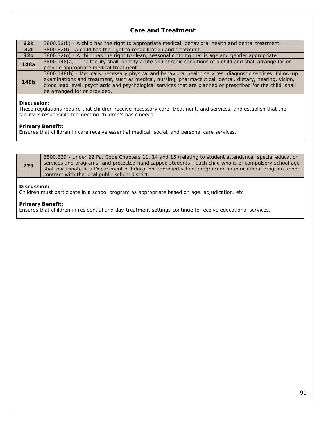# **Care and Treatment**

| 32k             | 3800.32(k) - A child has the right to appropriate medical, behavioral health and dental treatment.           |
|-----------------|--------------------------------------------------------------------------------------------------------------|
| 321             | 3800.32(I) - A child has the right to rehabilitation and treatment.                                          |
| 32 <sub>o</sub> | 3800.32(o) - A child has the right to clean, seasonal clothing that is age and gender appropriate.           |
| 148a            | 3800.148(a) - The facility shall identify acute and chronic conditions of a child and shall arrange for or   |
|                 | provide appropriate medical treatment.                                                                       |
| 148b            | 3800.148(b) - Medically necessary physical and behavioral health services, diagnostic services, follow-up    |
|                 | examinations and treatment, such as medical, nursing, pharmaceutical, dental, dietary, hearing, vision,      |
|                 | blood lead level, psychiatric and psychological services that are planned or prescribed for the child, shall |
|                 | be arranged for or provided.                                                                                 |

### **Discussion:**

These regulations require that children receive necessary care, treatment, and services, and establish that the facility is responsible for meeting children's basic needs.

### **Primary Benefit:**

Ensures that children in care receive essential medical, social, and personal care services.

| 229                                                                                                                                                                                                                                                      | 3800.229 - Under 22 Pa. Code Chapters 11, 14 and 15 (relating to student attendance; special education<br>services and programs; and protected handicapped students), each child who is of compulsory school age<br>shall participate in a Department of Education-approved school program or an educational program under<br>contract with the local public school district. |  |
|----------------------------------------------------------------------------------------------------------------------------------------------------------------------------------------------------------------------------------------------------------|-------------------------------------------------------------------------------------------------------------------------------------------------------------------------------------------------------------------------------------------------------------------------------------------------------------------------------------------------------------------------------|--|
| Discussion:<br>$\overline{\mathcal{O}}$ and the state of the state of the state of the state of the state of the state of the state of the state of the state of the state of the state of the state of the state of the state of the state of the state |                                                                                                                                                                                                                                                                                                                                                                               |  |

Children must participate in a school program as appropriate based on age, adjudication, etc.

### **Primary Benefit:**

Ensures that children in residential and day-treatment settings continue to receive educational services.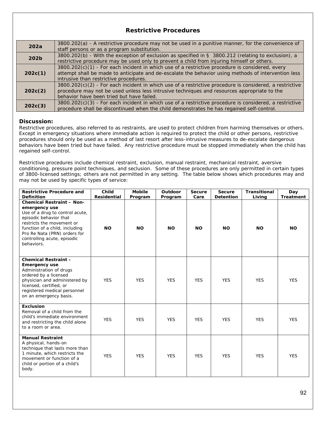# **Restrictive Procedures**

| 202a    | 3800.202(a) - A restrictive procedure may not be used in a punitive manner, for the convenience of<br>staff persons or as a program substitution.                                                                                                     |
|---------|-------------------------------------------------------------------------------------------------------------------------------------------------------------------------------------------------------------------------------------------------------|
| 202b    | 3800.202(b) - With the exception of exclusion as specified in § 3800.212 (relating to exclusion), a<br>restrictive procedure may be used only to prevent a child from injuring himself or others.                                                     |
| 202c(1) | $3800.202(c)(1)$ - For each incident in which use of a restrictive procedure is considered, every<br>attempt shall be made to anticipate and de-escalate the behavior using methods of intervention less<br>intrusive than restrictive procedures.    |
| 202c(2) | $3800.202(c)(2)$ - For each incident in which use of a restrictive procedure is considered, a restrictive<br>procedure may not be used unless less intrusive techniques and resources appropriate to the<br>behavior have been tried but have failed. |
| 202c(3) | $3800.202(c)(3)$ - For each incident in which use of a restrictive procedure is considered, a restrictive<br>procedure shall be discontinued when the child demonstrates he has regained self-control.                                                |

### **Discussion:**

Restrictive procedures, also referred to as restraints, are used to protect children from harming themselves or others. Except in emergency situations where immediate action is required to protect the child or other persons, restrictive procedures should only be used as a method of last resort after less-intrusive measures to de-escalate dangerous behaviors have been tried but have failed. Any restrictive procedure must be stopped immediately when the child has regained self-control.

Restrictive procedures include chemical restraint, exclusion, manual restraint, mechanical restraint, aversive conditioning, pressure point techniques, and seclusion. Some of these procedures are only permitted in certain types of 3800-licensed settings; others are not permitted in any setting. The table below shows which procedures may and may not be used by specific types of service:

| <b>Restrictive Procedure and</b><br><b>Definition</b>                                                                                                                                                                                                      | Child<br>Residential | <b>Mobile</b><br>Program | Outdoor<br>Program | Secure<br>Care | <b>Secure</b><br><b>Detention</b> | <b>Transitional</b><br>Living | Day<br>Treatment |
|------------------------------------------------------------------------------------------------------------------------------------------------------------------------------------------------------------------------------------------------------------|----------------------|--------------------------|--------------------|----------------|-----------------------------------|-------------------------------|------------------|
| <b>Chemical Restraint - Non-</b><br>emergency use<br>Use of a drug to control acute,<br>episodic behavior that<br>restricts the movement or<br>function of a child, including<br>Pro Re Nata (PRN) orders for<br>controlling acute, episodic<br>behaviors. | <b>NO</b>            | <b>NO</b>                | <b>NO</b>          | <b>NO</b>      | <b>NO</b>                         | <b>NO</b>                     | <b>NO</b>        |
| <b>Chemical Restraint -</b><br><b>Emergency use</b><br>Administration of drugs<br>ordered by a licensed<br>physician and administered by<br>licensed, certified, or<br>registered medical personnel<br>on an emergency basis.                              | <b>YES</b>           | <b>YES</b>               | <b>YES</b>         | <b>YES</b>     | <b>YES</b>                        | <b>YES</b>                    | <b>YES</b>       |
| <b>Exclusion</b><br>Removal of a child from the<br>child's immediate environment<br>and restricting the child alone<br>to a room or area.                                                                                                                  | <b>YES</b>           | <b>YES</b>               | <b>YES</b>         | <b>YES</b>     | <b>YES</b>                        | <b>YES</b>                    | <b>YES</b>       |
| <b>Manual Restraint</b><br>A physical, hands-on<br>technique that lasts more than<br>1 minute, which restricts the<br>movement or function of a<br>child or portion of a child's<br>body.                                                                  | <b>YES</b>           | <b>YES</b>               | <b>YES</b>         | <b>YES</b>     | <b>YES</b>                        | <b>YES</b>                    | <b>YES</b>       |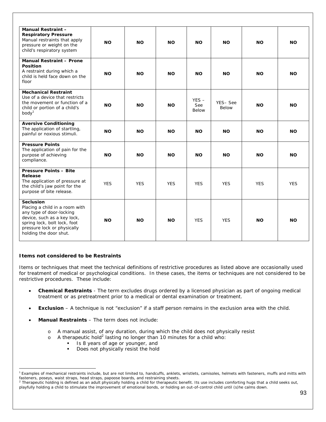| <b>Manual Restraint -</b><br><b>Respiratory Pressure</b><br>Manual restraints that apply<br>pressure or weight on the<br>child's respiratory system                                                    | <b>NO</b>  | <b>NO</b>  | <b>NO</b>  | <b>NO</b>                      | <b>NO</b>               | <b>NO</b>  | <b>NO</b>  |
|--------------------------------------------------------------------------------------------------------------------------------------------------------------------------------------------------------|------------|------------|------------|--------------------------------|-------------------------|------------|------------|
| <b>Manual Restraint - Prone</b><br><b>Position</b><br>A restraint during which a<br>child is held face down on the<br>floor                                                                            | <b>NO</b>  | <b>NO</b>  | <b>NO</b>  | <b>NO</b>                      | <b>NO</b>               | <b>NO</b>  | <b>NO</b>  |
| <b>Mechanical Restraint</b><br>Use of a device that restricts<br>the movement or function of a<br>child or portion of a child's<br>body <sup>1</sup>                                                   | <b>NO</b>  | <b>NO</b>  | <b>NO</b>  | $YES -$<br>See<br><b>Below</b> | YES-See<br><b>Below</b> | <b>NO</b>  | ΝO         |
| <b>Aversive Conditioning</b><br>The application of startling,<br>painful or noxious stimuli.                                                                                                           | <b>NO</b>  | <b>NO</b>  | <b>NO</b>  | <b>NO</b>                      | <b>NO</b>               | <b>NO</b>  | <b>NO</b>  |
| <b>Pressure Points</b><br>The application of pain for the<br>purpose of achieving<br>compliance.                                                                                                       | <b>NO</b>  | <b>NO</b>  | <b>NO</b>  | <b>NO</b>                      | <b>NO</b>               | <b>NO</b>  | <b>NO</b>  |
| <b>Pressure Points - Bite</b><br>Release<br>The application of pressure at<br>the child's jaw point for the<br>purpose of bite release.                                                                | <b>YES</b> | <b>YES</b> | <b>YES</b> | <b>YES</b>                     | <b>YES</b>              | <b>YES</b> | <b>YES</b> |
| <b>Seclusion</b><br>Placing a child in a room with<br>any type of door-locking<br>device, such as a key lock,<br>spring lock, bolt lock, foot<br>pressure lock or physically<br>holding the door shut. | <b>NO</b>  | <b>NO</b>  | <b>NO</b>  | <b>YES</b>                     | <b>YES</b>              | <b>NO</b>  | <b>NO</b>  |

### **Items not considered to be Restraints**

Items or techniques that meet the technical definitions of restrictive procedures as listed above are occasionally used for treatment of medical or psychological conditions. In these cases, the items or techniques are not considered to be restrictive procedures. These include:

- **Chemical Restraints** The term excludes drugs ordered by a licensed physician as part of ongoing medical treatment or as pretreatment prior to a medical or dental examination or treatment.
- **Exclusion** A technique is not "exclusion" if a staff person remains in the exclusion area with the child.
- **Manual Restraints** The term does not include:
	- o A manual assist, of any duration, during which the child does not physically resist
	- $\circ$  A therapeutic hold<sup>2</sup> lasting no longer than 10 minutes for a child who:
		- Is 8 years of age or younger, and
		- Does not physically resist the hold

playfully holding a child to stimulate the improvement of emotional bonds, or holding an out-of-control child until (s)he calms down.

 <sup>1</sup> Examples of mechanical restraints include, but are not limited to, handcuffs, anklets, wristlets, camisoles, helmets with fasteners, muffs and mitts with fasteners, poseys, waist straps, head straps, papoose boards, and restraining sheets. 2

 $2$  Therapeutic holding is defined as an adult physically holding a child for therapeutic benefit. Its use includes comforting hugs that a child seeks out,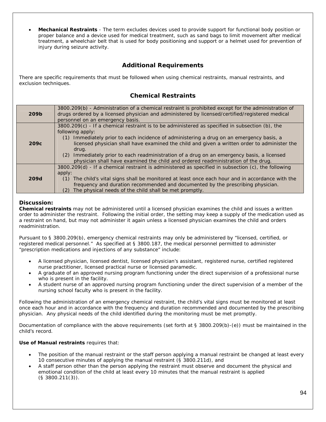• **Mechanical Restraints** - The term excludes devices used to provide support for functional body position or proper balance and a device used for medical treatment, such as sand bags to limit movement after medical treatment, a wheelchair belt that is used for body positioning and support or a helmet used for prevention of injury during seizure activity.

# **Additional Requirements**

There are specific requirements that must be followed when using chemical restraints, manual restraints, and exclusion techniques.

# **Chemical Restraints**

| 209b             | 3800.209(b) - Administration of a chemical restraint is prohibited except for the administration of<br>drugs ordered by a licensed physician and administered by licensed/certified/registered medical<br>personnel on an emergency basis.                                                                                                                                                                                                                                                                     |
|------------------|----------------------------------------------------------------------------------------------------------------------------------------------------------------------------------------------------------------------------------------------------------------------------------------------------------------------------------------------------------------------------------------------------------------------------------------------------------------------------------------------------------------|
| 209 <sub>c</sub> | 3800.209(c) - If a chemical restraint is to be administered as specified in subsection (b), the<br>following apply:<br>Immediately prior to each incidence of administering a drug on an emergency basis, a<br>(1)<br>licensed physician shall have examined the child and given a written order to administer the<br>drug.<br>(2) Immediately prior to each readministration of a drug on an emergency basis, a licensed<br>physician shall have examined the child and ordered readministration of the drug. |
|                  | 3800.209(d) - If a chemical restraint is administered as specified in subsection (c), the following<br>apply:                                                                                                                                                                                                                                                                                                                                                                                                  |
| 209d             | The child's vital signs shall be monitored at least once each hour and in accordance with the<br>(1)<br>frequency and duration recommended and documented by the prescribing physician.<br>The physical needs of the child shall be met promptly.<br>(2)                                                                                                                                                                                                                                                       |

### **Discussion:**

**Chemical restraints** may not be administered until a licensed physician examines the child and issues a written order to administer the restraint. Following the initial order, the setting may keep a supply of the medication used as a restraint on hand, but may not administer it again unless a licensed physician examines the child and orders readministration.

Pursuant to § 3800.209(b), emergency chemical restraints may only be administered by "licensed, certified, or registered medical personnel." As specified at § 3800.187, the medical personnel permitted to administer "prescription medications and injections of any substance" include:

- A licensed physician, licensed dentist, licensed physician's assistant, registered nurse, certified registered nurse practitioner, licensed practical nurse or licensed paramedic.
- A graduate of an approved nursing program functioning under the direct supervision of a professional nurse who is present in the facility.
- A student nurse of an approved nursing program functioning under the direct supervision of a member of the nursing school faculty who is present in the facility.

Following the administration of an emergency chemical restraint, the child's vital signs must be monitored at least once each hour and in accordance with the frequency and duration recommended and documented by the prescribing physician. Any physical needs of the child identified during the monitoring must be met promptly.

Documentation of compliance with the above requirements (set forth at § 3800.209(b)-(e)) must be maintained in the child's record.

### **Use of Manual restraints** requires that:

- The position of the manual restraint or the staff person applying a manual restraint be changed at least every 10 consecutive minutes of applying the manual restraint (§ 3800.211d), and
- A staff person other *than the person* applying the restraint must observe and document the physical and emotional condition of the child at least every 10 minutes that the manual restraint is applied (§ 3800.211(3)).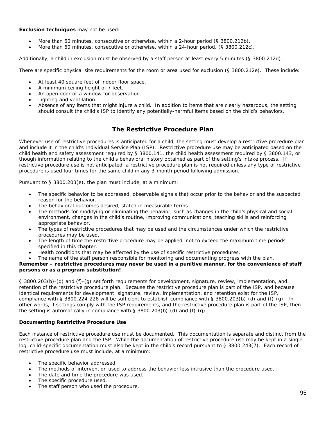### **Exclusion techniques** may not be used:

- More than 60 minutes, consecutive or otherwise, within a 2-hour period (§ 3800.212b).
- More than 60 minutes, consecutive or otherwise, within a 24-hour period. (§ 3800.212c).

Additionally, a child in exclusion must be observed by a staff person at least every 5 minutes (§ 3800.212d).

There are specific physical site requirements for the room or area used for exclusion (§ 3800.212e). These include:

- At least 40 square feet of indoor floor space.
- A minimum ceiling height of 7 feet.
- An open door or a window for observation.
- Lighting and ventilation.
- Absence of any items that might injure a child. In addition to items that are clearly hazardous, the setting should consult the child's ISP to identify any potentially-harmful items based on the child's behaviors.

# **The Restrictive Procedure Plan**

Whenever use of restrictive procedures is anticipated for a child, the setting must develop a restrictive procedure plan and include it in the child's Individual Service Plan (ISP). Restrictive procedure use may be anticipated based on the child health and safety assessment required by § 3800.141, the child health assessment required by § 3800.143, or though information relating to the child's behavioral history obtained as part of the setting's intake process. If restrictive procedure use is not anticipated, a restrictive procedure plan is not required unless any type of restrictive procedure is used four times for the same child in any 3-month period following admission.

Pursuant to § 3800.203(e), the plan must include, at a minimum:

- The specific behavior to be addressed, observable signals that occur prior to the behavior and the suspected reason for the behavior.
- The behavioral outcomes desired, stated in measurable terms.
- The methods for modifying or eliminating the behavior, such as changes in the child's physical and social environment, changes in the child's routine, improving communications, teaching skills and reinforcing appropriate behavior.
- The types of restrictive procedures that may be used and the circumstances under which the restrictive procedures may be used.
- The length of time the restrictive procedure may be applied, not to exceed the maximum time periods specified in this chapter.
- Health conditions that may be affected by the use of specific restrictive procedures.
- The name of the staff person responsible for monitoring and documenting progress with the plan.

### **Remember – restrictive procedures may never be used in a punitive manner, for the convenience of staff persons or as a program substitution!**

§ 3800.203(b)-(d) and (f)-(g) set forth requirements for development, signature, review, implementation, and retention of the restrictive procedure plan. Because the restrictive procedure plan is part of the ISP, and because identical requirements for development, signature, review, implementation, and retention exist for the ISP, compliance with § 3800.224-228 will be sufficient to establish compliance with § 3800.203(b)-(d) and (f)-(g). In other words, if settings comply with the ISP requirements, and the restrictive procedure plan is part of the ISP, then the setting is automatically in compliance with  $\S$  3800.203(b)-(d) and (f)-(g).

### **Documenting Restrictive Procedure Use**

Each instance of restrictive procedure use must be documented. This documentation is separate and distinct from the restrictive procedure plan and the ISP. While the documentation of restrictive procedure use may be kept in a single log, child-specific documentation must also be kept in the child's record pursuant to § 3800.243(7). Each record of restrictive procedure use must include, at a minimum:

- The specific behavior addressed.
- The methods of intervention used to address the behavior less intrusive than the procedure used.
- The date and time the procedure was used.
- The specific procedure used.
- The staff person who used the procedure.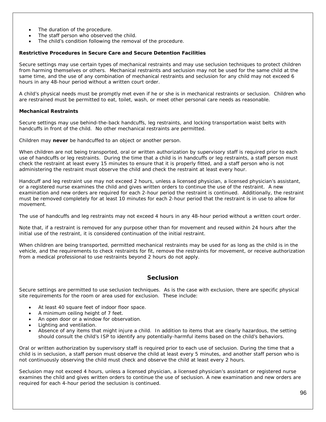- The duration of the procedure.
- The staff person who observed the child.
- The child's condition following the removal of the procedure.

### **Restrictive Procedures in Secure Care and Secure Detention Facilities**

Secure settings may use certain types of mechanical restraints and may use seclusion techniques to protect children from harming themselves or others. Mechanical restraints and seclusion may not be used for the same child at the same time, and the use of any combination of mechanical restraints and seclusion for any child may not exceed 6 hours in any 48-hour period without a written court order.

A child's physical needs must be promptly met even if he or she is in mechanical restraints or seclusion. Children who are restrained must be permitted to eat, toilet, wash, or meet other personal care needs as reasonable.

### **Mechanical Restraints**

Secure settings may use behind-the-back handcuffs, leg restraints, and locking transportation waist belts with handcuffs in front of the child. No other mechanical restraints are permitted.

Children may **never** be handcuffed to an object or another person.

When children are not being transported, oral or written authorization by supervisory staff is required prior to each use of handcuffs or leg restraints. During the time that a child is in handcuffs or leg restraints, a staff person must check the restraint at least every 15 minutes to ensure that it is properly fitted, and a staff person who is not administering the restraint must observe the child and check the restraint at least every hour.

Handcuff and leg restraint use may not exceed 2 hours, unless a licensed physician, a licensed physician's assistant, or a registered nurse examines the child and gives written orders to continue the use of the restraint. A new examination and new orders are required for each 2-hour period the restraint is continued. Additionally, the restraint must be removed completely for at least 10 minutes for each 2-hour period that the restraint is in use to allow for movement.

The use of handcuffs and leg restraints may not exceed 4 hours in any 48-hour period without a written court order.

Note that, if a restraint is removed for any purpose other than for movement and reused within 24 hours after the initial use of the restraint, it is considered continuation of the initial restraint.

When children are being transported, permitted mechanical restraints may be used for as long as the child is in the vehicle, and the requirements to check restraints for fit, remove the restraints for movement, or receive authorization from a medical professional to use restraints beyond 2 hours do not apply.

### **Seclusion**

Secure settings are permitted to use seclusion techniques. As is the case with exclusion, there are specific physical site requirements for the room or area used for exclusion. These include:

- At least 40 square feet of indoor floor space.
- A minimum ceiling height of 7 feet.
- An open door or a window for observation.
- Lighting and ventilation.
- Absence of any items that might injure a child. In addition to items that are clearly hazardous, the setting should consult the child's ISP to identify any potentially-harmful items based on the child's behaviors.

Oral or written authorization by supervisory staff is required prior to each use of seclusion. During the time that a child is in seclusion, a staff person must observe the child at least every 5 minutes, and another staff person who is not continuously observing the child must check and observe the child at least every 2 hours.

Seclusion may not exceed 4 hours, unless a licensed physician, a licensed physician's assistant or registered nurse examines the child and gives written orders to continue the use of seclusion. A new examination and new orders are required for each 4-hour period the seclusion is continued.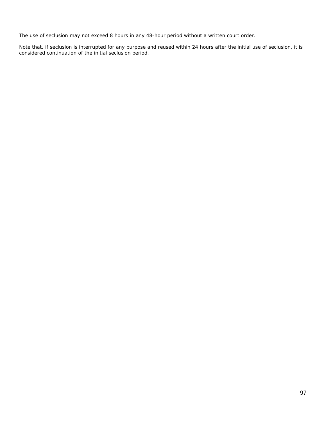The use of seclusion may not exceed 8 hours in any 48-hour period without a written court order.

Note that, if seclusion is interrupted for any purpose and reused within 24 hours after the initial use of seclusion, it is considered continuation of the initial seclusion period.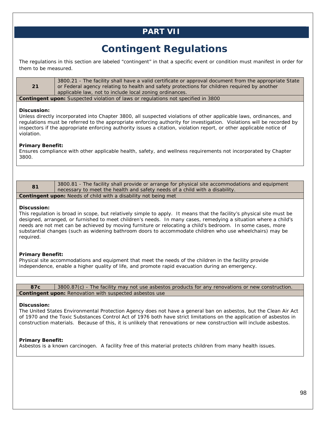# **PART VII**

# **Contingent Regulations**

The regulations in this section are labeled "contingent" in that a specific event or condition must manifest in order for them to be measured.

|                                                                                          | 3800.21 - The facility shall have a valid certificate or approval document from the appropriate State |  |
|------------------------------------------------------------------------------------------|-------------------------------------------------------------------------------------------------------|--|
| 21                                                                                       | or Federal agency relating to health and safety protections for children required by another          |  |
|                                                                                          | applicable law, not to include local zoning ordinances.                                               |  |
| <b>Contingent upon:</b> Suspected violation of laws or regulations not specified in 3800 |                                                                                                       |  |

### **Discussion:**

Unless directly incorporated into Chapter 3800, all suspected violations of other applicable laws, ordinances, and regulations must be referred to the appropriate enforcing authority for investigation. Violations will be recorded by inspectors if the appropriate enforcing authority issues a citation, violation report, or other applicable notice of violation.

### **Primary Benefit:**

Ensures compliance with other applicable health, safety, and wellness requirements not incorporated by Chapter 3800.

| 81                                                                     | 3800.81 - The facility shall provide or arrange for physical site accommodations and equipment |  |  |
|------------------------------------------------------------------------|------------------------------------------------------------------------------------------------|--|--|
|                                                                        | necessary to meet the health and safety needs of a child with a disability.                    |  |  |
| <b>Contingent upon:</b> Needs of child with a disability not being met |                                                                                                |  |  |

### **Discussion:**

This regulation is broad in scope, but relatively simple to apply. It means that the facility's physical site must be designed, arranged, or furnished to meet children's needs. In many cases, remedying a situation where a child's needs are not met can be achieved by moving furniture or relocating a child's bedroom. In some cases, more substantial changes (such as widening bathroom doors to accommodate children who use wheelchairs) may be required.

### **Primary Benefit:**

Physical site accommodations and equipment that meet the needs of the children in the facility provide independence, enable a higher quality of life, and promote rapid evacuation during an emergency.

**87c** 3800.87(c) - The facility may not use asbestos products for any renovations or new construction. **Contingent upon: Renovation with suspected asbestos use** 

### **Discussion:**

The United States Environmental Protection Agency does not have a general ban on asbestos, but the Clean Air Act of 1970 and the Toxic Substances Control Act of 1976 both have strict limitations on the application of asbestos in construction materials. Because of this, it is unlikely that renovations or new construction will include asbestos.

### **Primary Benefit:**

Asbestos is a known carcinogen. A facility free of this material protects children from many health issues.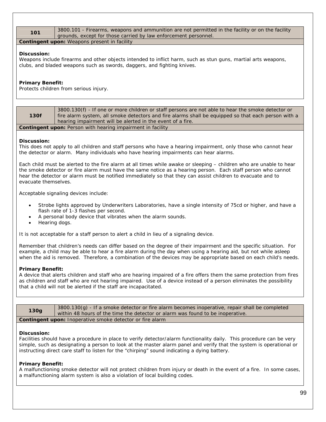101 3800.101 - Firearms, weapons and ammunition are not permitted in the facility or on the facility grounds, except for those carried by law enforcement personnel.

### **Contingent upon:** Weapons present in facility

### **Discussion:**

Weapons include firearms and other objects intended to inflict harm, such as stun guns, martial arts weapons, clubs, and bladed weapons such as swords, daggers, and fighting knives.

### **Primary Benefit:**

Protects children from serious injury.

|                                                                    | 3800.130(f) - If one or more children or staff persons are not able to hear the smoke detector or   |  |
|--------------------------------------------------------------------|-----------------------------------------------------------------------------------------------------|--|
| 130f                                                               | fire alarm system, all smoke detectors and fire alarms shall be equipped so that each person with a |  |
|                                                                    | hearing impairment will be alerted in the event of a fire.                                          |  |
| <b>Contingent upon:</b> Person with hearing impairment in facility |                                                                                                     |  |

### **Discussion:**

This does not apply to all children and staff persons who have a hearing impairment, only those who cannot hear the detector or alarm. Many individuals who have hearing impairments can hear alarms.

Each child must be alerted to the fire alarm at all times while awake or sleeping – children who are unable to hear the smoke detector or fire alarm must have the same notice as a hearing person. Each staff person who cannot hear the detector or alarm must be notified immediately so that they can assist children to evacuate and to evacuate themselves.

Acceptable signaling devices include:

- Strobe lights approved by Underwriters Laboratories, have a single intensity of 75cd or higher, and have a flash rate of 1-3 flashes per second.
- A personal body device that vibrates when the alarm sounds.
- Hearing dogs.

It is not acceptable for a staff person to alert a child in lieu of a signaling device.

Remember that children's needs can differ based on the degree of their impairment and the specific situation. For example, a child may be able to hear a fire alarm during the day when using a hearing aid, but not while asleep when the aid is removed. Therefore, a combination of the devices may be appropriate based on each child's needs.

### **Primary Benefit:**

A device that alerts children and staff who are hearing impaired of a fire offers them the same protection from fires as children and staff who are not hearing impaired. Use of a device instead of a person eliminates the possibility that a child will not be alerted if the staff are incapacitated.

| <b>130g</b>                                                      | $3800.130(q)$ - If a smoke detector or fire alarm becomes inoperative, repair shall be completed<br>within 48 hours of the time the detector or alarm was found to be inoperative. |  |
|------------------------------------------------------------------|------------------------------------------------------------------------------------------------------------------------------------------------------------------------------------|--|
| <b>Contingent upon:</b> Inoperative smoke detector or fire alarm |                                                                                                                                                                                    |  |

### **Discussion:**

Facilities should have a procedure in place to verify detector/alarm functionality daily. This procedure can be very simple, such as designating a person to look at the master alarm panel and verify that the system is operational or instructing direct care staff to listen for the "chirping" sound indicating a dying battery.

### **Primary Benefit:**

A malfunctioning smoke detector will not protect children from injury or death in the event of a fire. In some cases, a malfunctioning alarm system is also a violation of local building codes.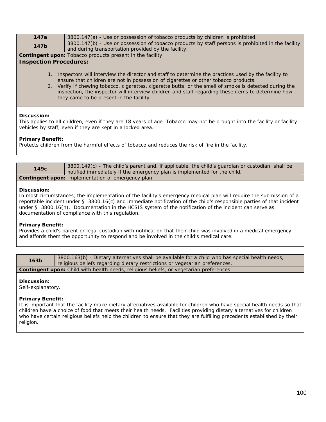| 147a                                                                                                                                                                                                                                                                                                                                                                                                                                                       | 3800.147(a) - Use or possession of tobacco products by children is prohibited.                                                                            |  |  |
|------------------------------------------------------------------------------------------------------------------------------------------------------------------------------------------------------------------------------------------------------------------------------------------------------------------------------------------------------------------------------------------------------------------------------------------------------------|-----------------------------------------------------------------------------------------------------------------------------------------------------------|--|--|
| 147b                                                                                                                                                                                                                                                                                                                                                                                                                                                       | 3800.147(b) - Use or possession of tobacco products by staff persons is prohibited in the facility<br>and during transportation provided by the facility. |  |  |
|                                                                                                                                                                                                                                                                                                                                                                                                                                                            | Contingent upon: Tobacco products present in the facility                                                                                                 |  |  |
| <b>Inspection Procedures:</b>                                                                                                                                                                                                                                                                                                                                                                                                                              |                                                                                                                                                           |  |  |
| 1. Inspectors will interview the director and staff to determine the practices used by the facility to<br>ensure that children are not in possession of cigarettes or other tobacco products.<br>2. Verify If chewing tobacco, cigarettes, cigarette butts, or the smell of smoke is detected during the<br>inspection, the inspector will interview children and staff regarding these items to determine how<br>they came to be present in the facility. |                                                                                                                                                           |  |  |
| Discussion:<br>This applies to all children, even if they are 18 years of age. Tobacco may not be brought into the facility or facility<br>vehicles by staff, even if they are kept in a locked area.<br><b>Primary Benefit:</b><br>Protects children from the harmful effects of tobacco and reduces the risk of fire in the facility.                                                                                                                    |                                                                                                                                                           |  |  |
|                                                                                                                                                                                                                                                                                                                                                                                                                                                            |                                                                                                                                                           |  |  |

| 149c                                                     | 3800.149(c) - The child's parent and, if applicable, the child's guardian or custodian, shall be |  |  |  |
|----------------------------------------------------------|--------------------------------------------------------------------------------------------------|--|--|--|
|                                                          | notified immediately if the emergency plan is implemented for the child.                         |  |  |  |
| <b>Contingent upon: Implementation of emergency plan</b> |                                                                                                  |  |  |  |

### **Discussion:**

In most circumstances, the implementation of the facility's emergency medical plan will require the submission of a reportable incident under § 3800.16(c) and immediate notification of the child's responsible parties of that incident under § 3800.16(h). Documentation in the HCSIS system of the notification of the incident can serve as documentation of compliance with this regulation.

### **Primary Benefit:**

Provides a child's parent or legal custodian with notification that their child was involved in a medical emergency and affords them the opportunity to respond and be involved in the child's medical care.

| 163 <sub>b</sub>                                                                            | 3800.163(b) - Dietary alternatives shall be available for a child who has special health needs, |  |  |
|---------------------------------------------------------------------------------------------|-------------------------------------------------------------------------------------------------|--|--|
|                                                                                             | religious beliefs regarding dietary restrictions or vegetarian preferences.                     |  |  |
| <b>Contingent upon:</b> Child with health peeds religious heliefs or vegetarian preferences |                                                                                                 |  |  |

**Contingent upon:** Child with health heeds, religious beliefs, or vegetarian preferenc

### **Discussion:**

Self-explanatory.

### **Primary Benefit:**

It is important that the facility make dietary alternatives available for children who have special health needs so that children have a choice of food that meets their health needs. Facilities providing dietary alternatives for children who have certain religious beliefs help the children to ensure that they are fulfilling precedents established by their religion.